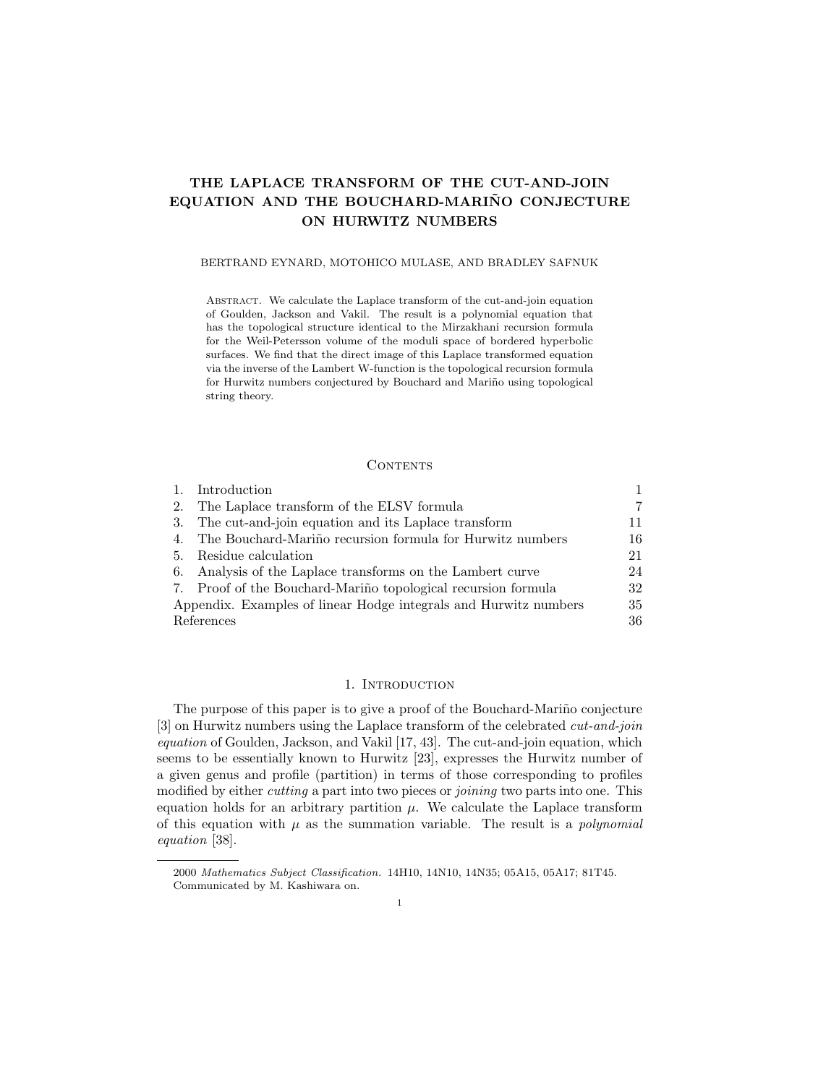# THE LAPLACE TRANSFORM OF THE CUT-AND-JOIN EQUATION AND THE BOUCHARD-MARINO CONJECTURE ON HURWITZ NUMBERS

#### BERTRAND EYNARD, MOTOHICO MULASE, AND BRADLEY SAFNUK

ABSTRACT. We calculate the Laplace transform of the cut-and-join equation of Goulden, Jackson and Vakil. The result is a polynomial equation that has the topological structure identical to the Mirzakhani recursion formula for the Weil-Petersson volume of the moduli space of bordered hyperbolic surfaces. We find that the direct image of this Laplace transformed equation via the inverse of the Lambert W-function is the topological recursion formula for Hurwitz numbers conjectured by Bouchard and Mariño using topological string theory.

#### **CONTENTS**

|                                                                  | Introduction                                                  |    |
|------------------------------------------------------------------|---------------------------------------------------------------|----|
| 2.                                                               | The Laplace transform of the ELSV formula                     | 7  |
| 3.                                                               | The cut-and-join equation and its Laplace transform           | 11 |
| 4.                                                               | The Bouchard-Mariño recursion formula for Hurwitz numbers     | 16 |
| 5.                                                               | Residue calculation                                           | 21 |
| 6.                                                               | Analysis of the Laplace transforms on the Lambert curve       | 24 |
|                                                                  | 7. Proof of the Bouchard-Mariño topological recursion formula | 32 |
| Appendix. Examples of linear Hodge integrals and Hurwitz numbers |                                                               | 35 |
|                                                                  | References                                                    | 36 |

## 1. INTRODUCTION

The purpose of this paper is to give a proof of the Bouchard-Mariño conjecture [3] on Hurwitz numbers using the Laplace transform of the celebrated cut-and-join equation of Goulden, Jackson, and Vakil [17, 43]. The cut-and-join equation, which seems to be essentially known to Hurwitz [23], expresses the Hurwitz number of a given genus and profile (partition) in terms of those corresponding to profiles modified by either *cutting* a part into two pieces or *joining* two parts into one. This equation holds for an arbitrary partition  $\mu$ . We calculate the Laplace transform of this equation with  $\mu$  as the summation variable. The result is a *polynomial* equation [38].

<sup>2000</sup> Mathematics Subject Classification. 14H10, 14N10, 14N35; 05A15, 05A17; 81T45. Communicated by M. Kashiwara on.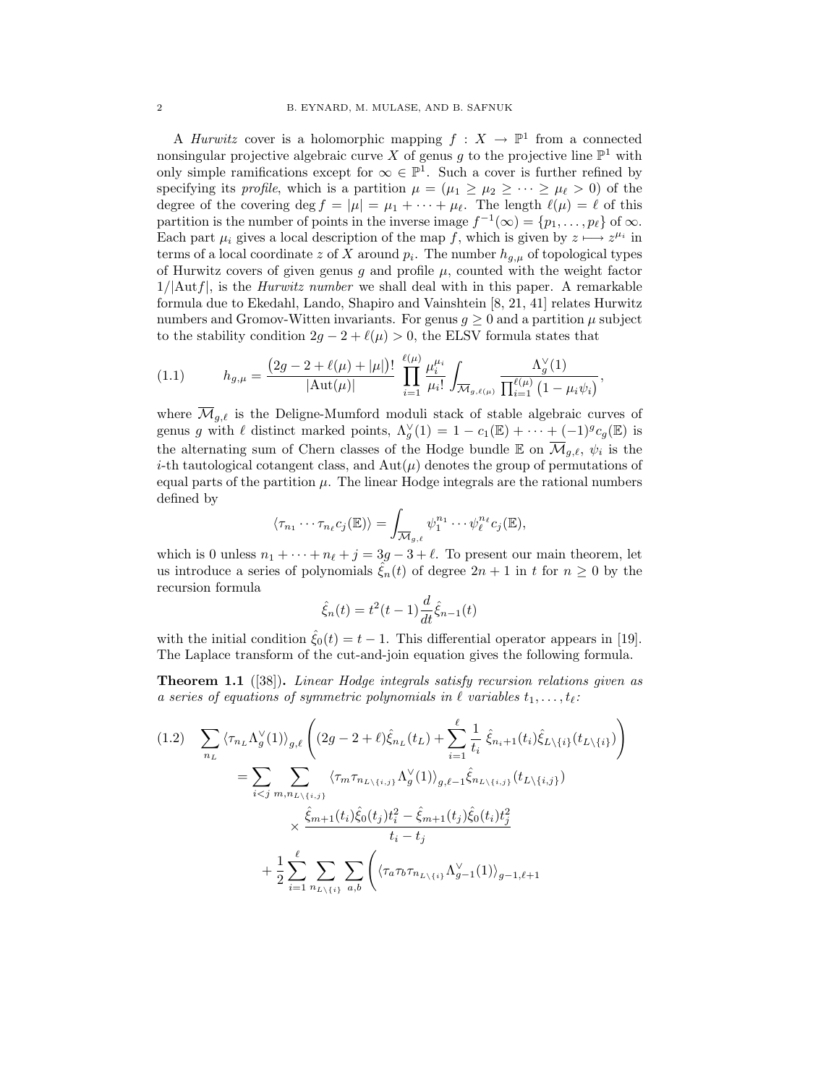A *Hurwitz* cover is a holomorphic mapping  $f: X \to \mathbb{P}^1$  from a connected nonsingular projective algebraic curve X of genus g to the projective line  $\mathbb{P}^1$  with only simple ramifications except for  $\infty \in \mathbb{P}^1$ . Such a cover is further refined by specifying its profile, which is a partition  $\mu = (\mu_1 \ge \mu_2 \ge \cdots \ge \mu_\ell > 0)$  of the degree of the covering deg  $f = |\mu| = \mu_1 + \cdots + \mu_\ell$ . The length  $\ell(\mu) = \ell$  of this partition is the number of points in the inverse image  $f^{-1}(\infty) = \{p_1, \ldots, p_\ell\}$  of  $\infty$ . Each part  $\mu_i$  gives a local description of the map f, which is given by  $z \mapsto z^{\mu_i}$  in terms of a local coordinate z of X around  $p_i$ . The number  $h_{g,\mu}$  of topological types of Hurwitz covers of given genus g and profile  $\mu$ , counted with the weight factor  $1/|\mathrm{Aut}f|$ , is the *Hurwitz number* we shall deal with in this paper. A remarkable formula due to Ekedahl, Lando, Shapiro and Vainshtein [8, 21, 41] relates Hurwitz numbers and Gromov-Witten invariants. For genus  $q \geq 0$  and a partition  $\mu$  subject to the stability condition  $2g - 2 + \ell(\mu) > 0$ , the ELSV formula states that

(1.1) 
$$
h_{g,\mu} = \frac{(2g - 2 + \ell(\mu) + |\mu|)!}{|\text{Aut}(\mu)|} \prod_{i=1}^{\ell(\mu)} \frac{\mu_i^{\mu_i}}{\mu_i!} \int_{\overline{\mathcal{M}}_{g,\ell(\mu)}} \frac{\Lambda_g^{\vee}(1)}{\prod_{i=1}^{\ell(\mu)} (1 - \mu_i \psi_i)},
$$

where  $\overline{\mathcal{M}}_{q,\ell}$  is the Deligne-Mumford moduli stack of stable algebraic curves of genus g with  $\ell$  distinct marked points,  $\Lambda_g^{\vee}(1) = 1 - c_1(\mathbb{E}) + \cdots + (-1)^g c_g(\mathbb{E})$  is the alternating sum of Chern classes of the Hodge bundle  $\mathbb E$  on  $\overline{\mathcal M}_{g,\ell}, \psi_i$  is the *i*-th tautological cotangent class, and  $Aut(\mu)$  denotes the group of permutations of equal parts of the partition  $\mu$ . The linear Hodge integrals are the rational numbers defined by

$$
\langle \tau_{n_1} \cdots \tau_{n_\ell} c_j(\mathbb{E}) \rangle = \int_{\overline{\mathcal{M}}_{g,\ell}} \psi_1^{n_1} \cdots \psi_\ell^{n_\ell} c_j(\mathbb{E}),
$$

which is 0 unless  $n_1 + \cdots + n_\ell + j = 3g - 3 + \ell$ . To present our main theorem, let us introduce a series of polynomials  $\hat{\xi}_n(t)$  of degree  $2n + 1$  in t for  $n \geq 0$  by the recursion formula

$$
\hat{\xi}_n(t) = t^2(t-1)\frac{d}{dt}\hat{\xi}_{n-1}(t)
$$

with the initial condition  $\hat{\xi}_0(t) = t - 1$ . This differential operator appears in [19]. The Laplace transform of the cut-and-join equation gives the following formula.

Theorem 1.1 ([38]). Linear Hodge integrals satisfy recursion relations given as a series of equations of symmetric polynomials in  $\ell$  variables  $t_1, \ldots, t_\ell$ :

$$
(1.2) \sum_{n_L} \langle \tau_{n_L} \Lambda_g^{\vee}(1) \rangle_{g,\ell} \left( (2g - 2 + \ell) \hat{\xi}_{n_L}(t_L) + \sum_{i=1}^{\ell} \frac{1}{t_i} \hat{\xi}_{n_i+1}(t_i) \hat{\xi}_{L \setminus \{i\}}(t_{L \setminus \{i\}}) \right)
$$
  

$$
= \sum_{i < j} \sum_{m,n_{L \setminus \{i,j\}}} \langle \tau_m \tau_{n_{L \setminus \{i,j\}}} \Lambda_g^{\vee}(1) \rangle_{g,\ell-1} \hat{\xi}_{n_{L \setminus \{i,j\}}} (t_{L \setminus \{i,j\}})
$$
  

$$
\times \frac{\hat{\xi}_{m+1}(t_i) \hat{\xi}_0(t_j) t_i^2 - \hat{\xi}_{m+1}(t_j) \hat{\xi}_0(t_i) t_j^2}{t_i - t_j}
$$
  

$$
+ \frac{1}{2} \sum_{i=1}^{\ell} \sum_{n_{L \setminus \{i\}}} \sum_{a,b} \left( \langle \tau_a \tau_b \tau_{n_{L \setminus \{i\}}} \Lambda_{g-1}^{\vee}(1) \rangle_{g-1,\ell+1} \right)
$$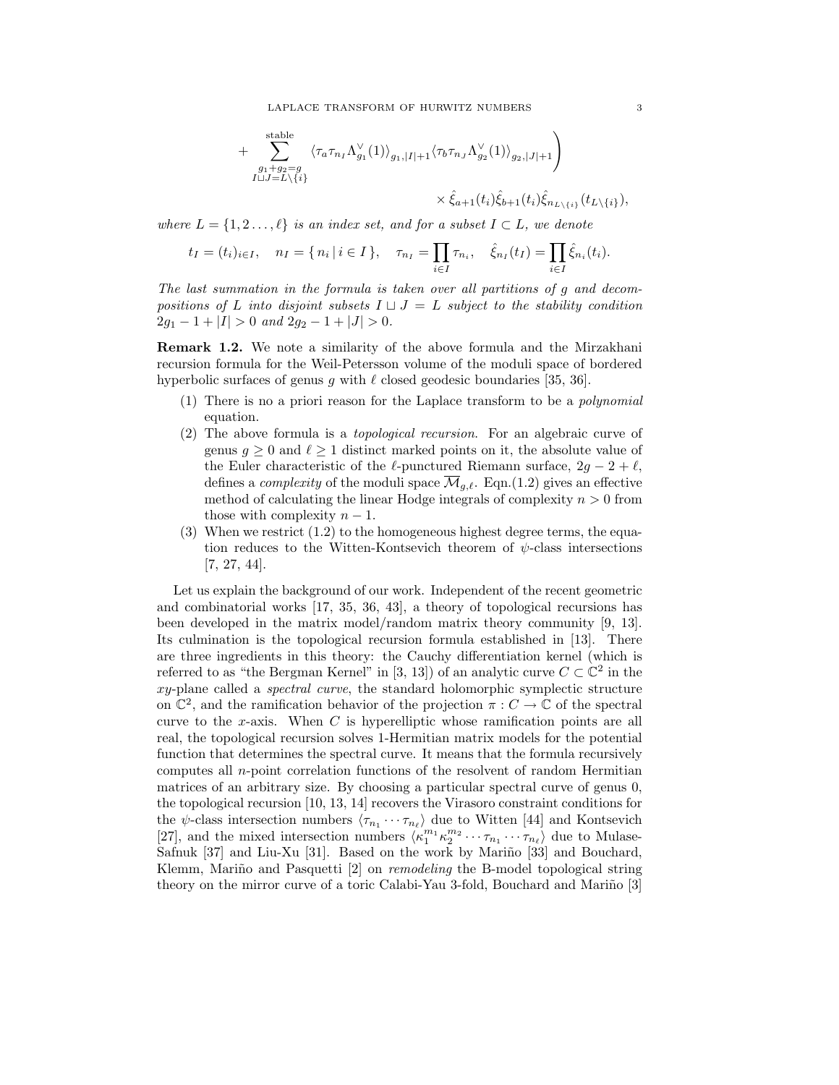$$
+\sum_{\substack{g_1+g_2=g\\I\sqcup J=L\setminus\{i\}}}^{\text{stable}}\langle\tau_a\tau_{n_I}\Lambda_{g_1}^{\vee}(1)\rangle_{g_1,|I|+1}\langle\tau_b\tau_{n_J}\Lambda_{g_2}^{\vee}(1)\rangle_{g_2,|J|+1}\Bigg)\\ \times\hat{\xi}_{a+1}(t_i)\hat{\xi}_{b+1}(t_i)\hat{\xi}_{n_{L\setminus\{i\}}}(t_{L\setminus\{i\}}),
$$

where  $L = \{1, 2, \ldots, \ell\}$  is an index set, and for a subset  $I \subset L$ , we denote

$$
t_I = (t_i)_{i \in I}, \quad n_I = \{ n_i | i \in I \}, \quad \tau_{n_I} = \prod_{i \in I} \tau_{n_i}, \quad \hat{\xi}_{n_I}(t_I) = \prod_{i \in I} \hat{\xi}_{n_i}(t_i).
$$

The last summation in the formula is taken over all partitions of g and decompositions of L into disjoint subsets  $I \sqcup J = L$  subject to the stability condition  $2g_1 - 1 + |I| > 0$  and  $2g_2 - 1 + |J| > 0$ .

Remark 1.2. We note a similarity of the above formula and the Mirzakhani recursion formula for the Weil-Petersson volume of the moduli space of bordered hyperbolic surfaces of genus g with  $\ell$  closed geodesic boundaries [35, 36].

- (1) There is no a priori reason for the Laplace transform to be a polynomial equation.
- (2) The above formula is a topological recursion. For an algebraic curve of genus  $g \geq 0$  and  $\ell \geq 1$  distinct marked points on it, the absolute value of the Euler characteristic of the  $\ell$ -punctured Riemann surface,  $2g - 2 + \ell$ , defines a *complexity* of the moduli space  $\overline{\mathcal{M}}_{q,\ell}$ . Eqn.(1.2) gives an effective method of calculating the linear Hodge integrals of complexity  $n > 0$  from those with complexity  $n-1$ .
- (3) When we restrict  $(1.2)$  to the homogeneous highest degree terms, the equation reduces to the Witten-Kontsevich theorem of  $\psi$ -class intersections [7, 27, 44].

Let us explain the background of our work. Independent of the recent geometric and combinatorial works [17, 35, 36, 43], a theory of topological recursions has been developed in the matrix model/random matrix theory community [9, 13]. Its culmination is the topological recursion formula established in [13]. There are three ingredients in this theory: the Cauchy differentiation kernel (which is referred to as "the Bergman Kernel" in [3, 13]) of an analytic curve  $C \subset \mathbb{C}^2$  in the xy-plane called a spectral curve, the standard holomorphic symplectic structure on  $\mathbb{C}^2$ , and the ramification behavior of the projection  $\pi: C \to \mathbb{C}$  of the spectral curve to the x-axis. When  $C$  is hyperelliptic whose ramification points are all real, the topological recursion solves 1-Hermitian matrix models for the potential function that determines the spectral curve. It means that the formula recursively computes all n-point correlation functions of the resolvent of random Hermitian matrices of an arbitrary size. By choosing a particular spectral curve of genus 0, the topological recursion [10, 13, 14] recovers the Virasoro constraint conditions for the  $\psi$ -class intersection numbers  $\langle \tau_{n_1} \cdots \tau_{n_\ell} \rangle$  due to Witten [44] and Kontsevich [27], and the mixed intersection numbers  $\langle \kappa_1^{m_1} \kappa_2^{m_2} \cdots \tau_{n_1} \cdots \tau_{n_\ell} \rangle$  due to Mulase-Safnuk [37] and Liu-Xu [31]. Based on the work by Mariño [33] and Bouchard, Klemm, Mariño and Pasquetti  $[2]$  on *remodeling* the B-model topological string theory on the mirror curve of a toric Calabi-Yau 3-fold, Bouchard and Mariño [3]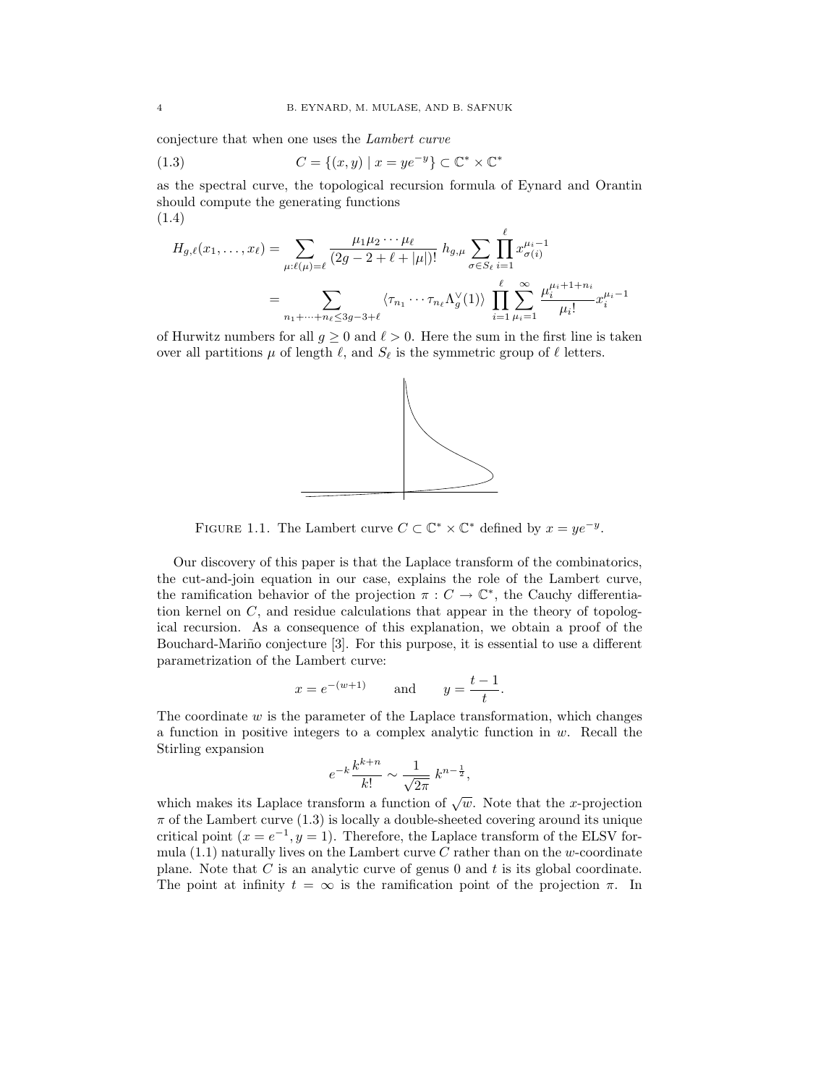conjecture that when one uses the Lambert curve

(1.3) 
$$
C = \{(x, y) \mid x = ye^{-y}\} \subset \mathbb{C}^* \times \mathbb{C}^*
$$

as the spectral curve, the topological recursion formula of Eynard and Orantin should compute the generating functions (1.4)

$$
H_{g,\ell}(x_1,\ldots,x_\ell) = \sum_{\mu:\ell(\mu)=\ell} \frac{\mu_1\mu_2\cdots\mu_\ell}{(2g-2+\ell+|\mu|)!} h_{g,\mu} \sum_{\sigma\in S_\ell} \prod_{i=1}^\ell x_{\sigma(i)}^{\mu_i-1}
$$
  
= 
$$
\sum_{n_1+\cdots+n_\ell\leq 3g-3+\ell} \langle \tau_{n_1}\cdots\tau_{n_\ell} \Lambda_g^\vee(1) \rangle \prod_{i=1}^\ell \sum_{\mu_i=1}^\infty \frac{\mu_i^{\mu_i+1+n_i}}{\mu_i!} x_i^{\mu_i-1}
$$

of Hurwitz numbers for all  $g \ge 0$  and  $\ell > 0$ . Here the sum in the first line is taken over all partitions  $\mu$  of length  $\ell$ , and  $S_{\ell}$  is the symmetric group of  $\ell$  letters.



FIGURE 1.1. The Lambert curve  $C \subset \mathbb{C}^* \times \mathbb{C}^*$  defined by  $x = ye^{-y}$ .

Our discovery of this paper is that the Laplace transform of the combinatorics, the cut-and-join equation in our case, explains the role of the Lambert curve, the ramification behavior of the projection  $\pi: C \to \mathbb{C}^*$ , the Cauchy differentiation kernel on  $C$ , and residue calculations that appear in the theory of topological recursion. As a consequence of this explanation, we obtain a proof of the Bouchard-Mariño conjecture [3]. For this purpose, it is essential to use a different parametrization of the Lambert curve:

$$
x = e^{-(w+1)}
$$
 and  $y = \frac{t-1}{t}$ .

The coordinate  $w$  is the parameter of the Laplace transformation, which changes a function in positive integers to a complex analytic function in  $w$ . Recall the Stirling expansion

$$
e^{-k}\frac{k^{k+n}}{k!} \sim \frac{1}{\sqrt{2\pi}} k^{n-\frac{1}{2}},
$$

which makes its Laplace transform a function of  $\sqrt{w}$ . Note that the x-projection  $\pi$  of the Lambert curve (1.3) is locally a double-sheeted covering around its unique critical point  $(x = e^{-1}, y = 1)$ . Therefore, the Laplace transform of the ELSV formula  $(1.1)$  naturally lives on the Lambert curve C rather than on the w-coordinate plane. Note that  $C$  is an analytic curve of genus 0 and  $t$  is its global coordinate. The point at infinity  $t = \infty$  is the ramification point of the projection  $\pi$ . In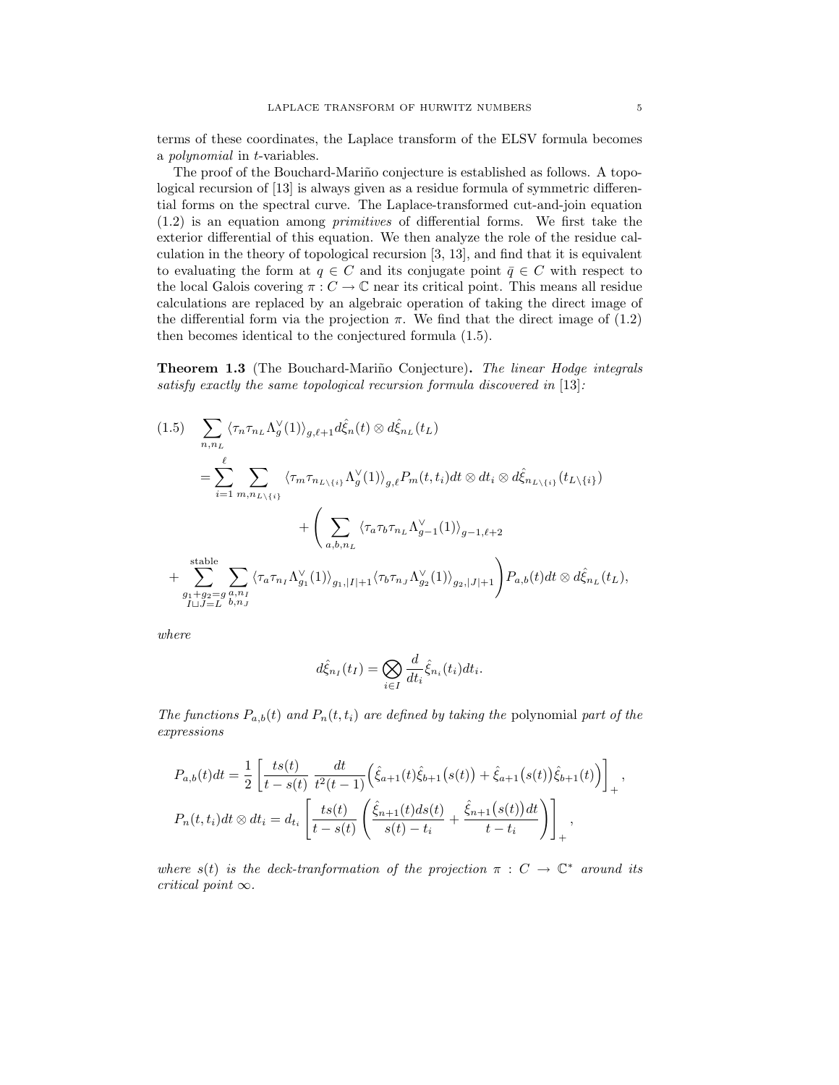terms of these coordinates, the Laplace transform of the ELSV formula becomes a polynomial in t-variables.

The proof of the Bouchard-Mariño conjecture is established as follows. A topological recursion of [13] is always given as a residue formula of symmetric differential forms on the spectral curve. The Laplace-transformed cut-and-join equation (1.2) is an equation among primitives of differential forms. We first take the exterior differential of this equation. We then analyze the role of the residue calculation in the theory of topological recursion [3, 13], and find that it is equivalent to evaluating the form at  $q \in C$  and its conjugate point  $\bar{q} \in C$  with respect to the local Galois covering  $\pi: C \to \mathbb{C}$  near its critical point. This means all residue calculations are replaced by an algebraic operation of taking the direct image of the differential form via the projection  $\pi$ . We find that the direct image of (1.2) then becomes identical to the conjectured formula (1.5).

**Theorem 1.3** (The Bouchard-Mariño Conjecture). The linear Hodge integrals satisfy exactly the same topological recursion formula discovered in [13]:

$$
(1.5) \sum_{n,n_L} \langle \tau_n \tau_{n_L} \Lambda_g^{\vee}(1) \rangle_{g,\ell+1} d\hat{\xi}_n(t) \otimes d\hat{\xi}_{n_L}(t_L)
$$
  

$$
= \sum_{i=1}^{\ell} \sum_{m,n_L \setminus \{i\}} \langle \tau_m \tau_{n_L \setminus \{i\}} \Lambda_g^{\vee}(1) \rangle_{g,\ell} P_m(t,t_i) dt \otimes dt_i \otimes d\hat{\xi}_{n_L \setminus \{i\}}(t_L \setminus \{i\})
$$
  

$$
+ \left( \sum_{a,b,n_L} \langle \tau_a \tau_b \tau_{n_L} \Lambda_{g-1}^{\vee}(1) \rangle_{g-1,\ell+2} + \sum_{g_1+g_2=g}^{\text{stable}} \sum_{a,n_I} \langle \tau_a \tau_{n_I} \Lambda_{g_1}^{\vee}(1) \rangle_{g_1,|I|+1} \langle \tau_b \tau_{n_J} \Lambda_{g_2}^{\vee}(1) \rangle_{g_2,|J|+1} \right) P_{a,b}(t) dt \otimes d\hat{\xi}_{n_L}(t_L),
$$

where

$$
d\hat{\xi}_{n_I}(t_I) = \bigotimes_{i \in I} \frac{d}{dt_i} \hat{\xi}_{n_i}(t_i) dt_i.
$$

The functions  $P_{a,b}(t)$  and  $P_n(t,t_i)$  are defined by taking the polynomial part of the expressions

$$
P_{a,b}(t)dt = \frac{1}{2} \left[ \frac{ts(t)}{t - s(t)} \frac{dt}{t^2(t - 1)} \left( \hat{\xi}_{a+1}(t)\hat{\xi}_{b+1}(s(t)) + \hat{\xi}_{a+1}(s(t))\hat{\xi}_{b+1}(t) \right) \right]_+,
$$
  
\n
$$
P_n(t, t_i)dt \otimes dt_i = d_{t_i} \left[ \frac{ts(t)}{t - s(t)} \left( \frac{\hat{\xi}_{n+1}(t)ds(t)}{s(t) - t_i} + \frac{\hat{\xi}_{n+1}(s(t))dt}{t - t_i} \right) \right]_+,
$$

where  $s(t)$  is the deck-tranformation of the projection  $\pi : C \to \mathbb{C}^*$  around its critical point  $\infty$ .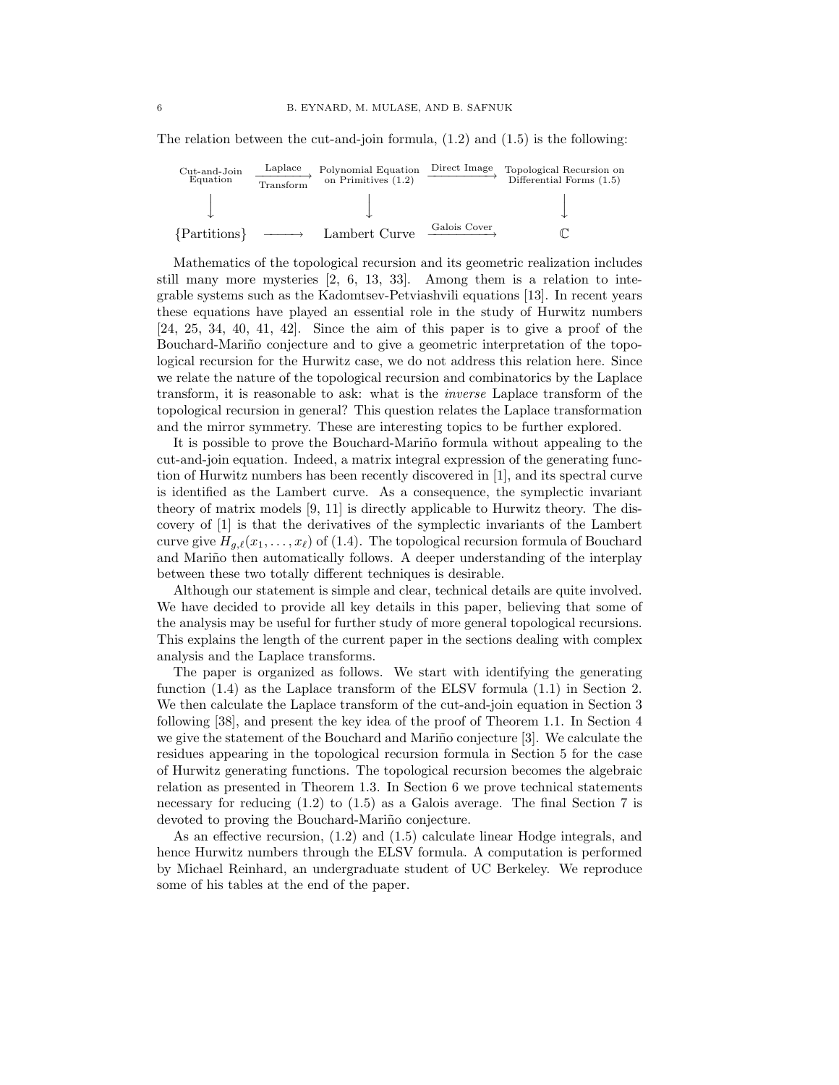The relation between the cut-and-join formula,  $(1.2)$  and  $(1.5)$  is the following:



Mathematics of the topological recursion and its geometric realization includes still many more mysteries [2, 6, 13, 33]. Among them is a relation to integrable systems such as the Kadomtsev-Petviashvili equations [13]. In recent years these equations have played an essential role in the study of Hurwitz numbers  $[24, 25, 34, 40, 41, 42]$ . Since the aim of this paper is to give a proof of the Bouchard-Mariño conjecture and to give a geometric interpretation of the topological recursion for the Hurwitz case, we do not address this relation here. Since we relate the nature of the topological recursion and combinatorics by the Laplace transform, it is reasonable to ask: what is the inverse Laplace transform of the topological recursion in general? This question relates the Laplace transformation and the mirror symmetry. These are interesting topics to be further explored.

It is possible to prove the Bouchard-Mariño formula without appealing to the cut-and-join equation. Indeed, a matrix integral expression of the generating function of Hurwitz numbers has been recently discovered in [1], and its spectral curve is identified as the Lambert curve. As a consequence, the symplectic invariant theory of matrix models [9, 11] is directly applicable to Hurwitz theory. The discovery of [1] is that the derivatives of the symplectic invariants of the Lambert curve give  $H_{q,\ell}(x_1,\ldots, x_\ell)$  of (1.4). The topological recursion formula of Bouchard and Mariño then automatically follows. A deeper understanding of the interplay between these two totally different techniques is desirable.

Although our statement is simple and clear, technical details are quite involved. We have decided to provide all key details in this paper, believing that some of the analysis may be useful for further study of more general topological recursions. This explains the length of the current paper in the sections dealing with complex analysis and the Laplace transforms.

The paper is organized as follows. We start with identifying the generating function (1.4) as the Laplace transform of the ELSV formula (1.1) in Section 2. We then calculate the Laplace transform of the cut-and-join equation in Section 3 following [38], and present the key idea of the proof of Theorem 1.1. In Section 4 we give the statement of the Bouchard and Mariño conjecture  $[3]$ . We calculate the residues appearing in the topological recursion formula in Section 5 for the case of Hurwitz generating functions. The topological recursion becomes the algebraic relation as presented in Theorem 1.3. In Section 6 we prove technical statements necessary for reducing (1.2) to (1.5) as a Galois average. The final Section 7 is devoted to proving the Bouchard-Mariño conjecture.

As an effective recursion, (1.2) and (1.5) calculate linear Hodge integrals, and hence Hurwitz numbers through the ELSV formula. A computation is performed by Michael Reinhard, an undergraduate student of UC Berkeley. We reproduce some of his tables at the end of the paper.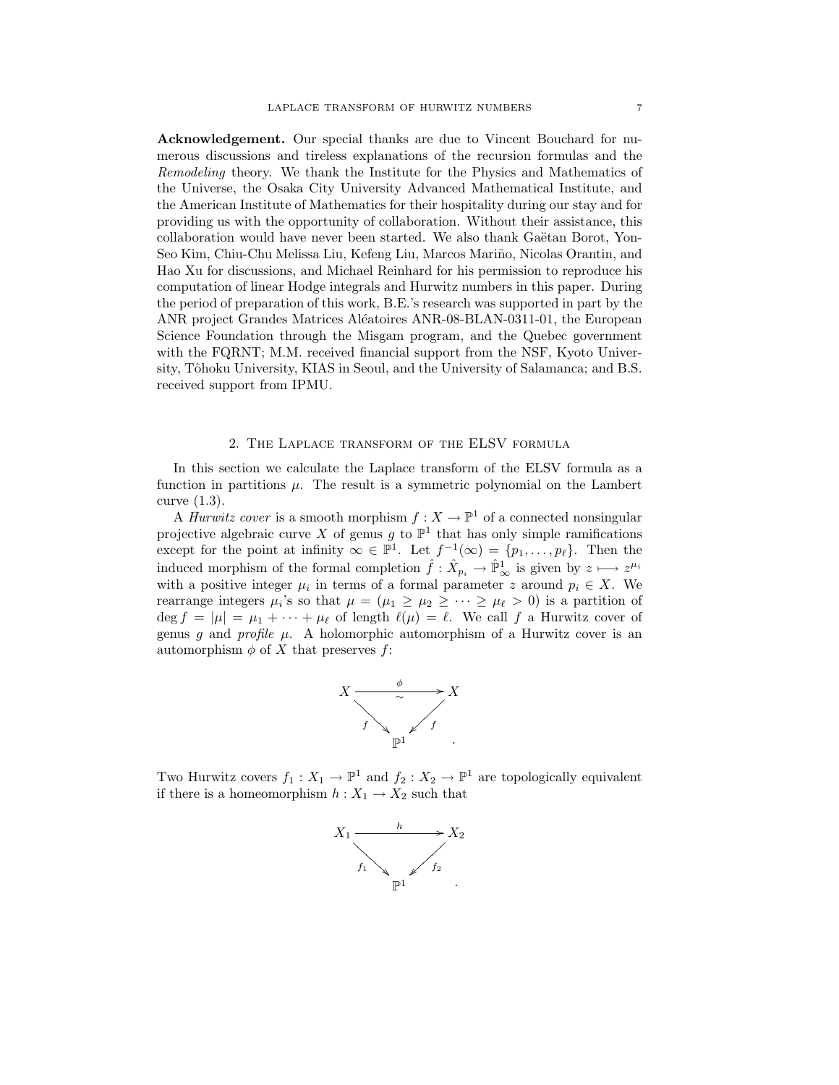Acknowledgement. Our special thanks are due to Vincent Bouchard for numerous discussions and tireless explanations of the recursion formulas and the Remodeling theory. We thank the Institute for the Physics and Mathematics of the Universe, the Osaka City University Advanced Mathematical Institute, and the American Institute of Mathematics for their hospitality during our stay and for providing us with the opportunity of collaboration. Without their assistance, this collaboration would have never been started. We also thank Gaëtan Borot, Yon-Seo Kim, Chiu-Chu Melissa Liu, Kefeng Liu, Marcos Mariño, Nicolas Orantin, and Hao Xu for discussions, and Michael Reinhard for his permission to reproduce his computation of linear Hodge integrals and Hurwitz numbers in this paper. During the period of preparation of this work, B.E.'s research was supported in part by the ANR project Grandes Matrices Aléatoires ANR-08-BLAN-0311-01, the European Science Foundation through the Misgam program, and the Quebec government with the FQRNT; M.M. received financial support from the NSF, Kyoto University, Tôhoku University, KIAS in Seoul, and the University of Salamanca; and B.S. received support from IPMU.

#### 2. The Laplace transform of the ELSV formula

In this section we calculate the Laplace transform of the ELSV formula as a function in partitions  $\mu$ . The result is a symmetric polynomial on the Lambert curve (1.3).

A *Hurwitz cover* is a smooth morphism  $f: X \to \mathbb{P}^1$  of a connected nonsingular projective algebraic curve X of genus g to  $\mathbb{P}^1$  that has only simple ramifications except for the point at infinity  $\infty \in \mathbb{P}^1$ . Let  $f^{-1}(\infty) = \{p_1, \ldots, p_\ell\}$ . Then the induced morphism of the formal completion  $\hat{f}: \hat{X}_{p_i} \to \hat{\mathbb{P}}^1_\infty$  is given by  $z \mapsto z^{\mu_i}$ with a positive integer  $\mu_i$  in terms of a formal parameter z around  $p_i \in X$ . We rearrange integers  $\mu_i$ 's so that  $\mu = (\mu_1 \ge \mu_2 \ge \cdots \ge \mu_\ell > 0)$  is a partition of deg  $f = |\mu| = \mu_1 + \cdots + \mu_\ell$  of length  $\ell(\mu) = \ell$ . We call f a Hurwitz cover of genus g and profile  $\mu$ . A holomorphic automorphism of a Hurwitz cover is an automorphism  $\phi$  of X that preserves f:



Two Hurwitz covers  $f_1: X_1 \to \mathbb{P}^1$  and  $f_2: X_2 \to \mathbb{P}^1$  are topologically equivalent if there is a homeomorphism  $h: X_1 \to X_2$  such that

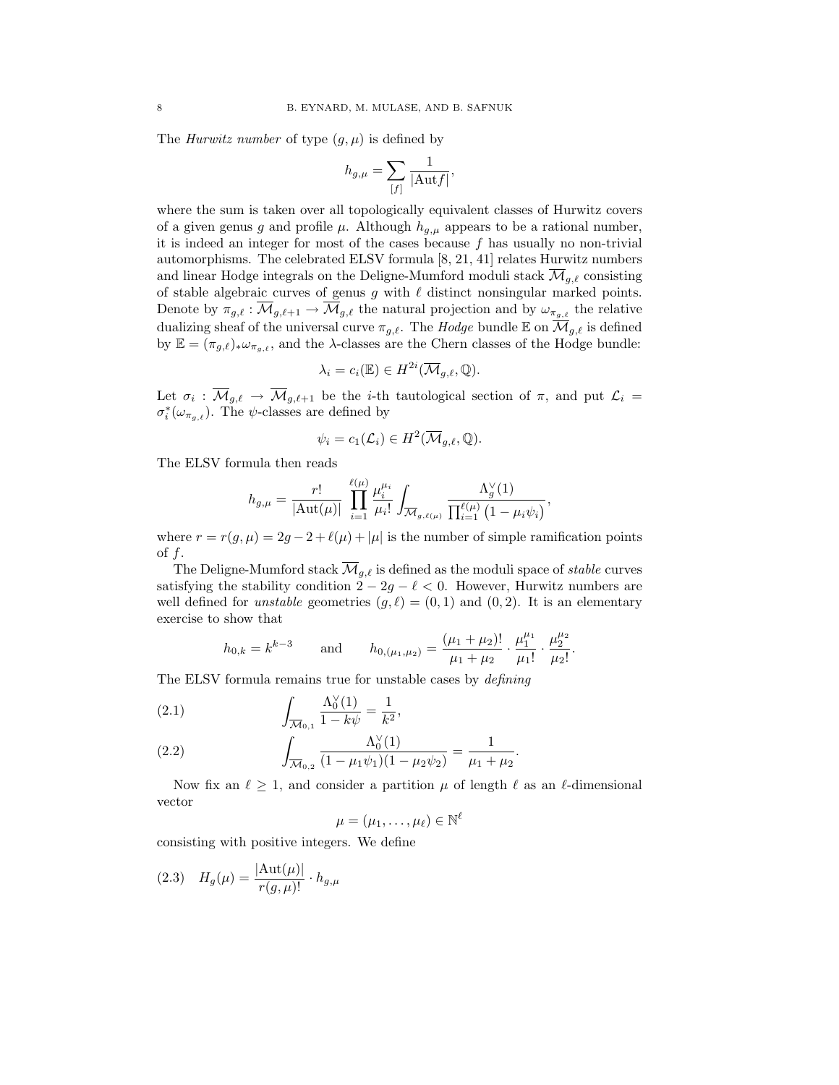The *Hurwitz number* of type  $(q, \mu)$  is defined by

$$
h_{g,\mu} = \sum_{[f]} \frac{1}{|\mathrm{Aut}f|},
$$

where the sum is taken over all topologically equivalent classes of Hurwitz covers of a given genus g and profile  $\mu$ . Although  $h_{q,\mu}$  appears to be a rational number, it is indeed an integer for most of the cases because  $f$  has usually no non-trivial automorphisms. The celebrated ELSV formula [8, 21, 41] relates Hurwitz numbers and linear Hodge integrals on the Deligne-Mumford moduli stack  $\overline{\mathcal{M}}_{q,\ell}$  consisting of stable algebraic curves of genus  $g$  with  $\ell$  distinct nonsingular marked points. Denote by  $\pi_{g,\ell} : \overline{\mathcal{M}}_{g,\ell+1} \to \overline{\mathcal{M}}_{g,\ell}$  the natural projection and by  $\omega_{\pi_{g,\ell}}$  the relative dualizing sheaf of the universal curve  $\pi_{g,\ell}$ . The Hodge bundle E on  $\overline{\mathcal{M}}_{g,\ell}$  is defined by  $\mathbb{E} = (\pi_{g,\ell})_* \omega_{\pi_{g,\ell}}$ , and the  $\lambda$ -classes are the Chern classes of the Hodge bundle:

$$
\lambda_i = c_i(\mathbb{E}) \in H^{2i}(\overline{\mathcal{M}}_{g,\ell}, \mathbb{Q}).
$$

Let  $\sigma_i$ :  $\overline{\mathcal{M}}_{g,\ell} \to \overline{\mathcal{M}}_{g,\ell+1}$  be the *i*-th tautological section of  $\pi$ , and put  $\mathcal{L}_i =$  $\sigma_i^*(\omega_{\pi_{g,\ell}})$ . The  $\psi$ -classes are defined by

$$
\psi_i = c_1(\mathcal{L}_i) \in H^2(\overline{\mathcal{M}}_{g,\ell}, \mathbb{Q}).
$$

The ELSV formula then reads

$$
h_{g,\mu} = \frac{r!}{|\mathrm{Aut}(\mu)|} \prod_{i=1}^{\ell(\mu)} \frac{\mu_i^{\mu_i}}{\mu_i!} \int_{\overline{\mathcal{M}}_{g,\ell(\mu)}} \frac{\Lambda_g^{\vee}(1)}{\prod_{i=1}^{\ell(\mu)} (1 - \mu_i \psi_i)},
$$

where  $r = r(g, \mu) = 2g - 2 + \ell(\mu) + |\mu|$  is the number of simple ramification points of  $f$ .

The Deligne-Mumford stack  $\overline{\mathcal{M}}_{g,\ell}$  is defined as the moduli space of stable curves satisfying the stability condition  $2 - 2g - \ell < 0$ . However, Hurwitz numbers are well defined for *unstable* geometries  $(g, \ell) = (0, 1)$  and  $(0, 2)$ . It is an elementary exercise to show that

$$
h_{0,k}=k^{k-3} \qquad \text{and} \qquad h_{0,(\mu_1,\mu_2)}=\frac{(\mu_1+\mu_2)!}{\mu_1+\mu_2}\cdot\frac{\mu_1^{\mu_1}}{\mu_1!}\cdot\frac{\mu_2^{\mu_2}}{\mu_2!}
$$

.

The ELSV formula remains true for unstable cases by defining

(2.1) 
$$
\int_{\overline{\mathcal{M}}_{0,1}} \frac{\Lambda_0^{\vee}(1)}{1 - k\psi} = \frac{1}{k^2},
$$

(2.2) 
$$
\int_{\overline{\mathcal{M}}_{0,2}} \frac{\Lambda_0(1)}{(1 - \mu_1 \psi_1)(1 - \mu_2 \psi_2)} = \frac{1}{\mu_1 + \mu_2}.
$$

Now fix an  $\ell \geq 1$ , and consider a partition  $\mu$  of length  $\ell$  as an  $\ell$ -dimensional vector

1

$$
\mu=(\mu_1,\ldots,\mu_\ell)\in\mathbb{N}^\ell
$$

consisting with positive integers. We define

(2.3) 
$$
H_g(\mu) = \frac{|\text{Aut}(\mu)|}{r(g,\mu)!} \cdot h_{g,\mu}
$$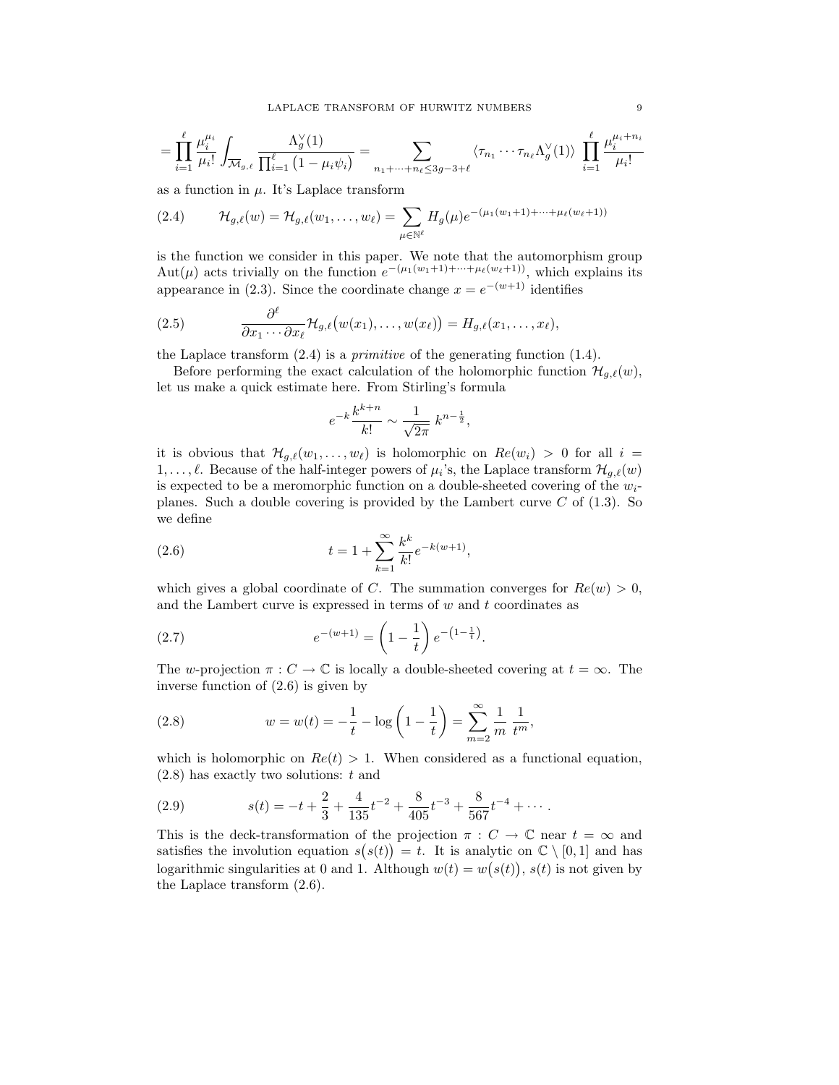$$
= \prod_{i=1}^{\ell} \frac{\mu_i^{\mu_i}}{\mu_i!} \int_{\overline{\mathcal{M}}_{g,\ell}} \frac{\Lambda_g^{\vee}(1)}{\prod_{i=1}^{\ell} (1 - \mu_i \psi_i)} = \sum_{n_1 + \dots + n_{\ell} \leq 3g - 3 + \ell} \langle \tau_{n_1} \cdots \tau_{n_{\ell}} \Lambda_g^{\vee}(1) \rangle \prod_{i=1}^{\ell} \frac{\mu_i^{\mu_i + n_i}}{\mu_i!}
$$

as a function in  $\mu$ . It's Laplace transform

(2.4) 
$$
\mathcal{H}_{g,\ell}(w) = \mathcal{H}_{g,\ell}(w_1,\ldots,w_\ell) = \sum_{\mu \in \mathbb{N}^\ell} H_g(\mu) e^{-(\mu_1(w_1+1)+\cdots+\mu_\ell(w_\ell+1))}
$$

is the function we consider in this paper. We note that the automorphism group Aut( $\mu$ ) acts trivially on the function  $e^{-(\mu_1(w_1+1)+\cdots+\mu_\ell(w_\ell+1))}$ , which explains its appearance in (2.3). Since the coordinate change  $x = e^{-(w+1)}$  identifies

(2.5) 
$$
\frac{\partial^{\ell}}{\partial x_1 \cdots \partial x_{\ell}} \mathcal{H}_{g,\ell}(w(x_1),\ldots,w(x_{\ell})) = H_{g,\ell}(x_1,\ldots,x_{\ell}),
$$

the Laplace transform  $(2.4)$  is a *primitive* of the generating function  $(1.4)$ .

Before performing the exact calculation of the holomorphic function  $\mathcal{H}_{q,\ell}(w)$ , let us make a quick estimate here. From Stirling's formula

$$
e^{-k}\frac{k^{k+n}}{k!} \sim \frac{1}{\sqrt{2\pi}} k^{n-\frac{1}{2}},
$$

it is obvious that  $\mathcal{H}_{q,\ell}(w_1,\ldots, w_\ell)$  is holomorphic on  $Re(w_i) > 0$  for all  $i =$  $1, \ldots, \ell$ . Because of the half-integer powers of  $\mu_i$ 's, the Laplace transform  $\mathcal{H}_{g,\ell}(w)$ is expected to be a meromorphic function on a double-sheeted covering of the  $w_i$ planes. Such a double covering is provided by the Lambert curve  $C$  of  $(1.3)$ . So we define

(2.6) 
$$
t = 1 + \sum_{k=1}^{\infty} \frac{k^k}{k!} e^{-k(w+1)},
$$

which gives a global coordinate of C. The summation converges for  $Re(w) > 0$ , and the Lambert curve is expressed in terms of  $w$  and  $t$  coordinates as

(2.7) 
$$
e^{-(w+1)} = \left(1 - \frac{1}{t}\right)e^{-\left(1 - \frac{1}{t}\right)}.
$$

The w-projection  $\pi: C \to \mathbb{C}$  is locally a double-sheeted covering at  $t = \infty$ . The inverse function of (2.6) is given by

(2.8) 
$$
w = w(t) = -\frac{1}{t} - \log\left(1 - \frac{1}{t}\right) = \sum_{m=2}^{\infty} \frac{1}{m} \frac{1}{t^m},
$$

which is holomorphic on  $Re(t) > 1$ . When considered as a functional equation,  $(2.8)$  has exactly two solutions: t and

(2.9) 
$$
s(t) = -t + \frac{2}{3} + \frac{4}{135}t^{-2} + \frac{8}{405}t^{-3} + \frac{8}{567}t^{-4} + \cdots
$$

This is the deck-transformation of the projection  $\pi : C \to \mathbb{C}$  near  $t = \infty$  and satisfies the involution equation  $s(s(t)) = t$ . It is analytic on  $\mathbb{C} \setminus [0,1]$  and has logarithmic singularities at 0 and 1. Although  $w(t) = w(s(t))$ ,  $s(t)$  is not given by the Laplace transform (2.6).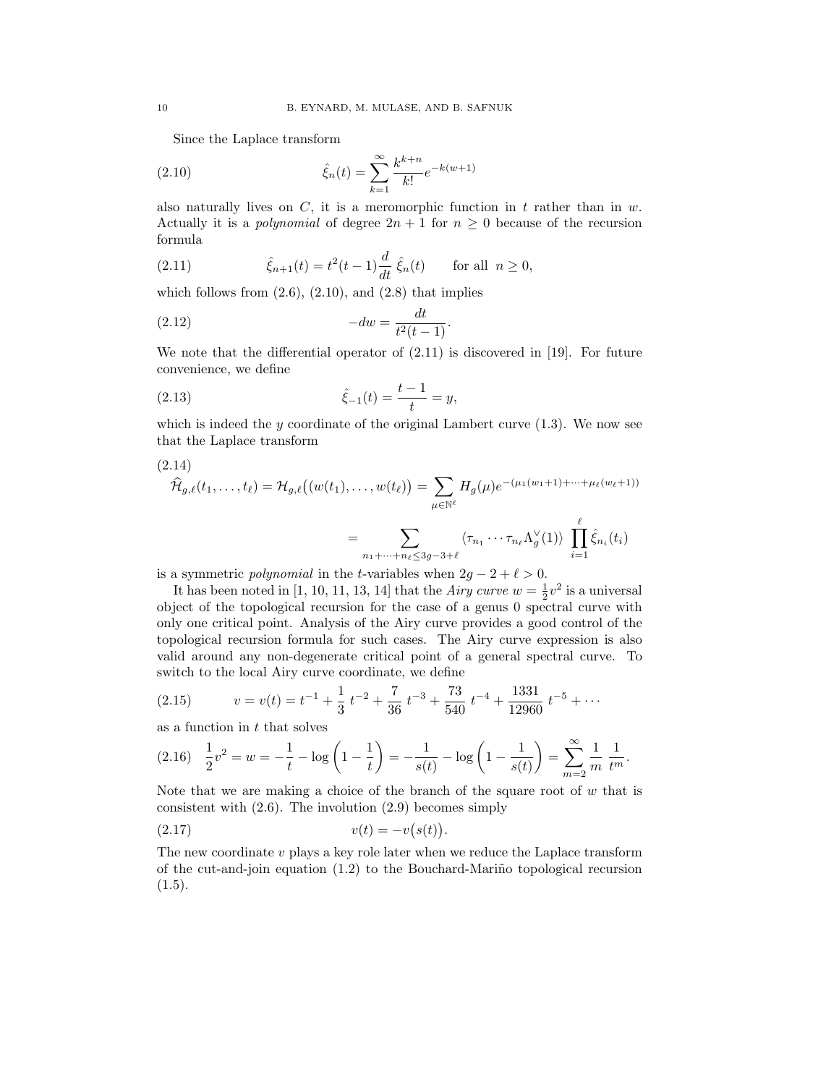Since the Laplace transform

(2.10) 
$$
\hat{\xi}_n(t) = \sum_{k=1}^{\infty} \frac{k^{k+n}}{k!} e^{-k(w+1)}
$$

also naturally lives on  $C$ , it is a meromorphic function in t rather than in w. Actually it is a *polynomial* of degree  $2n + 1$  for  $n \geq 0$  because of the recursion formula

(2.11) 
$$
\hat{\xi}_{n+1}(t) = t^2(t-1)\frac{d}{dt}\hat{\xi}_n(t) \quad \text{for all } n \ge 0,
$$

which follows from  $(2.6)$ ,  $(2.10)$ , and  $(2.8)$  that implies

(2.12) 
$$
-dw = \frac{dt}{t^2(t-1)}.
$$

We note that the differential operator of  $(2.11)$  is discovered in [19]. For future convenience, we define

(2.13) 
$$
\hat{\xi}_{-1}(t) = \frac{t-1}{t} = y,
$$

which is indeed the y coordinate of the original Lambert curve  $(1.3)$ . We now see that the Laplace transform

$$
(2.14)
$$
\n
$$
\widehat{\mathcal{H}}_{g,\ell}(t_1,\ldots,t_\ell) = \mathcal{H}_{g,\ell}\big((w(t_1),\ldots,w(t_\ell)\big) = \sum_{\mu \in \mathbb{N}^\ell} H_g(\mu) e^{-(\mu_1(w_1+1)+\cdots+\mu_\ell(w_\ell+1))}
$$
\n
$$
= \sum_{n_1+\cdots+n_\ell \le 3g-3+\ell} \langle \tau_{n_1} \cdots \tau_{n_\ell} \Lambda_g^\vee(1) \rangle \prod_{i=1}^\ell \widehat{\xi}_{n_i}(t_i)
$$

is a symmetric *polynomial* in the *t*-variables when  $2g - 2 + \ell > 0$ .

It has been noted in [1, 10, 11, 13, 14] that the *Airy curve*  $w = \frac{1}{2}v^2$  is a universal object of the topological recursion for the case of a genus 0 spectral curve with only one critical point. Analysis of the Airy curve provides a good control of the topological recursion formula for such cases. The Airy curve expression is also valid around any non-degenerate critical point of a general spectral curve. To switch to the local Airy curve coordinate, we define

(2.15) 
$$
v = v(t) = t^{-1} + \frac{1}{3}t^{-2} + \frac{7}{36}t^{-3} + \frac{73}{540}t^{-4} + \frac{1331}{12960}t^{-5} + \cdots
$$

as a function in  $t$  that solves

$$
(2.16)\quad \frac{1}{2}v^2 = w = -\frac{1}{t} - \log\left(1 - \frac{1}{t}\right) = -\frac{1}{s(t)} - \log\left(1 - \frac{1}{s(t)}\right) = \sum_{m=2}^{\infty} \frac{1}{m} \frac{1}{t^m}.
$$

Note that we are making a choice of the branch of the square root of  $w$  that is consistent with  $(2.6)$ . The involution  $(2.9)$  becomes simply

(2.17) 
$$
v(t) = -v(s(t)).
$$

The new coordinate  $v$  plays a key role later when we reduce the Laplace transform of the cut-and-join equation  $(1.2)$  to the Bouchard-Mariño topological recursion  $(1.5).$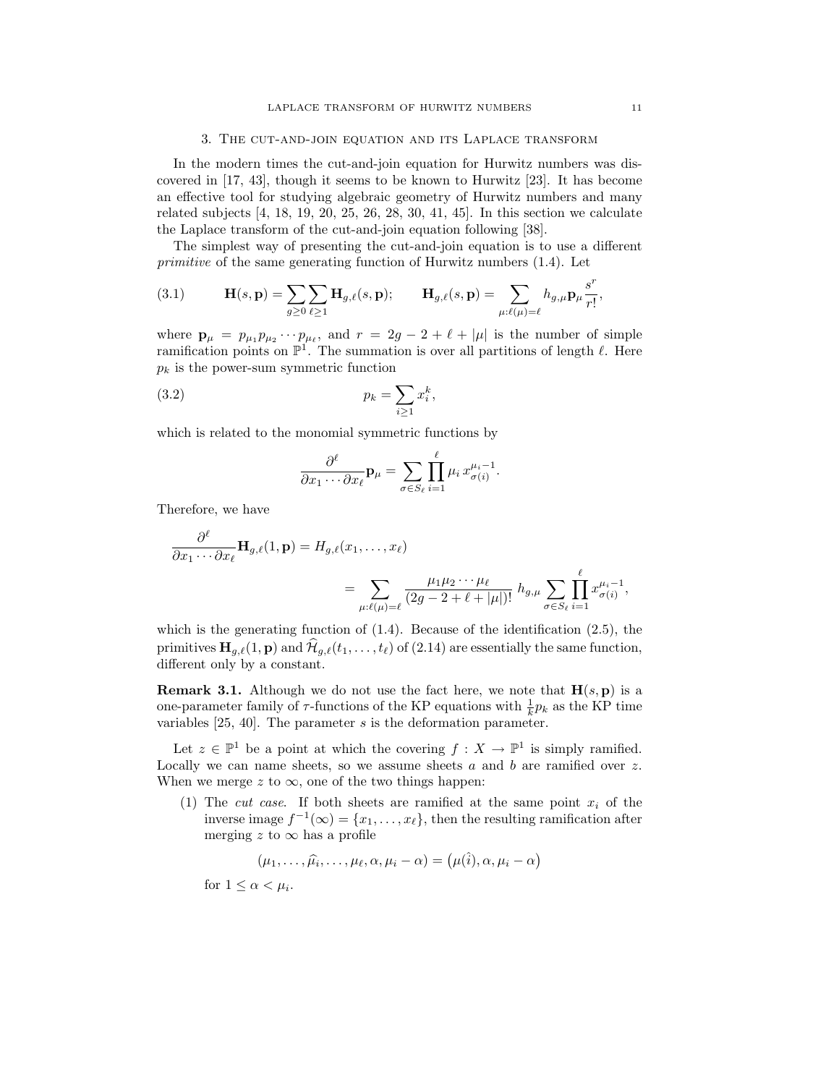#### 3. The cut-and-join equation and its Laplace transform

In the modern times the cut-and-join equation for Hurwitz numbers was discovered in [17, 43], though it seems to be known to Hurwitz [23]. It has become an effective tool for studying algebraic geometry of Hurwitz numbers and many related subjects [4, 18, 19, 20, 25, 26, 28, 30, 41, 45]. In this section we calculate the Laplace transform of the cut-and-join equation following [38].

The simplest way of presenting the cut-and-join equation is to use a different primitive of the same generating function of Hurwitz numbers (1.4). Let

(3.1) 
$$
\mathbf{H}(s, \mathbf{p}) = \sum_{g \geq 0} \sum_{\ell \geq 1} \mathbf{H}_{g,\ell}(s, \mathbf{p}); \qquad \mathbf{H}_{g,\ell}(s, \mathbf{p}) = \sum_{\mu:\ell(\mu)=\ell} h_{g,\mu} \mathbf{p}_{\mu} \frac{s^r}{r!},
$$

where  $\mathbf{p}_{\mu} = p_{\mu_1} p_{\mu_2} \cdots p_{\mu_{\ell}}$ , and  $r = 2g - 2 + \ell + |\mu|$  is the number of simple ramification points on  $\mathbb{P}^1$ . The summation is over all partitions of length  $\ell$ . Here  $p_k$  is the power-sum symmetric function

$$
(3.2) \t\t\t\t\t p_k = \sum_{i \ge 1} x_i^k,
$$

which is related to the monomial symmetric functions by

$$
\frac{\partial^{\ell}}{\partial x_1 \cdots \partial x_{\ell}} \mathbf{p}_{\mu} = \sum_{\sigma \in S_{\ell}} \prod_{i=1}^{\ell} \mu_i x_{\sigma(i)}^{\mu_i - 1}.
$$

Therefore, we have

$$
\frac{\partial^{\ell}}{\partial x_1 \cdots \partial x_{\ell}} \mathbf{H}_{g,\ell}(1, \mathbf{p}) = H_{g,\ell}(x_1, \dots, x_{\ell})
$$
\n
$$
= \sum_{\mu:\ell(\mu)=\ell} \frac{\mu_1 \mu_2 \cdots \mu_{\ell}}{(2g-2+\ell+|\mu|)!} h_{g,\mu} \sum_{\sigma \in S_{\ell}} \prod_{i=1}^{\ell} x_{\sigma(i)}^{\mu_i-1},
$$

which is the generating function of  $(1.4)$ . Because of the identification  $(2.5)$ , the primitives  $\mathbf{H}_{g,\ell}(1, \mathbf{p})$  and  $\widehat{\mathcal{H}}_{g,\ell}(t_1, \ldots, t_\ell)$  of (2.14) are essentially the same function, different only by a constant.

**Remark 3.1.** Although we do not use the fact here, we note that  $H(s, p)$  is a one-parameter family of  $\tau$ -functions of the KP equations with  $\frac{1}{k}p_k$  as the KP time variables  $[25, 40]$ . The parameter s is the deformation parameter.

Let  $z \in \mathbb{P}^1$  be a point at which the covering  $f : X \to \mathbb{P}^1$  is simply ramified. Locally we can name sheets, so we assume sheets a and b are ramified over  $z$ . When we merge z to  $\infty$ , one of the two things happen:

(1) The cut case. If both sheets are ramified at the same point  $x_i$  of the inverse image  $f^{-1}(\infty) = \{x_1, \ldots, x_\ell\}$ , then the resulting ramification after merging z to  $\infty$  has a profile

$$
(\mu_1,\ldots,\widehat{\mu_i},\ldots,\mu_\ell,\alpha,\mu_i-\alpha)=(\mu(\widehat{i}),\alpha,\mu_i-\alpha)
$$

for  $1 \leq \alpha < \mu_i$ .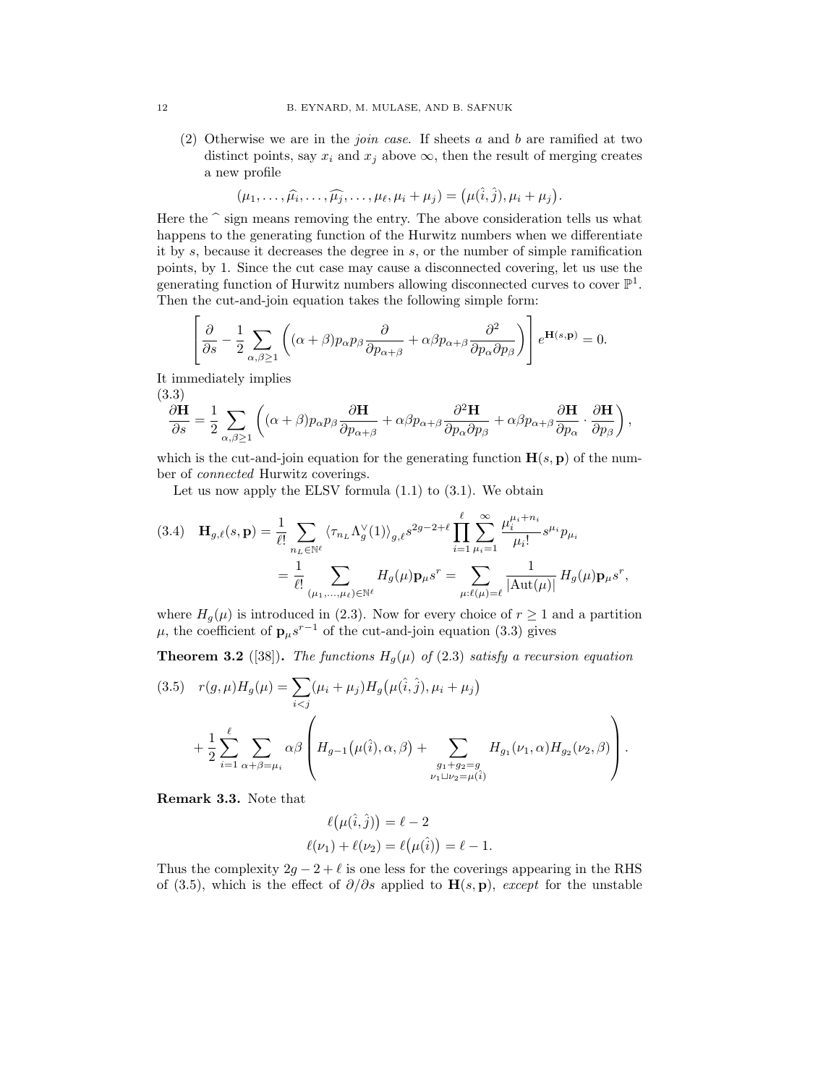(2) Otherwise we are in the *join case*. If sheets a and b are ramified at two distinct points, say  $x_i$  and  $x_j$  above  $\infty$ , then the result of merging creates a new profile

$$
(\mu_1,\ldots,\widehat{\mu_i},\ldots,\widehat{\mu_j},\ldots,\mu_\ell,\mu_i+\mu_j)=(\mu(\widehat{i},\widehat{j}),\mu_i+\mu_j).
$$

Here the  $\hat{\ }$  sign means removing the entry. The above consideration tells us what<br>happens to the concreting function of the Hurwitz numbers when we differentiate happens to the generating function of the Hurwitz numbers when we differentiate it by  $s$ , because it decreases the degree in  $s$ , or the number of simple ramification points, by 1. Since the cut case may cause a disconnected covering, let us use the generating function of Hurwitz numbers allowing disconnected curves to cover  $\mathbb{P}^1$ . Then the cut-and-join equation takes the following simple form:

$$
\left[\frac{\partial}{\partial s} - \frac{1}{2} \sum_{\alpha,\beta \ge 1} \left( (\alpha + \beta) p_{\alpha} p_{\beta} \frac{\partial}{\partial p_{\alpha+\beta}} + \alpha \beta p_{\alpha+\beta} \frac{\partial^2}{\partial p_{\alpha} \partial p_{\beta}} \right) \right] e^{\mathbf{H}(s,\mathbf{p})} = 0.
$$

It immediately implies

(3.3)  
\n
$$
\frac{\partial \mathbf{H}}{\partial s} = \frac{1}{2} \sum_{\alpha,\beta \ge 1} \left( (\alpha + \beta) p_{\alpha} p_{\beta} \frac{\partial \mathbf{H}}{\partial p_{\alpha+\beta}} + \alpha \beta p_{\alpha+\beta} \frac{\partial^2 \mathbf{H}}{\partial p_{\alpha} \partial p_{\beta}} + \alpha \beta p_{\alpha+\beta} \frac{\partial \mathbf{H}}{\partial p_{\alpha}} \cdot \frac{\partial \mathbf{H}}{\partial p_{\beta}} \right),
$$

which is the cut-and-join equation for the generating function  $\mathbf{H}(s, \mathbf{p})$  of the number of connected Hurwitz coverings.

Let us now apply the ELSV formula  $(1.1)$  to  $(3.1)$ . We obtain

$$
(3.4) \quad \mathbf{H}_{g,\ell}(s,\mathbf{p}) = \frac{1}{\ell!} \sum_{n_L \in \mathbb{N}^\ell} \langle \tau_{n_L} \Lambda_g^{\vee}(1) \rangle_{g,\ell} s^{2g-2+\ell} \prod_{i=1}^{\ell} \sum_{\mu_i=1}^{\infty} \frac{\mu_i^{\mu_i+n_i}}{\mu_i!} s^{\mu_i} p_{\mu_i}
$$

$$
= \frac{1}{\ell!} \sum_{(\mu_1,\dots,\mu_\ell) \in \mathbb{N}^\ell} H_g(\mu) \mathbf{p}_{\mu} s^r = \sum_{\mu:\ell(\mu)=\ell} \frac{1}{|\mathrm{Aut}(\mu)|} H_g(\mu) \mathbf{p}_{\mu} s^r,
$$

where  $H_g(\mu)$  is introduced in (2.3). Now for every choice of  $r \ge 1$  and a partition  $\mu$ , the coefficient of  $\mathbf{p}_{\mu} s^{r-1}$  of the cut-and-join equation (3.3) gives

**Theorem 3.2** ([38]). The functions  $H<sub>g</sub>(\mu)$  of (2.3) satisfy a recursion equation

(3.5) 
$$
r(g,\mu)H_g(\mu) = \sum_{i < j} (\mu_i + \mu_j)H_g(\mu(\hat{i}, \hat{j}), \mu_i + \mu_j) + \frac{1}{2} \sum_{i=1}^{\ell} \sum_{\alpha + \beta = \mu_i} \alpha \beta \left( H_{g-1}(\mu(\hat{i}), \alpha, \beta) + \sum_{\substack{g_1 + g_2 = g \\ \nu_1 \sqcup \nu_2 = \mu(\hat{i})}} H_{g_1}(\nu_1, \alpha) H_{g_2}(\nu_2, \beta) \right).
$$

Remark 3.3. Note that

$$
\ell(\mu(\hat{i}, \hat{j})) = \ell - 2
$$
  

$$
\ell(\nu_1) + \ell(\nu_2) = \ell(\mu(\hat{i})) = \ell - 1.
$$

Thus the complexity  $2g - 2 + \ell$  is one less for the coverings appearing in the RHS of (3.5), which is the effect of  $\partial/\partial s$  applied to  $\mathbf{H}(s, \mathbf{p})$ , except for the unstable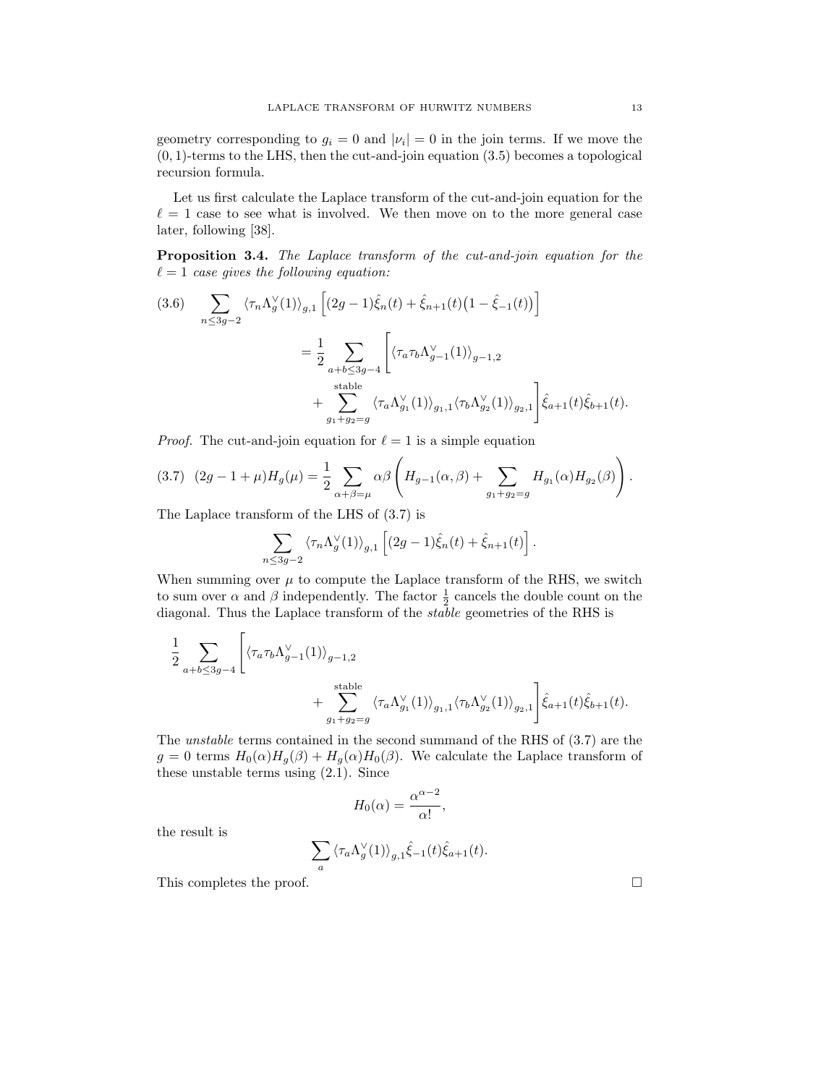geometry corresponding to  $g_i = 0$  and  $|\nu_i| = 0$  in the join terms. If we move the  $(0, 1)$ -terms to the LHS, then the cut-and-join equation  $(3.5)$  becomes a topological recursion formula.

Let us first calculate the Laplace transform of the cut-and-join equation for the  $\ell = 1$  case to see what is involved. We then move on to the more general case later, following [38].

Proposition 3.4. The Laplace transform of the cut-and-join equation for the  $\ell = 1$  case gives the following equation:

$$
(3.6) \sum_{n \leq 3g-2} \langle \tau_n \Lambda_g^{\vee}(1) \rangle_{g,1} \left[ (2g-1)\hat{\xi}_n(t) + \hat{\xi}_{n+1}(t) \left(1 - \hat{\xi}_{-1}(t)\right) \right]
$$
  

$$
= \frac{1}{2} \sum_{\substack{a+b \leq 3g-4 \\ \text{stable}}} \left[ \langle \tau_a \tau_b \Lambda_{g-1}^{\vee}(1) \rangle_{g-1,2} + \sum_{\substack{s \text{table} \\ g_1 + g_2 = g}} \langle \tau_a \Lambda_{g_1}^{\vee}(1) \rangle_{g_1,1} \langle \tau_b \Lambda_{g_2}^{\vee}(1) \rangle_{g_2,1} \right] \hat{\xi}_{a+1}(t) \hat{\xi}_{b+1}(t).
$$

*Proof.* The cut-and-join equation for  $\ell = 1$  is a simple equation

$$
(3.7) (2g - 1 + \mu)H_g(\mu) = \frac{1}{2} \sum_{\alpha + \beta = \mu} \alpha \beta \left( H_{g-1}(\alpha, \beta) + \sum_{g_1 + g_2 = g} H_{g_1}(\alpha) H_{g_2}(\beta) \right).
$$

The Laplace transform of the LHS of (3.7) is

$$
\sum_{n\leq 3g-2} \left\langle \tau_n \Lambda_g^{\vee}(1) \right\rangle_{g,1} \left[ (2g-1)\hat{\xi}_n(t) + \hat{\xi}_{n+1}(t) \right].
$$

When summing over  $\mu$  to compute the Laplace transform of the RHS, we switch to sum over  $\alpha$  and  $\beta$  independently. The factor  $\frac{1}{2}$  cancels the double count on the diagonal. Thus the Laplace transform of the stable geometries of the RHS is

$$
\begin{aligned} \frac{1}{2}\sum_{a+b\leq 3g-4}\Bigg[&\big\langle \tau_a\tau_b\Lambda_{g-1}^{\vee}(1)\big\rangle_{g-1,2}\\ &+\sum_{g_1+g_2=g}^{\text{stable}}\big\langle \tau_a\Lambda_{g_1}^{\vee}(1)\big\rangle_{g_1,1}\big\langle \tau_b\Lambda_{g_2}^{\vee}(1)\big\rangle_{g_2,1}\Bigg]\hat{\xi}_{a+1}(t)\hat{\xi}_{b+1}(t). \end{aligned}
$$

The unstable terms contained in the second summand of the RHS of (3.7) are the  $g = 0$  terms  $H_0(\alpha)H_q(\beta) + H_q(\alpha)H_0(\beta)$ . We calculate the Laplace transform of these unstable terms using (2.1). Since

$$
H_0(\alpha) = \frac{\alpha^{\alpha - 2}}{\alpha!},
$$

the result is

$$
\sum_{a} \langle \tau_a \Lambda_g^{\vee}(1) \rangle_{g,1} \hat{\xi}_{-1}(t) \hat{\xi}_{a+1}(t).
$$

This completes the proof.  $\Box$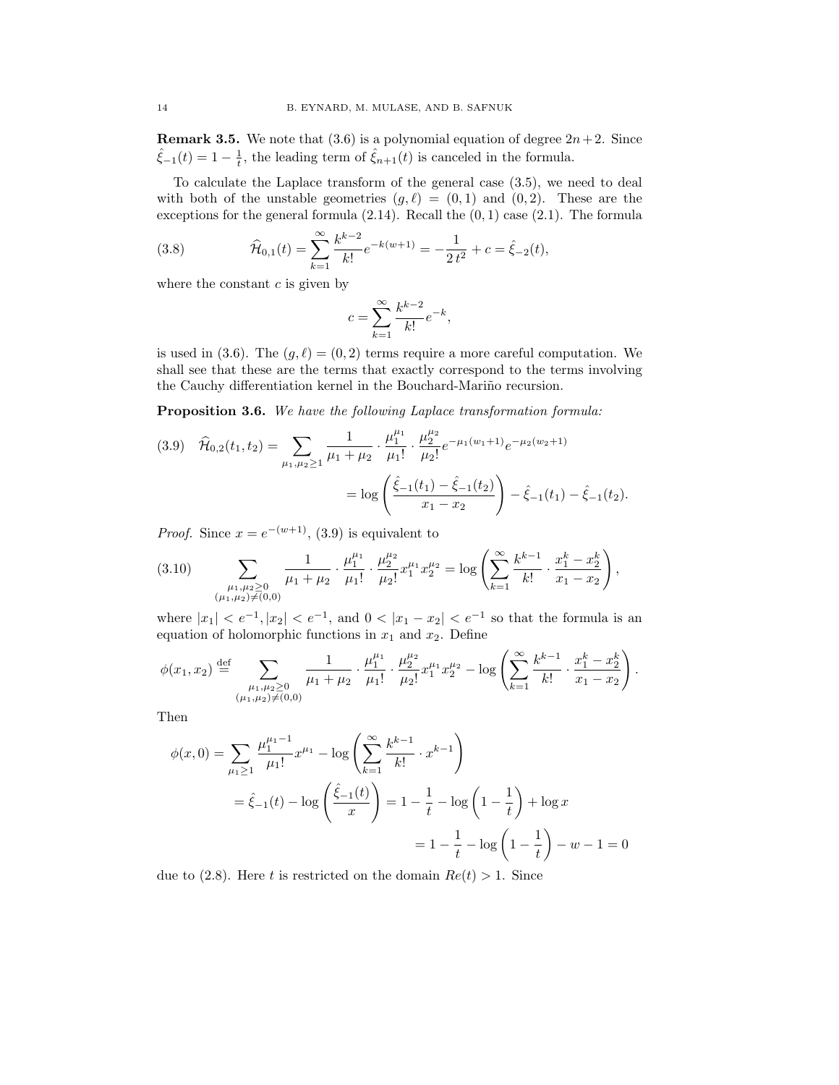**Remark 3.5.** We note that  $(3.6)$  is a polynomial equation of degree  $2n+2$ . Since  $\hat{\xi}_{-1}(t) = 1 - \frac{1}{t}$ , the leading term of  $\hat{\xi}_{n+1}(t)$  is canceled in the formula.

To calculate the Laplace transform of the general case (3.5), we need to deal with both of the unstable geometries  $(g, \ell) = (0, 1)$  and  $(0, 2)$ . These are the exceptions for the general formula  $(2.14)$ . Recall the  $(0, 1)$  case  $(2.1)$ . The formula

(3.8) 
$$
\widehat{\mathcal{H}}_{0,1}(t) = \sum_{k=1}^{\infty} \frac{k^{k-2}}{k!} e^{-k(w+1)} = -\frac{1}{2t^2} + c = \widehat{\xi}_{-2}(t),
$$

where the constant  $c$  is given by

$$
c=\sum_{k=1}^\infty \frac{k^{k-2}}{k!}e^{-k},
$$

is used in (3.6). The  $(g, \ell) = (0, 2)$  terms require a more careful computation. We shall see that these are the terms that exactly correspond to the terms involving the Cauchy differentiation kernel in the Bouchard-Mariño recursion.

Proposition 3.6. We have the following Laplace transformation formula:

$$
(3.9) \quad \widehat{\mathcal{H}}_{0,2}(t_1, t_2) = \sum_{\mu_1, \mu_2 \ge 1} \frac{1}{\mu_1 + \mu_2} \cdot \frac{\mu_1^{\mu_1}}{\mu_1!} \cdot \frac{\mu_2^{\mu_2}}{\mu_2!} e^{-\mu_1(w_1 + 1)} e^{-\mu_2(w_2 + 1)} = \log \left( \frac{\hat{\xi}_{-1}(t_1) - \hat{\xi}_{-1}(t_2)}{x_1 - x_2} \right) - \hat{\xi}_{-1}(t_1) - \hat{\xi}_{-1}(t_2).
$$

*Proof.* Since  $x = e^{-(w+1)}$ , (3.9) is equivalent to

$$
(3.10) \qquad \sum_{\substack{\mu_1,\mu_2 \ge 0 \\ (\mu_1,\mu_2) \ne (0,0)}} \frac{1}{\mu_1 + \mu_2} \cdot \frac{\mu_1^{\mu_1}}{\mu_1!} \cdot \frac{\mu_2^{\mu_2}}{\mu_2!} x_1^{\mu_1} x_2^{\mu_2} = \log \left( \sum_{k=1}^{\infty} \frac{k^{k-1}}{k!} \cdot \frac{x_1^k - x_2^k}{x_1 - x_2} \right),
$$

where  $|x_1| < e^{-1}$ ,  $|x_2| < e^{-1}$ , and  $0 < |x_1 - x_2| < e^{-1}$  so that the formula is an equation of holomorphic functions in  $x_1$  and  $x_2$ . Define

$$
\phi(x_1, x_2) \stackrel{\text{def}}{=} \sum_{\substack{\mu_1, \mu_2 \ge 0 \\ (\mu_1, \mu_2) \ne (0, 0)}} \frac{1}{\mu_1 + \mu_2} \cdot \frac{\mu_1^{\mu_1}}{\mu_1!} \cdot \frac{\mu_2^{\mu_2}}{\mu_2!} x_1^{\mu_1} x_2^{\mu_2} - \log \left( \sum_{k=1}^{\infty} \frac{k^{k-1}}{k!} \cdot \frac{x_1^k - x_2^k}{x_1 - x_2} \right).
$$

Then

$$
\phi(x,0) = \sum_{\mu_1 \ge 1} \frac{\mu_1^{\mu_1 - 1}}{\mu_1!} x^{\mu_1} - \log \left( \sum_{k=1}^{\infty} \frac{k^{k-1}}{k!} \cdot x^{k-1} \right)
$$
  
=  $\hat{\xi}_{-1}(t) - \log \left( \frac{\hat{\xi}_{-1}(t)}{x} \right) = 1 - \frac{1}{t} - \log \left( 1 - \frac{1}{t} \right) + \log x$   
=  $1 - \frac{1}{t} - \log \left( 1 - \frac{1}{t} \right) - w - 1 = 0$ 

due to (2.8). Here t is restricted on the domain  $Re(t) > 1$ . Since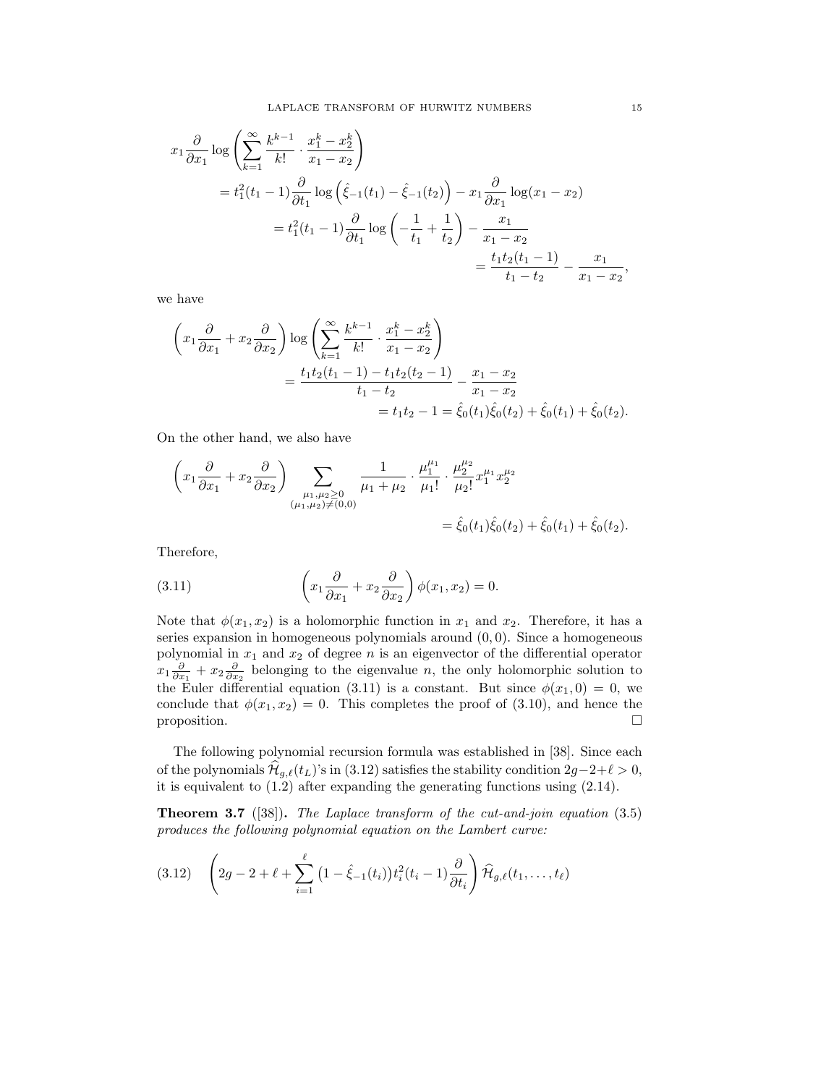$$
x_1 \frac{\partial}{\partial x_1} \log \left( \sum_{k=1}^{\infty} \frac{k^{k-1}}{k!} \cdot \frac{x_1^k - x_2^k}{x_1 - x_2} \right)
$$
  
=  $t_1^2 (t_1 - 1) \frac{\partial}{\partial t_1} \log \left( \hat{\xi}_{-1}(t_1) - \hat{\xi}_{-1}(t_2) \right) - x_1 \frac{\partial}{\partial x_1} \log(x_1 - x_2)$   
=  $t_1^2 (t_1 - 1) \frac{\partial}{\partial t_1} \log \left( -\frac{1}{t_1} + \frac{1}{t_2} \right) - \frac{x_1}{x_1 - x_2}$   
=  $\frac{t_1 t_2 (t_1 - 1)}{t_1 - t_2} - \frac{x_1}{x_1 - x_2}$ 

we have

$$
\left(x_1\frac{\partial}{\partial x_1} + x_2\frac{\partial}{\partial x_2}\right) \log \left(\sum_{k=1}^{\infty} \frac{k^{k-1}}{k!} \cdot \frac{x_1^k - x_2^k}{x_1 - x_2}\right)
$$
  
= 
$$
\frac{t_1 t_2 (t_1 - 1) - t_1 t_2 (t_2 - 1)}{t_1 - t_2} - \frac{x_1 - x_2}{x_1 - x_2}
$$
  
= 
$$
t_1 t_2 - 1 = \hat{\xi}_0(t_1) \hat{\xi}_0(t_2) + \hat{\xi}_0(t_1) + \hat{\xi}_0(t_2).
$$

On the other hand, we also have

$$
\left(x_1\frac{\partial}{\partial x_1} + x_2\frac{\partial}{\partial x_2}\right) \sum_{\substack{\mu_1,\mu_2\geq 0\\(\mu_1,\mu_2)\neq(0,0)}} \frac{1}{\mu_1 + \mu_2} \cdot \frac{\mu_1^{\mu_1}}{\mu_1!} \cdot \frac{\mu_2^{\mu_2}}{\mu_2!} x_1^{\mu_1} x_2^{\mu_2}
$$
  
=  $\hat{\xi}_0(t_1)\hat{\xi}_0(t_2) + \hat{\xi}_0(t_1) + \hat{\xi}_0(t_2).$ 

Therefore,

(3.11) 
$$
\left(x_1\frac{\partial}{\partial x_1} + x_2\frac{\partial}{\partial x_2}\right)\phi(x_1, x_2) = 0.
$$

Note that  $\phi(x_1, x_2)$  is a holomorphic function in  $x_1$  and  $x_2$ . Therefore, it has a series expansion in homogeneous polynomials around  $(0, 0)$ . Since a homogeneous polynomial in  $x_1$  and  $x_2$  of degree n is an eigenvector of the differential operator  $x_1 \frac{\partial}{\partial x_1} + x_2 \frac{\partial}{\partial x_2}$  belonging to the eigenvalue n, the only holomorphic solution to the Euler differential equation (3.11) is a constant. But since  $\phi(x_1, 0) = 0$ , we conclude that  $\phi(x_1, x_2) = 0$ . This completes the proof of (3.10), and hence the proposition.  $\square$ 

The following polynomial recursion formula was established in [38]. Since each of the polynomials  $\mathcal{H}_{g,\ell}(t_L)$ 's in (3.12) satisfies the stability condition 2g−2+ $\ell > 0$ , it is equivalent to  $(1.2)$  after expanding the generating functions using  $(2.14)$ .

**Theorem 3.7** ([38]). The Laplace transform of the cut-and-join equation (3.5) produces the following polynomial equation on the Lambert curve:

$$
(3.12) \quad \left(2g - 2 + \ell + \sum_{i=1}^{\ell} \left(1 - \hat{\xi}_{-1}(t_i)\right) t_i^2(t_i - 1) \frac{\partial}{\partial t_i}\right) \widehat{\mathcal{H}}_{g,\ell}(t_1,\ldots,t_{\ell})
$$

,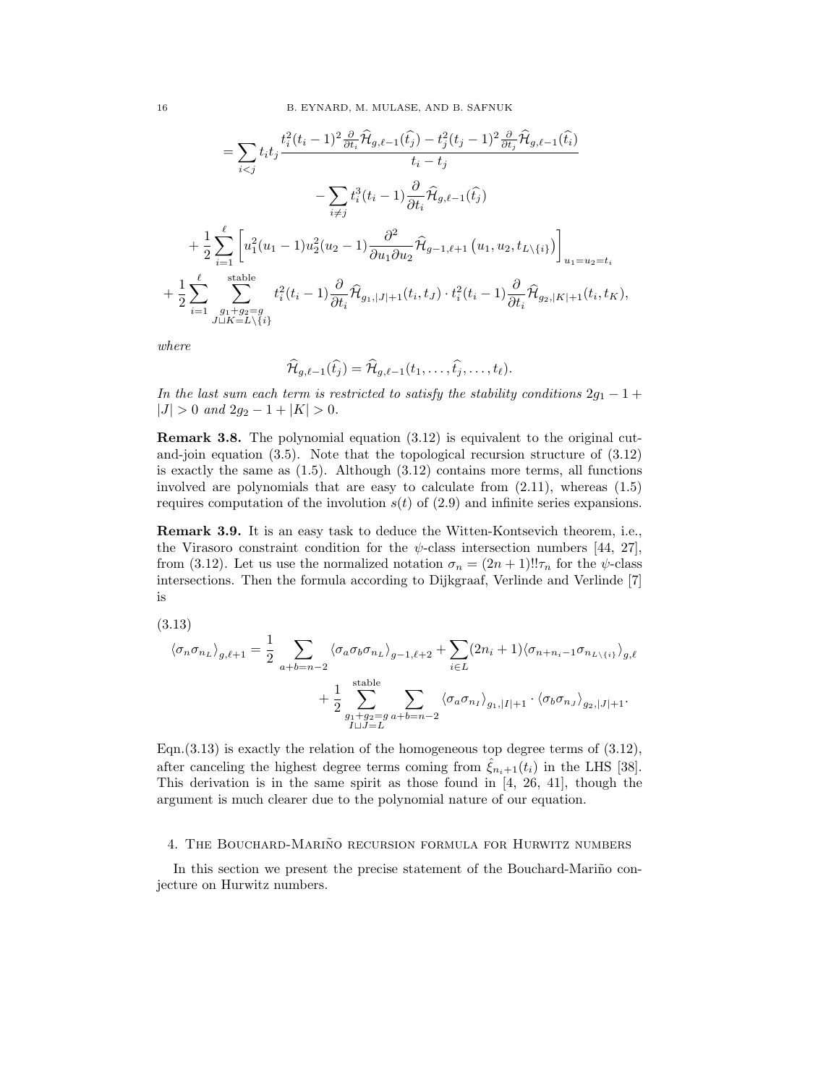$$
= \sum_{i < j} t_i t_j \frac{t_i^2 (t_i - 1)^2 \frac{\partial}{\partial t_i} \widehat{\mathcal{H}}_{g,\ell-1}(\widehat{t}_j) - t_j^2 (t_j - 1)^2 \frac{\partial}{\partial t_j} \widehat{\mathcal{H}}_{g,\ell-1}(\widehat{t}_i)}{t_i - t_j} \newline - \sum_{i \neq j} t_i^3 (t_i - 1) \frac{\partial}{\partial t_i} \widehat{\mathcal{H}}_{g,\ell-1}(\widehat{t}_j) \newline + \frac{1}{2} \sum_{i=1}^{\ell} \left[ u_1^2 (u_1 - 1) u_2^2 (u_2 - 1) \frac{\partial^2}{\partial u_1 \partial u_2} \widehat{\mathcal{H}}_{g-1,\ell+1} (u_1, u_2, t_{L \setminus \{i\}}) \right]_{u_1 = u_2 = t_i} \newline + \frac{1}{2} \sum_{i=1}^{\ell} \sum_{\substack{g_1 + g_2 = g \\ J \sqcup K = L \setminus \{i\}}}^{stable} t_i^2 (t_i - 1) \frac{\partial}{\partial t_i} \widehat{\mathcal{H}}_{g_1, |J| + 1}(t_i, t_J) \cdot t_i^2 (t_i - 1) \frac{\partial}{\partial t_i} \widehat{\mathcal{H}}_{g_2, |K| + 1}(t_i, t_K),
$$

where

$$
\widehat{\mathcal{H}}_{g,\ell-1}(\widehat{t_j})=\widehat{\mathcal{H}}_{g,\ell-1}(t_1,\ldots,\widehat{t_j},\ldots,t_\ell).
$$

In the last sum each term is restricted to satisfy the stability conditions  $2g_1 - 1 +$  $|J| > 0$  and  $2g_2 - 1 + |K| > 0$ .

Remark 3.8. The polynomial equation (3.12) is equivalent to the original cutand-join equation (3.5). Note that the topological recursion structure of (3.12) is exactly the same as  $(1.5)$ . Although  $(3.12)$  contains more terms, all functions involved are polynomials that are easy to calculate from (2.11), whereas (1.5) requires computation of the involution  $s(t)$  of (2.9) and infinite series expansions.

Remark 3.9. It is an easy task to deduce the Witten-Kontsevich theorem, i.e., the Virasoro constraint condition for the  $\psi$ -class intersection numbers [44, 27], from (3.12). Let us use the normalized notation  $\sigma_n = (2n+1)!!\tau_n$  for the  $\psi$ -class intersections. Then the formula according to Dijkgraaf, Verlinde and Verlinde [7] is

(3.13)

$$
\langle \sigma_n \sigma_{n_L} \rangle_{g, \ell+1} = \frac{1}{2} \sum_{a+b=n-2} \langle \sigma_a \sigma_b \sigma_{n_L} \rangle_{g-1, \ell+2} + \sum_{i \in L} (2n_i + 1) \langle \sigma_{n+n_i-1} \sigma_{n_{L \setminus \{i\}}} \rangle_{g, \ell} + \frac{1}{2} \sum_{\substack{g_1+g_2=g \\ I \sqcup J=L}}^{\text{stable}} \sum_{a+b=n-2} \langle \sigma_a \sigma_{n_I} \rangle_{g_1, |I|+1} \cdot \langle \sigma_b \sigma_{n_J} \rangle_{g_2, |J|+1}.
$$

Eqn.  $(3.13)$  is exactly the relation of the homogeneous top degree terms of  $(3.12)$ , after canceling the highest degree terms coming from  $\hat{\xi}_{n_i+1}(t_i)$  in the LHS [38]. This derivation is in the same spirit as those found in [4, 26, 41], though the argument is much clearer due to the polynomial nature of our equation.

#### 4. THE BOUCHARD-MARIÑO RECURSION FORMULA FOR HURWITZ NUMBERS

In this section we present the precise statement of the Bouchard-Mariño conjecture on Hurwitz numbers.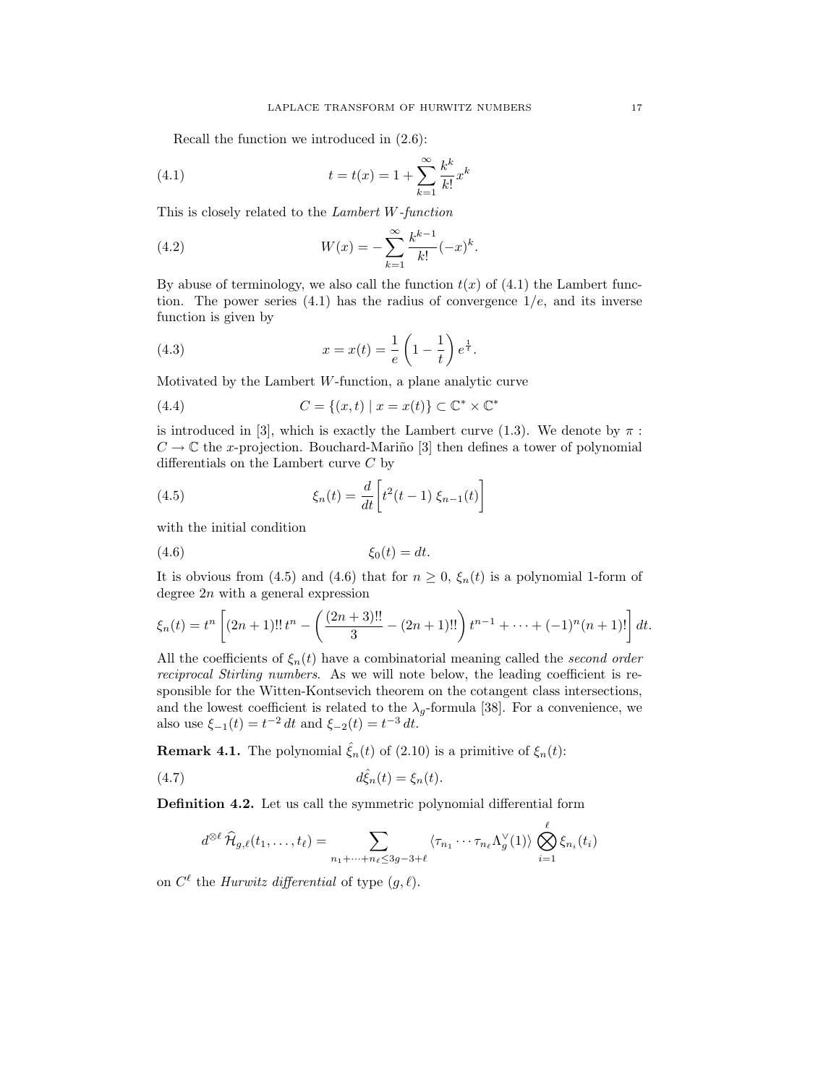Recall the function we introduced in (2.6):

(4.1) 
$$
t = t(x) = 1 + \sum_{k=1}^{\infty} \frac{k^k}{k!} x^k
$$

This is closely related to the Lambert W-function

(4.2) 
$$
W(x) = -\sum_{k=1}^{\infty} \frac{k^{k-1}}{k!} (-x)^k.
$$

By abuse of terminology, we also call the function  $t(x)$  of (4.1) the Lambert function. The power series  $(4.1)$  has the radius of convergence  $1/e$ , and its inverse function is given by

(4.3) 
$$
x = x(t) = \frac{1}{e} \left( 1 - \frac{1}{t} \right) e^{\frac{1}{t}}.
$$

Motivated by the Lambert  $W$ -function, a plane analytic curve

(4.4) 
$$
C = \{(x, t) \mid x = x(t)\} \subset \mathbb{C}^* \times \mathbb{C}^*
$$

is introduced in [3], which is exactly the Lambert curve (1.3). We denote by  $\pi$ :  $C \to \mathbb{C}$  the x-projection. Bouchard-Mariño [3] then defines a tower of polynomial differentials on the Lambert curve C by

(4.5) 
$$
\xi_n(t) = \frac{d}{dt} \left[ t^2(t-1) \xi_{n-1}(t) \right]
$$

with the initial condition

$$
(4.6) \t\t\t \xi_0(t) = dt.
$$

It is obvious from (4.5) and (4.6) that for  $n \geq 0$ ,  $\xi_n(t)$  is a polynomial 1-form of degree  $2n$  with a general expression

$$
\xi_n(t) = t^n \left[ (2n+1)!! t^n - \left( \frac{(2n+3)!!}{3} - (2n+1)!! \right) t^{n-1} + \dots + (-1)^n (n+1)! \right] dt.
$$

All the coefficients of  $\xi_n(t)$  have a combinatorial meaning called the second order reciprocal Stirling numbers. As we will note below, the leading coefficient is responsible for the Witten-Kontsevich theorem on the cotangent class intersections, and the lowest coefficient is related to the  $\lambda_g$ -formula [38]. For a convenience, we also use  $\xi_{-1}(t) = t^{-2} dt$  and  $\xi_{-2}(t) = t^{-3} dt$ .

**Remark 4.1.** The polynomial  $\hat{\xi}_n(t)$  of (2.10) is a primitive of  $\xi_n(t)$ :

$$
d\hat{\xi}_n(t) = \xi_n(t).
$$

Definition 4.2. Let us call the symmetric polynomial differential form

$$
d^{\otimes \ell} \widehat{\mathcal{H}}_{g,\ell}(t_1,\ldots,t_\ell) = \sum_{n_1+\cdots+n_\ell \leq 3g-3+\ell} \langle \tau_{n_1} \cdots \tau_{n_\ell} \Lambda_g^{\vee}(1) \rangle \bigotimes_{i=1}^{\ell} \xi_{n_i}(t_i)
$$

on  $C^{\ell}$  the *Hurwitz differential* of type  $(g, \ell)$ .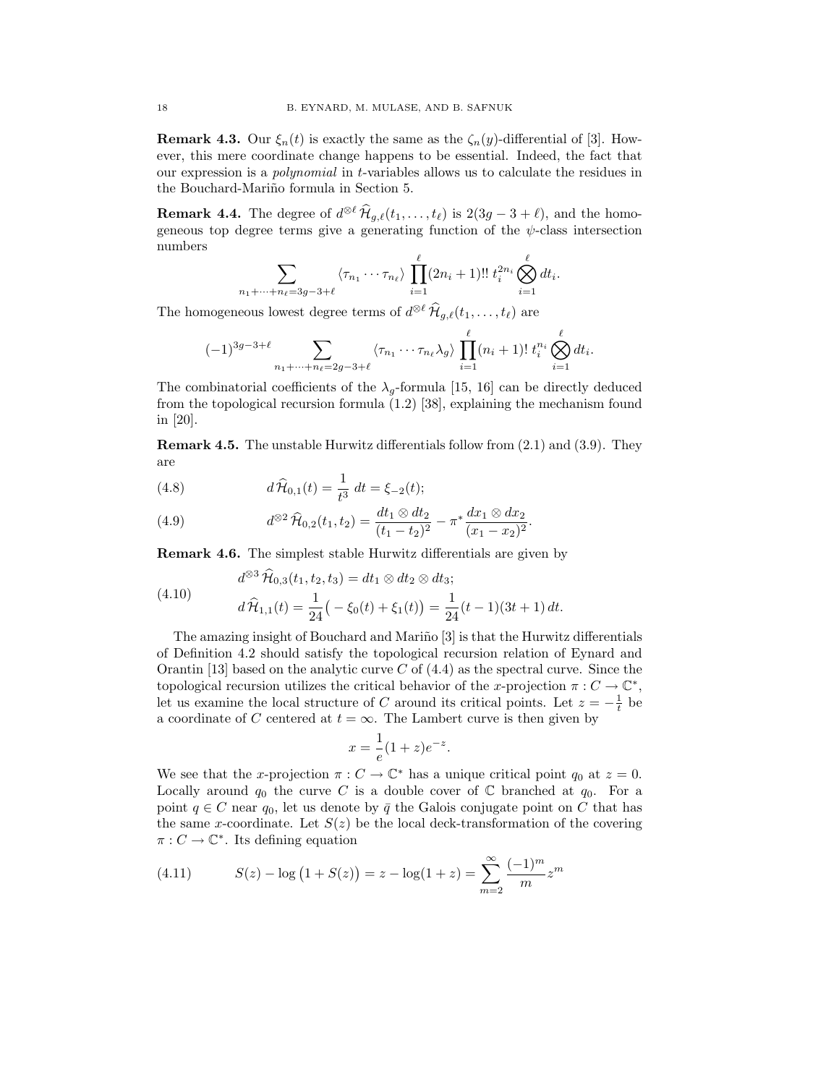**Remark 4.3.** Our  $\xi_n(t)$  is exactly the same as the  $\zeta_n(y)$ -differential of [3]. However, this mere coordinate change happens to be essential. Indeed, the fact that our expression is a polynomial in t-variables allows us to calculate the residues in the Bouchard-Mariño formula in Section 5.

**Remark 4.4.** The degree of  $d^{\otimes \ell} \widehat{H}_{g,\ell}(t_1, \ldots, t_\ell)$  is  $2(3g - 3 + \ell)$ , and the homogeneous top degree terms give a generating function of the  $\psi$ -class intersection numbers

$$
\sum_{n_1 + \dots + n_\ell = 3g - 3 + \ell} \langle \tau_{n_1} \cdots \tau_{n_\ell} \rangle \prod_{i=1}^\ell (2n_i + 1)!! \ t_i^{2n_i} \bigotimes_{i=1}^\ell dt_i.
$$

The homogeneous lowest degree terms of  $d^{\otimes \ell} \widehat{H}_{g,\ell}(t_1,\ldots,t_\ell)$  are

$$
(-1)^{3g-3+\ell}\sum_{n_1+\cdots+n_\ell=2g-3+\ell}\langle\tau_{n_1}\cdots\tau_{n_\ell}\lambda_g\rangle\prod_{i=1}^\ell(n_i+1)!\ t_i^{n_i}\bigotimes_{i=1}^\ell dt_i.
$$

The combinatorial coefficients of the  $\lambda_q$ -formula [15, 16] can be directly deduced from the topological recursion formula (1.2) [38], explaining the mechanism found in [20].

Remark 4.5. The unstable Hurwitz differentials follow from (2.1) and (3.9). They are

(4.8) 
$$
d\hat{\mathcal{H}}_{0,1}(t) = \frac{1}{t^3} dt = \xi_{-2}(t);
$$

(4.9) 
$$
d^{\otimes 2} \widehat{\mathcal{H}}_{0,2}(t_1, t_2) = \frac{dt_1 \otimes dt_2}{(t_1 - t_2)^2} - \pi^* \frac{dx_1 \otimes dx_2}{(x_1 - x_2)^2}.
$$

Remark 4.6. The simplest stable Hurwitz differentials are given by

(4.10) 
$$
d^{\otimes 3} \widehat{\mathcal{H}}_{0,3}(t_1, t_2, t_3) = dt_1 \otimes dt_2 \otimes dt_3; d \widehat{\mathcal{H}}_{1,1}(t) = \frac{1}{24} \big( -\xi_0(t) + \xi_1(t) \big) = \frac{1}{24} (t - 1)(3t + 1) dt.
$$

The amazing insight of Bouchard and Mariño [3] is that the Hurwitz differentials of Definition 4.2 should satisfy the topological recursion relation of Eynard and Orantin [13] based on the analytic curve  $C$  of  $(4.4)$  as the spectral curve. Since the topological recursion utilizes the critical behavior of the x-projection  $\pi: C \to \mathbb{C}^*$ , let us examine the local structure of C around its critical points. Let  $z = -\frac{1}{t}$  be a coordinate of C centered at  $t = \infty$ . The Lambert curve is then given by

$$
x = \frac{1}{e}(1+z)e^{-z}.
$$

We see that the x-projection  $\pi: C \to \mathbb{C}^*$  has a unique critical point  $q_0$  at  $z = 0$ . Locally around  $q_0$  the curve C is a double cover of C branched at  $q_0$ . For a point  $q \in C$  near  $q_0$ , let us denote by  $\bar{q}$  the Galois conjugate point on C that has the same x-coordinate. Let  $S(z)$  be the local deck-transformation of the covering  $\pi: C \to \mathbb{C}^*$ . Its defining equation

(4.11) 
$$
S(z) - \log(1 + S(z)) = z - \log(1 + z) = \sum_{m=2}^{\infty} \frac{(-1)^m}{m} z^m
$$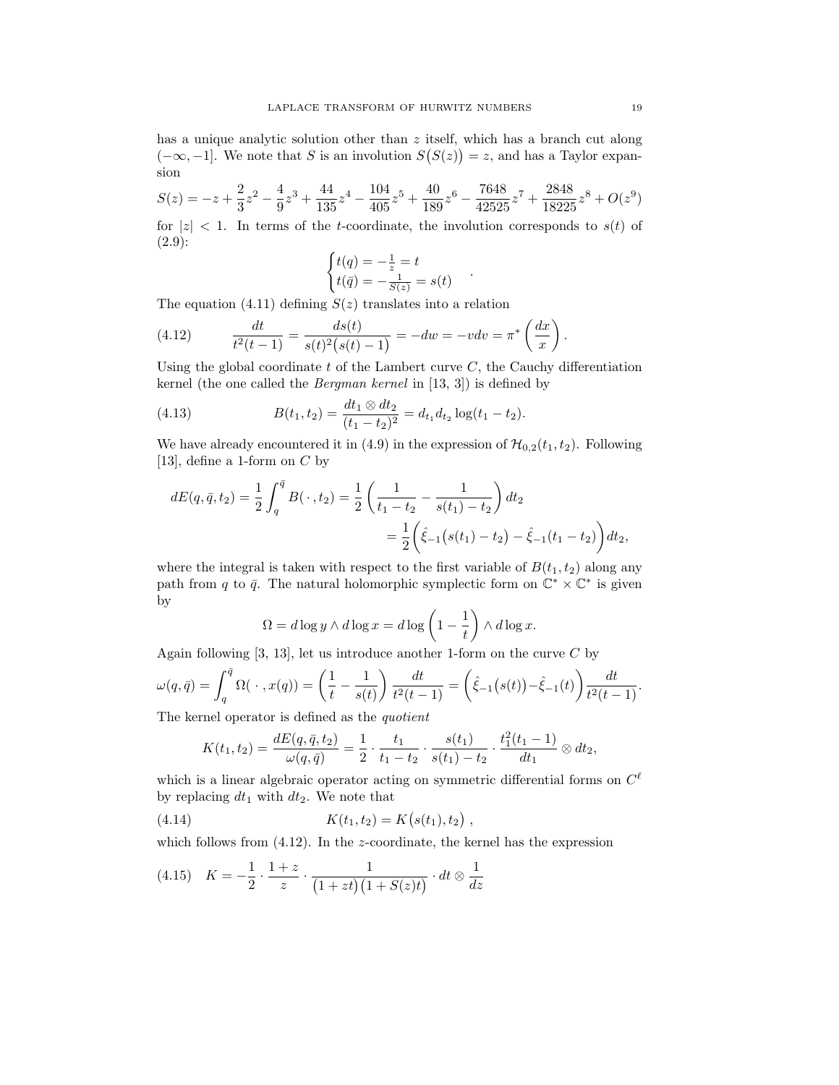has a unique analytic solution other than z itself, which has a branch cut along  $(-\infty, -1]$ . We note that S is an involution  $S(S(z)) = z$ , and has a Taylor expansion

$$
S(z) = -z + \frac{2}{3}z^2 - \frac{4}{9}z^3 + \frac{44}{135}z^4 - \frac{104}{405}z^5 + \frac{40}{189}z^6 - \frac{7648}{42525}z^7 + \frac{2848}{18225}z^8 + O(z^9)
$$

for  $|z|$  < 1. In terms of the t-coordinate, the involution corresponds to  $s(t)$  of (2.9):

$$
\begin{cases} t(q) = -\frac{1}{z} = t \\ t(\bar{q}) = -\frac{1}{S(z)} = s(t) \end{cases}
$$

.

The equation (4.11) defining  $S(z)$  translates into a relation

(4.12) 
$$
\frac{dt}{t^2(t-1)} = \frac{ds(t)}{s(t)^2(s(t)-1)} = -dw = -vdv = \pi^* \left(\frac{dx}{x}\right).
$$

Using the global coordinate  $t$  of the Lambert curve  $C$ , the Cauchy differentiation kernel (the one called the Bergman kernel in [13, 3]) is defined by

(4.13) 
$$
B(t_1, t_2) = \frac{dt_1 \otimes dt_2}{(t_1 - t_2)^2} = d_{t_1} d_{t_2} \log(t_1 - t_2).
$$

We have already encountered it in (4.9) in the expression of  $\mathcal{H}_{0,2}(t_1, t_2)$ . Following [13], define a 1-form on  $C$  by

$$
dE(q, \bar{q}, t_2) = \frac{1}{2} \int_q^{\bar{q}} B(\cdot, t_2) = \frac{1}{2} \left( \frac{1}{t_1 - t_2} - \frac{1}{s(t_1) - t_2} \right) dt_2
$$
  
= 
$$
\frac{1}{2} \left( \hat{\xi}_{-1} (s(t_1) - t_2) - \hat{\xi}_{-1} (t_1 - t_2) \right) dt_2,
$$

where the integral is taken with respect to the first variable of  $B(t_1, t_2)$  along any path from q to  $\bar{q}$ . The natural holomorphic symplectic form on  $\mathbb{C}^* \times \mathbb{C}^*$  is given by

$$
\Omega = d \log y \wedge d \log x = d \log \left( 1 - \frac{1}{t} \right) \wedge d \log x.
$$

Again following  $[3, 13]$ , let us introduce another 1-form on the curve C by

$$
\omega(q,\bar{q}) = \int_{q}^{\bar{q}} \Omega(\,\cdot\,,x(q)) = \left(\frac{1}{t} - \frac{1}{s(t)}\right) \frac{dt}{t^2(t-1)} = \left(\hat{\xi}_{-1}(s(t)) - \hat{\xi}_{-1}(t)\right) \frac{dt}{t^2(t-1)}.
$$

The kernel operator is defined as the *quotient* 

$$
K(t_1, t_2) = \frac{dE(q, \bar{q}, t_2)}{\omega(q, \bar{q})} = \frac{1}{2} \cdot \frac{t_1}{t_1 - t_2} \cdot \frac{s(t_1)}{s(t_1) - t_2} \cdot \frac{t_1^2(t_1 - 1)}{dt_1} \otimes dt_2,
$$

which is a linear algebraic operator acting on symmetric differential forms on  $C^{\ell}$ by replacing  $dt_1$  with  $dt_2$ . We note that

(4.14) 
$$
K(t_1, t_2) = K(s(t_1), t_2),
$$

which follows from  $(4.12)$ . In the *z*-coordinate, the kernel has the expression

$$
(4.15) \quad K = -\frac{1}{2} \cdot \frac{1+z}{z} \cdot \frac{1}{(1+zt)(1+S(z)t)} \cdot dt \otimes \frac{1}{dz}
$$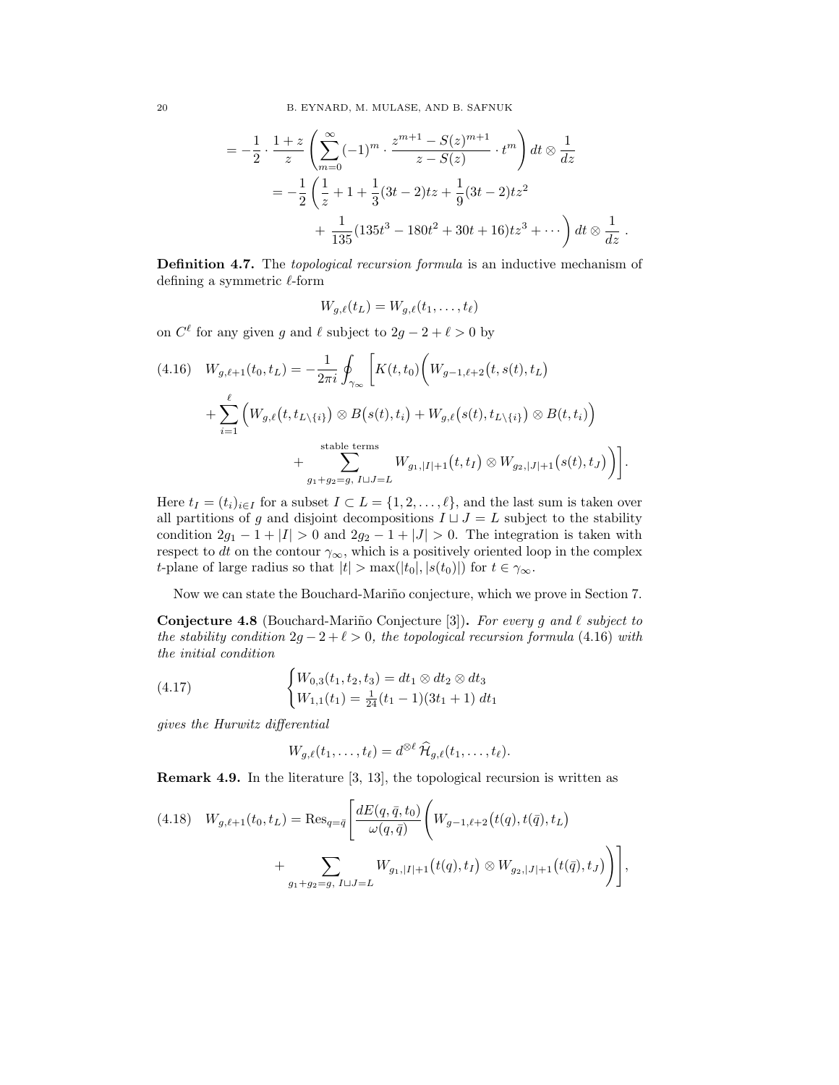$$
= -\frac{1}{2} \cdot \frac{1+z}{z} \left( \sum_{m=0}^{\infty} (-1)^m \cdot \frac{z^{m+1} - S(z)^{m+1}}{z - S(z)} \cdot t^m \right) dt \otimes \frac{1}{dz}
$$
  

$$
= -\frac{1}{2} \left( \frac{1}{z} + 1 + \frac{1}{3} (3t - 2)tz + \frac{1}{9} (3t - 2)tz^2 + \frac{1}{135} (135t^3 - 180t^2 + 30t + 16)tz^3 + \cdots \right) dt \otimes \frac{1}{dz}.
$$

Definition 4.7. The topological recursion formula is an inductive mechanism of defining a symmetric  $\ell$ -form

$$
W_{g,\ell}(t_L) = W_{g,\ell}(t_1,\ldots,t_\ell)
$$

on  $C^{\ell}$  for any given g and  $\ell$  subject to  $2g - 2 + \ell > 0$  by

$$
(4.16) \quad W_{g,\ell+1}(t_0, t_L) = -\frac{1}{2\pi i} \oint_{\gamma_{\infty}} \left[ K(t, t_0) \left( W_{g-1,\ell+2}(t, s(t), t_L) \right) \right. \\
\left. + \sum_{i=1}^{\ell} \left( W_{g,\ell}(t, t_{L \setminus \{i\}}) \otimes B(s(t), t_i) + W_{g,\ell}(s(t), t_{L \setminus \{i\}}) \otimes B(t, t_i) \right) \right. \\
\left. + \sum_{g_1 + g_2 = g, I \sqcup J = L}^{stable \text{ terms}} W_{g_1, |I|+1}(t, t_I) \otimes W_{g_2, |J|+1}(s(t), t_J) \right) \right].
$$

Here  $t_I = (t_i)_{i \in I}$  for a subset  $I \subset L = \{1, 2, ..., \ell\}$ , and the last sum is taken over all partitions of g and disjoint decompositions  $I \sqcup J = L$  subject to the stability condition  $2g_1 - 1 + |I| > 0$  and  $2g_2 - 1 + |J| > 0$ . The integration is taken with respect to dt on the contour  $\gamma_{\infty}$ , which is a positively oriented loop in the complex t-plane of large radius so that  $|t| > \max(|t_0|, |s(t_0)|)$  for  $t \in \gamma_{\infty}$ .

Now we can state the Bouchard-Mariño conjecture, which we prove in Section 7.

**Conjecture 4.8** (Bouchard-Mariño Conjecture [3]). For every g and  $\ell$  subject to the stability condition  $2g - 2 + \ell > 0$ , the topological recursion formula (4.16) with the initial condition

(4.17) 
$$
\begin{cases} W_{0,3}(t_1, t_2, t_3) = dt_1 \otimes dt_2 \otimes dt_3 \\ W_{1,1}(t_1) = \frac{1}{24}(t_1 - 1)(3t_1 + 1) dt_1 \end{cases}
$$

gives the Hurwitz differential

$$
W_{g,\ell}(t_1,\ldots,t_\ell)=d^{\otimes \ell}\,\widehat{\mathcal{H}}_{g,\ell}(t_1,\ldots,t_\ell).
$$

Remark 4.9. In the literature [3, 13], the topological recursion is written as

$$
(4.18) \quad W_{g,\ell+1}(t_0, t_L) = \text{Res}_{q=\bar{q}} \left[ \frac{dE(q, \bar{q}, t_0)}{\omega(q, \bar{q})} \left( W_{g-1,\ell+2}(t(q), t(\bar{q}), t_L) \right) \right. \\
\left. + \sum_{g_1+g_2=g, I \sqcup J=L} W_{g_1, |I|+1}(t(q), t_I) \otimes W_{g_2, |J|+1}(t(\bar{q}), t_J) \right) \right],
$$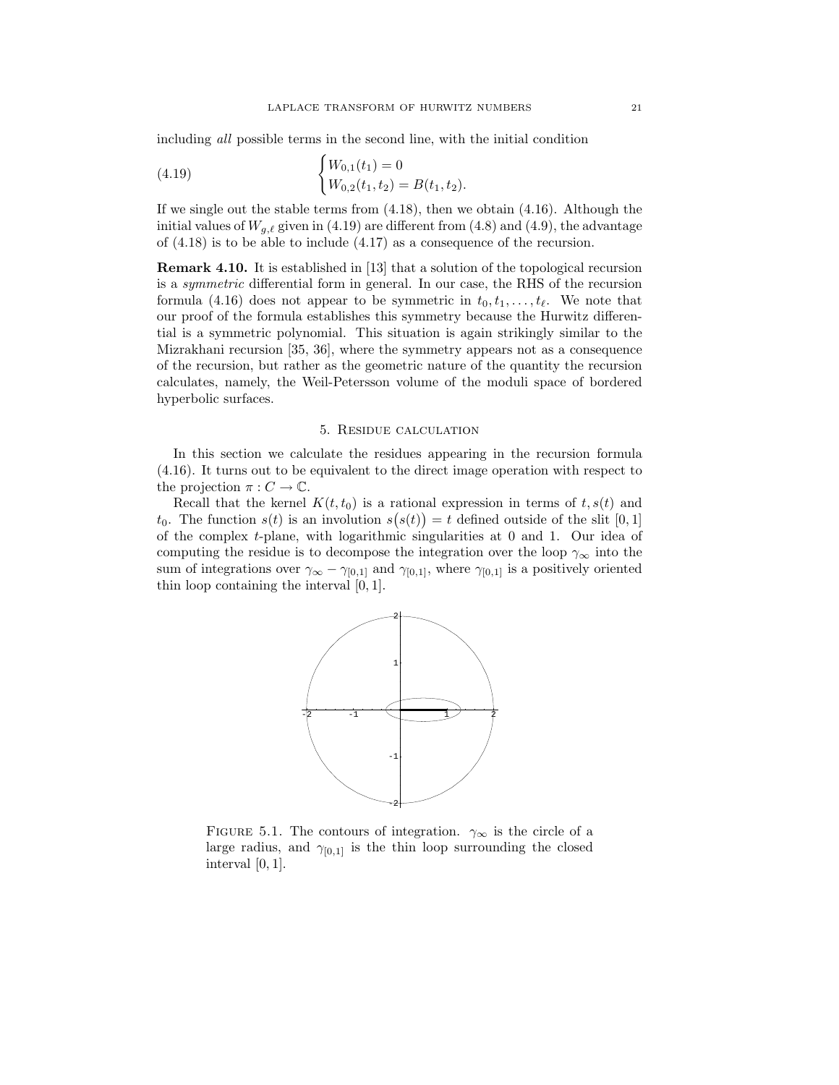including all possible terms in the second line, with the initial condition

(4.19) 
$$
\begin{cases} W_{0,1}(t_1) = 0 \\ W_{0,2}(t_1, t_2) = B(t_1, t_2). \end{cases}
$$

If we single out the stable terms from (4.18), then we obtain (4.16). Although the initial values of  $W_{q,\ell}$  given in (4.19) are different from (4.8) and (4.9), the advantage of (4.18) is to be able to include (4.17) as a consequence of the recursion.

Remark 4.10. It is established in [13] that a solution of the topological recursion is a symmetric differential form in general. In our case, the RHS of the recursion formula (4.16) does not appear to be symmetric in  $t_0, t_1, \ldots, t_\ell$ . We note that our proof of the formula establishes this symmetry because the Hurwitz differential is a symmetric polynomial. This situation is again strikingly similar to the Mizrakhani recursion [35, 36], where the symmetry appears not as a consequence of the recursion, but rather as the geometric nature of the quantity the recursion calculates, namely, the Weil-Petersson volume of the moduli space of bordered hyperbolic surfaces.

## 5. Residue calculation

In this section we calculate the residues appearing in the recursion formula (4.16). It turns out to be equivalent to the direct image operation with respect to the projection  $\pi: C \to \mathbb{C}$ .

Recall that the kernel  $K(t, t_0)$  is a rational expression in terms of  $t, s(t)$  and  $t_0$ . The function  $s(t)$  is an involution  $s(s(t)) = t$  defined outside of the slit [0, 1] of the complex  $t$ -plane, with logarithmic singularities at 0 and 1. Our idea of computing the residue is to decompose the integration over the loop  $\gamma_{\infty}$  into the sum of integrations over  $\gamma_{\infty} - \gamma_{[0,1]}$  and  $\gamma_{[0,1]}$ , where  $\gamma_{[0,1]}$  is a positively oriented thin loop containing the interval [0, 1].



FIGURE 5.1. The contours of integration.  $\gamma_{\infty}$  is the circle of a large radius, and  $\gamma_{[0,1]}$  is the thin loop surrounding the closed interval [0, 1].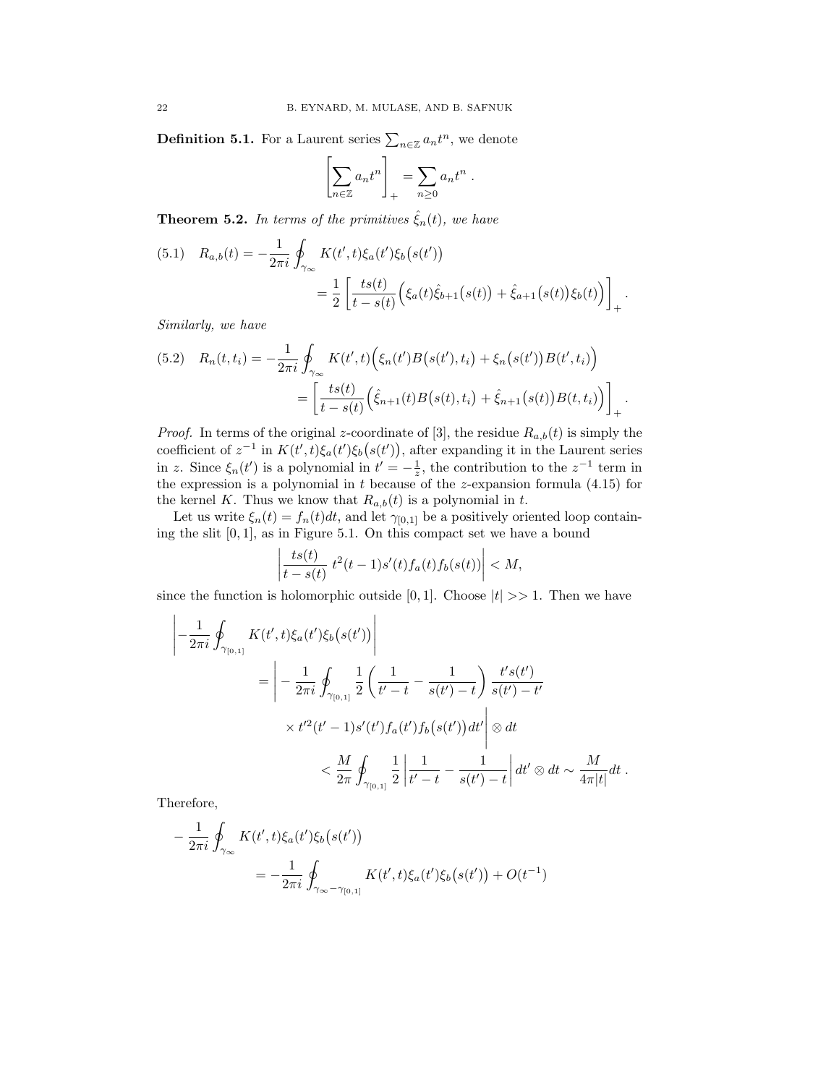**Definition 5.1.** For a Laurent series  $\sum_{n\in\mathbb{Z}} a_n t^n$ , we denote

$$
\left[\sum_{n\in\mathbb{Z}}a_nt^n\right]_+=\sum_{n\geq 0}a_nt^n.
$$

**Theorem 5.2.** In terms of the primitives  $\hat{\xi}_n(t)$ , we have

$$
(5.1) \quad R_{a,b}(t) = -\frac{1}{2\pi i} \oint_{\gamma_{\infty}} K(t',t) \xi_a(t') \xi_b(s(t'))
$$
  
= 
$$
\frac{1}{2} \left[ \frac{ts(t)}{t - s(t)} \Big( \xi_a(t) \hat{\xi}_{b+1}(s(t)) + \hat{\xi}_{a+1}(s(t)) \xi_b(t) \Big) \right]_+.
$$

Similarly, we have

$$
(5.2) \quad R_n(t, t_i) = -\frac{1}{2\pi i} \oint_{\gamma_{\infty}} K(t', t) \Big( \xi_n(t') B(s(t'), t_i) + \xi_n(s(t')) B(t', t_i) \Big) = \left[ \frac{ts(t)}{t - s(t)} \Big( \hat{\xi}_{n+1}(t) B(s(t), t_i) + \hat{\xi}_{n+1}(s(t)) B(t, t_i) \Big) \right]_+.
$$

*Proof.* In terms of the original z-coordinate of [3], the residue  $R_{a,b}(t)$  is simply the coefficient of  $z^{-1}$  in  $K(t',t)\xi_a(t')\xi_b(s(t'))$ , after expanding it in the Laurent series in z. Since  $\xi_n(t')$  is a polynomial in  $t' = -\frac{1}{z}$ , the contribution to the  $z^{-1}$  term in the expression is a polynomial in  $t$  because of the z-expansion formula  $(4.15)$  for the kernel K. Thus we know that  $R_{a,b}(t)$  is a polynomial in t.

Let us write  $\xi_n(t) = f_n(t)dt$ , and let  $\gamma_{[0,1]}$  be a positively oriented loop containing the slit [0, 1], as in Figure 5.1. On this compact set we have a bound

$$
\left|\frac{ts(t)}{t-s(t)}\;t^2(t-1)s'(t)f_a(t)f_b(s(t))\right|
$$

since the function is holomorphic outside [0,1]. Choose  $|t| \gg 1$ . Then we have

$$
\left| -\frac{1}{2\pi i} \oint_{\gamma_{[0,1]}} K(t',t) \xi_a(t') \xi_b(s(t')) \right|
$$
  
= 
$$
\left| -\frac{1}{2\pi i} \oint_{\gamma_{[0,1]}} \frac{1}{2} \left( \frac{1}{t'-t} - \frac{1}{s(t')-t} \right) \frac{t' s(t')}{s(t')-t'}
$$
  

$$
\times t'^2 (t'-1) s'(t') f_a(t') f_b(s(t')) dt' \right| \otimes dt
$$
  

$$
< \frac{M}{2\pi} \oint_{\gamma_{[0,1]}} \frac{1}{2} \left| \frac{1}{t'-t} - \frac{1}{s(t')-t} \right| dt' \otimes dt \sim \frac{M}{4\pi|t|} dt.
$$

Therefore,

$$
-\frac{1}{2\pi i} \oint_{\gamma_{\infty}} K(t',t) \xi_a(t') \xi_b(s(t'))
$$
  
=  $-\frac{1}{2\pi i} \oint_{\gamma_{\infty}-\gamma_{[0,1]}} K(t',t) \xi_a(t') \xi_b(s(t')) + O(t^{-1})$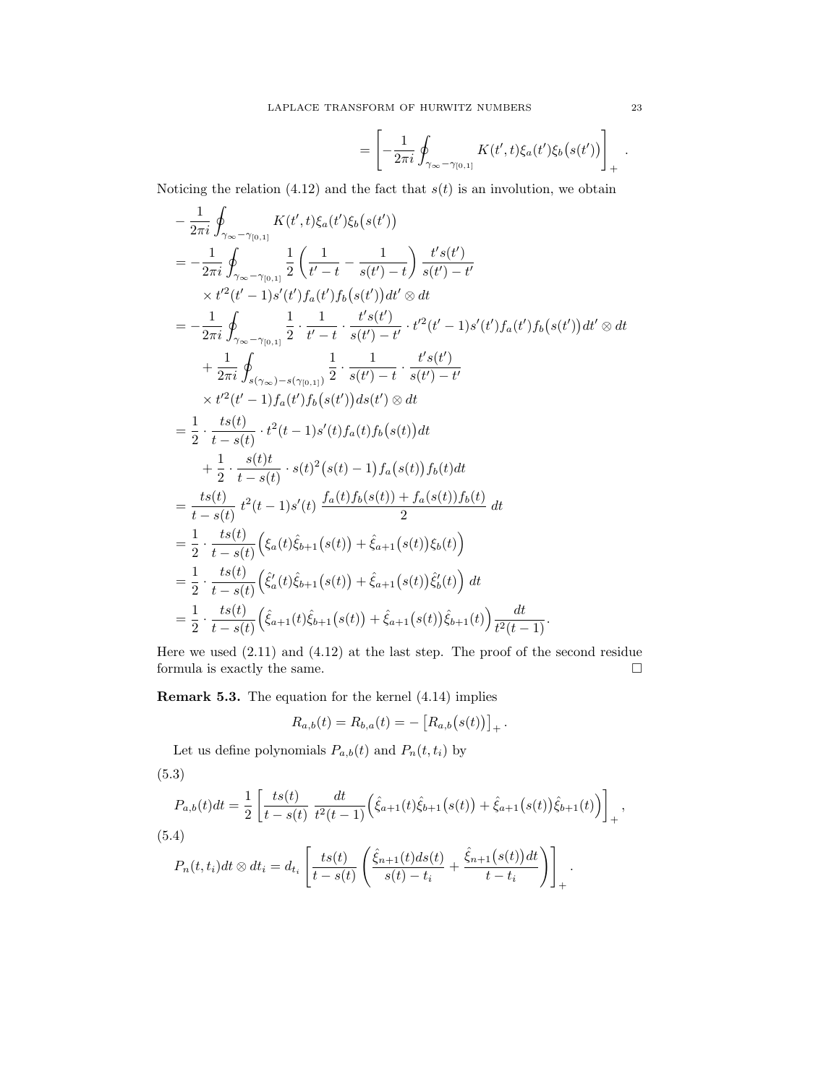$$
= \left[ -\frac{1}{2\pi i} \oint_{\gamma_\infty - \gamma_{[0,1]}} K(t',t) \xi_a(t') \xi_b(s(t')) \right]_+.
$$

Noticing the relation (4.12) and the fact that  $s(t)$  is an involution, we obtain

$$
-\frac{1}{2\pi i} \oint_{\gamma_{\infty}-\gamma_{[0,1]}} K(t',t) \xi_a(t') \xi_b(s(t'))
$$
  
\n
$$
= -\frac{1}{2\pi i} \oint_{\gamma_{\infty}-\gamma_{[0,1]}} \frac{1}{2} \left( \frac{1}{t'-t} - \frac{1}{s(t')-t} \right) \frac{t's(t')}{s(t')-t'}
$$
  
\n
$$
\times t'^2(t'-1)s'(t')f_a(t')f_b(s(t'))dt' \otimes dt
$$
  
\n
$$
= -\frac{1}{2\pi i} \oint_{\gamma_{\infty}-\gamma_{[0,1]}} \frac{1}{2} \cdot \frac{1}{t'-t} \cdot \frac{t's(t')}{s(t')-t'} \cdot t'^2(t'-1)s'(t')f_a(t')f_b(s(t'))dt' \otimes dt
$$
  
\n
$$
+ \frac{1}{2\pi i} \oint_{s(\gamma_{\infty})-s(\gamma_{[0,1]})} \frac{1}{2} \cdot \frac{1}{s(t')-t} \cdot \frac{t's(t')}{s(t')-t'}
$$
  
\n
$$
\times t'^2(t'-1)f_a(t')f_b(s(t'))ds(t') \otimes dt
$$
  
\n
$$
= \frac{1}{2} \cdot \frac{ts(t)}{t-s(t)} \cdot t^2(t-1)s'(t)f_a(t)f_b(s(t))dt
$$
  
\n
$$
+ \frac{1}{2} \cdot \frac{st(t)}{t-s(t)} \cdot s(t)^2(s(t)-1)f_a(s(t))f_b(t)dt
$$
  
\n
$$
= \frac{ts(t)}{t-s(t)} t^2(t-1)s'(t) \frac{f_a(t)f_b(s(t)) + f_a(s(t))f_b(t)}{2} dt
$$
  
\n
$$
= \frac{1}{2} \cdot \frac{ts(t)}{t-s(t)} (\xi_a(t)\hat{\xi}_{b+1}(s(t)) + \hat{\xi}_{a+1}(s(t))\xi_b(t)) dt
$$
  
\n
$$
= \frac{1}{2} \cdot \frac{ts(t)}{t-s(t)} (\hat{\xi}_a(t)\hat{\xi}_{b+1}(s(t)) + \hat{\xi}_{a+1}(s(t))\hat{\xi}_b(t)) dt
$$
  
\n
$$
= \frac{1}{2} \cdot \frac{ts(t)}{t-s(t)} (\hat{\xi}_{a+1}(t)\hat{\xi}_{b+1}(s(t)) + \
$$

Here we used (2.11) and (4.12) at the last step. The proof of the second residue formula is exactly the same.  $\hfill \square$ 

Remark 5.3. The equation for the kernel (4.14) implies

$$
R_{a,b}(t) = R_{b,a}(t) = -[R_{a,b}(s(t))]_{+}.
$$

Let us define polynomials  $P_{a,b}(t)$  and  $P_n(t,t_i)$  by

$$
(5.3)
$$

$$
P_{a,b}(t)dt = \frac{1}{2} \left[ \frac{ts(t)}{t - s(t)} \frac{dt}{t^2(t - 1)} \left( \hat{\xi}_{a+1}(t)\hat{\xi}_{b+1}(s(t)) + \hat{\xi}_{a+1}(s(t))\hat{\xi}_{b+1}(t) \right) \right]_+,
$$
  
(5.4)  

$$
P_n(t, t_i)dt \otimes dt_i = d_{t_i} \left[ \frac{ts(t)}{t - s(t)} \left( \frac{\hat{\xi}_{n+1}(t)ds(t)}{s(t) - t_i} + \frac{\hat{\xi}_{n+1}(s(t))dt}{t - t_i} \right) \right]_+.
$$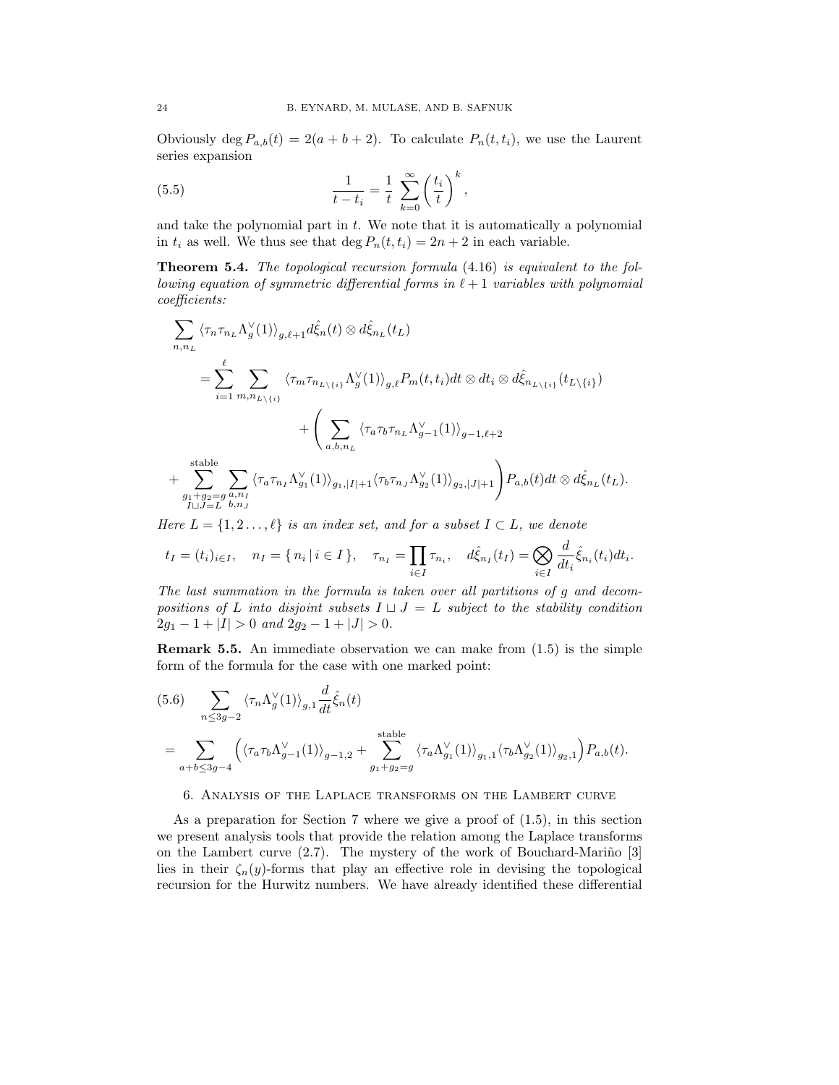Obviously deg  $P_{a,b}(t) = 2(a+b+2)$ . To calculate  $P_n(t,t_i)$ , we use the Laurent series expansion

(5.5) 
$$
\frac{1}{t - t_i} = \frac{1}{t} \sum_{k=0}^{\infty} \left(\frac{t_i}{t}\right)^k,
$$

and take the polynomial part in  $t$ . We note that it is automatically a polynomial in  $t_i$  as well. We thus see that deg  $P_n(t, t_i) = 2n + 2$  in each variable.

**Theorem 5.4.** The topological recursion formula  $(4.16)$  is equivalent to the following equation of symmetric differential forms in  $\ell + 1$  variables with polynomial coefficients:

$$
\sum_{n,n_L} \langle \tau_n \tau_{n_L} \Lambda_g^{\vee}(1) \rangle_{g,\ell+1} d\hat{\xi}_n(t) \otimes d\hat{\xi}_{n_L}(t_L)
$$
\n
$$
= \sum_{i=1}^{\ell} \sum_{m,n_L \backslash \{i\}} \langle \tau_m \tau_{n_L \backslash \{i\}} \Lambda_g^{\vee}(1) \rangle_{g,\ell} P_m(t,t_i) dt \otimes dt_i \otimes d\hat{\xi}_{n_L \backslash \{i\}}(t_L \backslash \{i\})
$$
\n
$$
+ \left( \sum_{a,b,n_L} \langle \tau_a \tau_b \tau_{n_L} \Lambda_{g-1}^{\vee}(1) \rangle_{g-1,\ell+2} + \sum_{g_1+g_2=g}^{\text{stable}} \sum_{a,n_I} \langle \tau_a \tau_{n_I} \Lambda_{g_1}^{\vee}(1) \rangle_{g_1,|I|+1} \langle \tau_b \tau_{n_J} \Lambda_{g_2}^{\vee}(1) \rangle_{g_2,|J|+1} \right) P_{a,b}(t) dt \otimes d\hat{\xi}_{n_L}(t_L).
$$

Here  $L = \{1, 2, \ldots, \ell\}$  is an index set, and for a subset  $I \subset L$ , we denote

$$
t_I = (t_i)_{i \in I}, \quad n_I = \{ n_i | i \in I \}, \quad \tau_{n_I} = \prod_{i \in I} \tau_{n_i}, \quad d\hat{\xi}_{n_I}(t_I) = \bigotimes_{i \in I} \frac{d}{dt_i} \hat{\xi}_{n_i}(t_i) dt_i.
$$

The last summation in the formula is taken over all partitions of g and decompositions of L into disjoint subsets  $I \sqcup J = L$  subject to the stability condition  $2g_1 - 1 + |I| > 0$  and  $2g_2 - 1 + |J| > 0$ .

**Remark 5.5.** An immediate observation we can make from  $(1.5)$  is the simple form of the formula for the case with one marked point:

$$
(5.6) \sum_{n \leq 3g-2} \langle \tau_n \Lambda_g^{\vee}(1) \rangle_{g,1} \frac{d}{dt} \hat{\xi}_n(t)
$$
  
= 
$$
\sum_{a+b \leq 3g-4} \left( \langle \tau_a \tau_b \Lambda_{g-1}^{\vee}(1) \rangle_{g-1,2} + \sum_{g_1+g_2=g}^{\text{stable}} \langle \tau_a \Lambda_{g_1}^{\vee}(1) \rangle_{g_1,1} \langle \tau_b \Lambda_{g_2}^{\vee}(1) \rangle_{g_2,1} \right) P_{a,b}(t).
$$

6. Analysis of the Laplace transforms on the Lambert curve

As a preparation for Section 7 where we give a proof of (1.5), in this section we present analysis tools that provide the relation among the Laplace transforms on the Lambert curve  $(2.7)$ . The mystery of the work of Bouchard-Mariño [3] lies in their  $\zeta_n(y)$ -forms that play an effective role in devising the topological recursion for the Hurwitz numbers. We have already identified these differential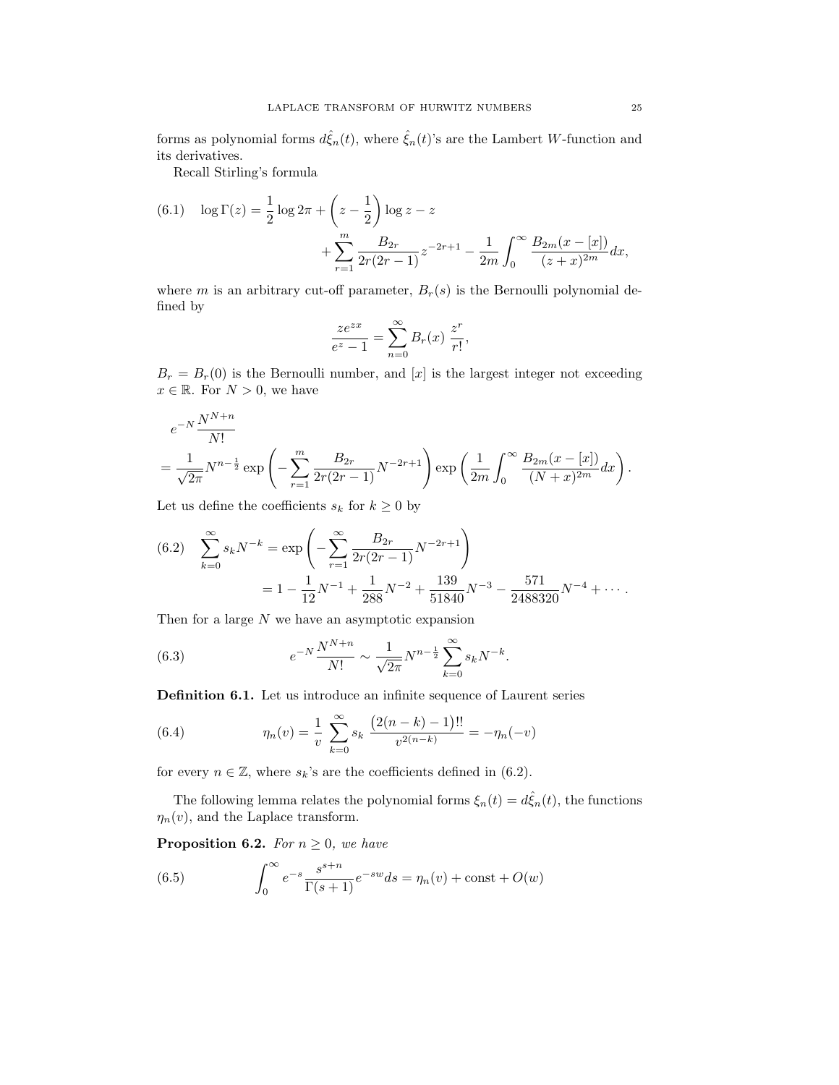forms as polynomial forms  $d\hat{\xi}_n(t)$ , where  $\hat{\xi}_n(t)$ 's are the Lambert W-function and its derivatives.

Recall Stirling's formula

(6.1) 
$$
\log \Gamma(z) = \frac{1}{2} \log 2\pi + \left(z - \frac{1}{2}\right) \log z - z + \sum_{r=1}^{m} \frac{B_{2r}}{2r(2r-1)} z^{-2r+1} - \frac{1}{2m} \int_{0}^{\infty} \frac{B_{2m}(x - [x])}{(z + x)^{2m}} dx,
$$

where m is an arbitrary cut-off parameter,  $B_r(s)$  is the Bernoulli polynomial defined by

$$
\frac{ze^{zx}}{e^z - 1} = \sum_{n=0}^{\infty} B_r(x) \frac{z^r}{r!},
$$

 $B_r = B_r(0)$  is the Bernoulli number, and [x] is the largest integer not exceeding  $x \in \mathbb{R}$ . For  $N > 0$ , we have

$$
e^{-N}\frac{N^{N+n}}{N!}
$$
  
=  $\frac{1}{\sqrt{2\pi}}N^{n-\frac{1}{2}}\exp\left(-\sum_{r=1}^{m}\frac{B_{2r}}{2r(2r-1)}N^{-2r+1}\right)\exp\left(\frac{1}{2m}\int_{0}^{\infty}\frac{B_{2m}(x-[x])}{(N+x)^{2m}}dx\right).$ 

Let us define the coefficients  $s_k$  for  $k \geq 0$  by

(6.2) 
$$
\sum_{k=0}^{\infty} s_k N^{-k} = \exp\left(-\sum_{r=1}^{\infty} \frac{B_{2r}}{2r(2r-1)} N^{-2r+1}\right)
$$

$$
= 1 - \frac{1}{12} N^{-1} + \frac{1}{288} N^{-2} + \frac{139}{51840} N^{-3} - \frac{571}{2488320} N^{-4} + \cdots
$$

Then for a large  $N$  we have an asymptotic expansion

(6.3) 
$$
e^{-N} \frac{N^{N+n}}{N!} \sim \frac{1}{\sqrt{2\pi}} N^{n-\frac{1}{2}} \sum_{k=0}^{\infty} s_k N^{-k}.
$$

Definition 6.1. Let us introduce an infinite sequence of Laurent series

(6.4) 
$$
\eta_n(v) = \frac{1}{v} \sum_{k=0}^{\infty} s_k \frac{\left(2(n-k)-1\right)!!}{v^{2(n-k)}} = -\eta_n(-v)
$$

for every  $n \in \mathbb{Z}$ , where  $s_k$ 's are the coefficients defined in (6.2).

The following lemma relates the polynomial forms  $\xi_n(t) = d\hat{\xi}_n(t)$ , the functions  $\eta_n(v)$ , and the Laplace transform.

**Proposition 6.2.** For  $n \geq 0$ , we have

(6.5) 
$$
\int_0^\infty e^{-s} \frac{s^{s+n}}{\Gamma(s+1)} e^{-sw} ds = \eta_n(v) + \text{const} + O(w)
$$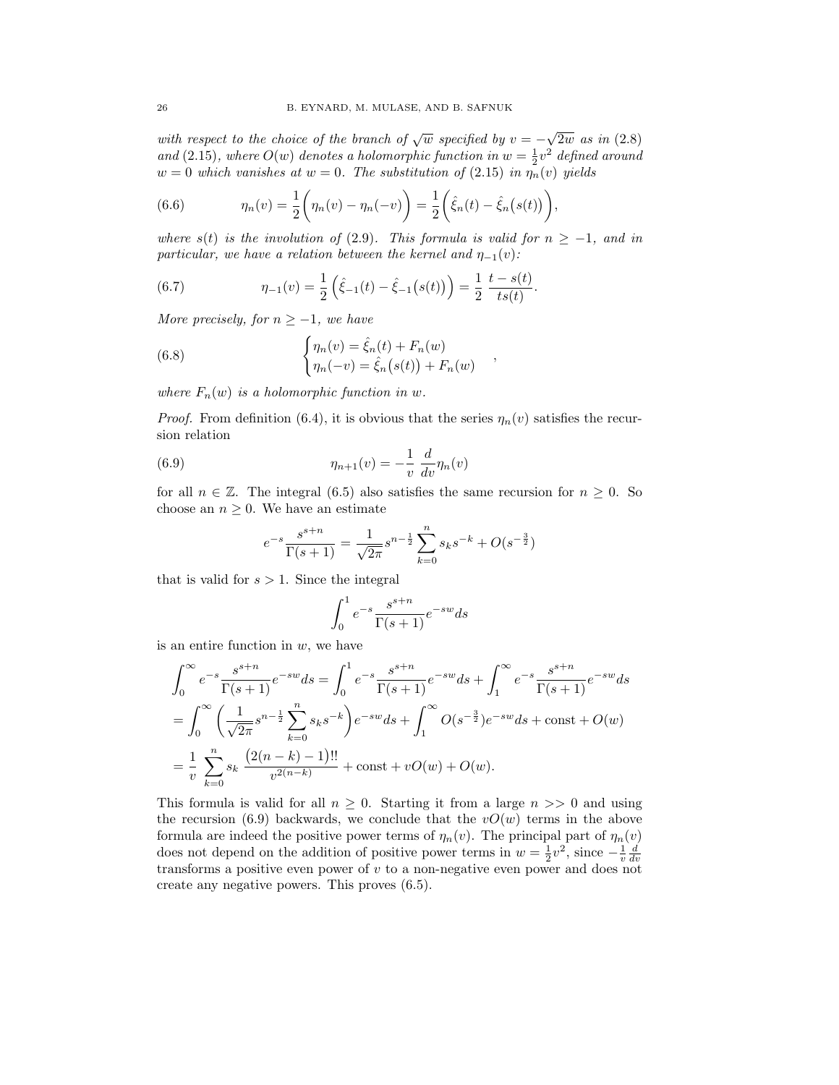with respect to the choice of the branch of  $\sqrt{w}$  specified by  $v = -$ √ 2w as in (2.8) and (2.15), where  $O(w)$  denotes a holomorphic function in  $w = \frac{1}{2}v^2$  defined around  $w = 0$  which vanishes at  $w = 0$ . The substitution of (2.15) in  $\eta_n(v)$  yields

(6.6) 
$$
\eta_n(v) = \frac{1}{2} \left( \eta_n(v) - \eta_n(-v) \right) = \frac{1}{2} \left( \hat{\xi}_n(t) - \hat{\xi}_n(s(t)) \right),
$$

where  $s(t)$  is the involution of (2.9). This formula is valid for  $n \ge -1$ , and in particular, we have a relation between the kernel and  $\eta_{-1}(v)$ :

.

(6.7) 
$$
\eta_{-1}(v) = \frac{1}{2} \left( \hat{\xi}_{-1}(t) - \hat{\xi}_{-1}(s(t)) \right) = \frac{1}{2} \frac{t - s(t)}{ts(t)}
$$

More precisely, for  $n \geq -1$ , we have

(6.8) 
$$
\begin{cases} \eta_n(v) = \hat{\xi}_n(t) + F_n(w) \\ \eta_n(-v) = \hat{\xi}_n(s(t)) + F_n(w) \end{cases}
$$

where  $F_n(w)$  is a holomorphic function in w.

*Proof.* From definition (6.4), it is obvious that the series  $\eta_n(v)$  satisfies the recursion relation

(6.9) 
$$
\eta_{n+1}(v) = -\frac{1}{v} \frac{d}{dv} \eta_n(v)
$$

for all  $n \in \mathbb{Z}$ . The integral (6.5) also satisfies the same recursion for  $n \geq 0$ . So choose an  $n \geq 0$ . We have an estimate

$$
e^{-s}\frac{s^{s+n}}{\Gamma(s+1)} = \frac{1}{\sqrt{2\pi}}s^{n-\frac{1}{2}}\sum_{k=0}^{n}s_{k}s^{-k} + O(s^{-\frac{3}{2}})
$$

that is valid for  $s > 1$ . Since the integral

$$
\int_0^1 e^{-s} \frac{s^{s+n}}{\Gamma(s+1)} e^{-sw} ds
$$

is an entire function in  $w$ , we have

$$
\int_0^\infty e^{-s} \frac{s^{s+n}}{\Gamma(s+1)} e^{-sw} ds = \int_0^1 e^{-s} \frac{s^{s+n}}{\Gamma(s+1)} e^{-sw} ds + \int_1^\infty e^{-s} \frac{s^{s+n}}{\Gamma(s+1)} e^{-sw} ds
$$
  
= 
$$
\int_0^\infty \left( \frac{1}{\sqrt{2\pi}} s^{n-\frac{1}{2}} \sum_{k=0}^n s_k s^{-k} \right) e^{-sw} ds + \int_1^\infty O(s^{-\frac{3}{2}}) e^{-sw} ds + \text{const} + O(w)
$$
  
= 
$$
\frac{1}{v} \sum_{k=0}^n s_k \frac{(2(n-k)-1)!!}{v^{2(n-k)}} + \text{const} + vO(w) + O(w).
$$

This formula is valid for all  $n \geq 0$ . Starting it from a large  $n >> 0$  and using the recursion (6.9) backwards, we conclude that the  $vO(w)$  terms in the above formula are indeed the positive power terms of  $\eta_n(v)$ . The principal part of  $\eta_n(v)$ does not depend on the addition of positive power terms in  $w = \frac{1}{2}v^2$ , since  $-\frac{1}{v}\frac{d}{dv}$ transforms a positive even power of v to a non-negative even power and does not create any negative powers. This proves (6.5).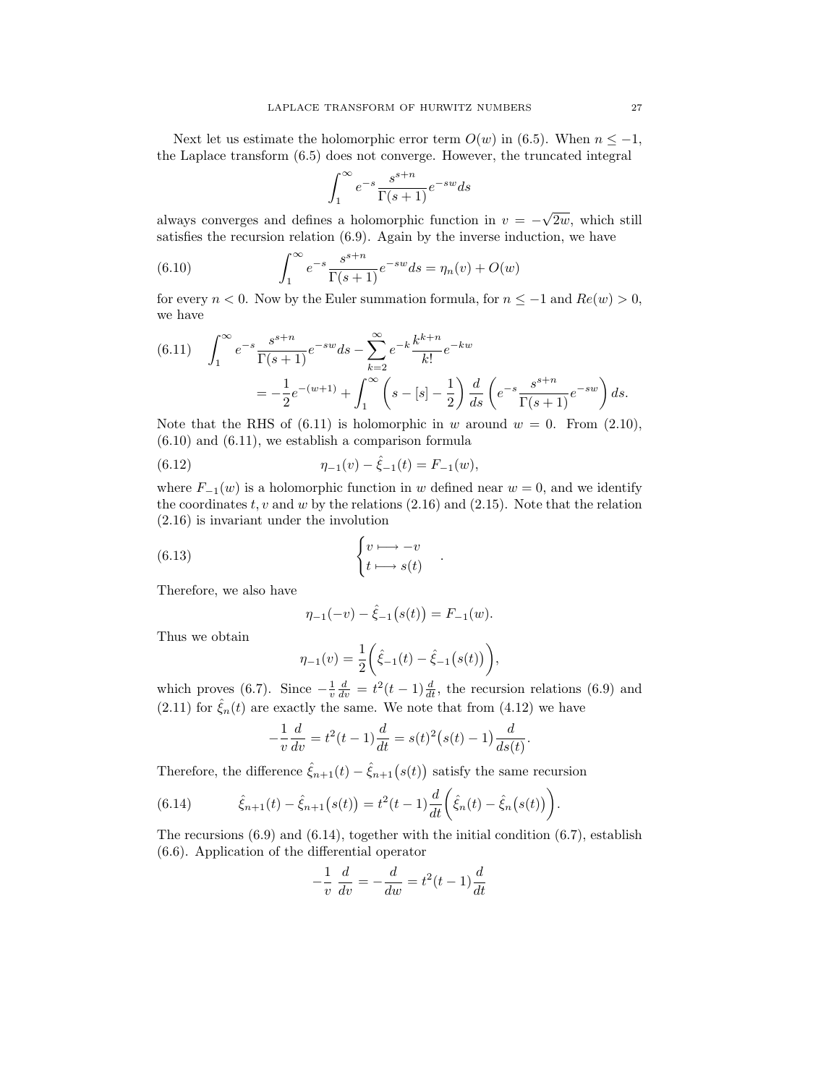Next let us estimate the holomorphic error term  $O(w)$  in (6.5). When  $n \leq -1$ , the Laplace transform (6.5) does not converge. However, the truncated integral

$$
\int_{1}^{\infty} e^{-s} \frac{s^{s+n}}{\Gamma(s+1)} e^{-sw} ds
$$

always converges and defines a holomorphic function in  $v = -$ √ 2w, which still satisfies the recursion relation (6.9). Again by the inverse induction, we have

(6.10) 
$$
\int_{1}^{\infty} e^{-s} \frac{s^{s+n}}{\Gamma(s+1)} e^{-sw} ds = \eta_n(v) + O(w)
$$

for every  $n < 0$ . Now by the Euler summation formula, for  $n \le -1$  and  $Re(w) > 0$ , we have

(6.11) 
$$
\int_{1}^{\infty} e^{-s} \frac{s^{s+n}}{\Gamma(s+1)} e^{-sw} ds - \sum_{k=2}^{\infty} e^{-k} \frac{k^{k+n}}{k!} e^{-kw}
$$

$$
= -\frac{1}{2} e^{-(w+1)} + \int_{1}^{\infty} \left(s - [s] - \frac{1}{2}\right) \frac{d}{ds} \left(e^{-s} \frac{s^{s+n}}{\Gamma(s+1)} e^{-sw}\right) ds.
$$

Note that the RHS of  $(6.11)$  is holomorphic in w around  $w = 0$ . From  $(2.10)$ ,  $(6.10)$  and  $(6.11)$ , we establish a comparison formula

(6.12) 
$$
\eta_{-1}(v) - \hat{\xi}_{-1}(t) = F_{-1}(w),
$$

where  $F_{-1}(w)$  is a holomorphic function in w defined near  $w = 0$ , and we identify the coordinates  $t, v$  and  $w$  by the relations  $(2.16)$  and  $(2.15)$ . Note that the relation (2.16) is invariant under the involution

(6.13) 
$$
\begin{cases} v \longmapsto -v \\ t \longmapsto s(t) \end{cases}
$$

Therefore, we also have

$$
\eta_{-1}(-v) - \hat{\xi}_{-1}(s(t)) = F_{-1}(w).
$$

.

Thus we obtain

$$
\eta_{-1}(v) = \frac{1}{2} \left( \hat{\xi}_{-1}(t) - \hat{\xi}_{-1}(s(t)) \right),
$$

which proves (6.7). Since  $-\frac{1}{v}\frac{d}{dv} = t^2(t-1)\frac{d}{dt}$ , the recursion relations (6.9) and  $(2.11)$  for  $\hat{\xi}_n(t)$  are exactly the same. We note that from  $(4.12)$  we have

$$
-\frac{1}{v}\frac{d}{dv} = t^2(t-1)\frac{d}{dt} = s(t)^2(s(t)-1)\frac{d}{ds(t)}.
$$

Therefore, the difference  $\hat{\xi}_{n+1}(t) - \hat{\xi}_{n+1}(s(t))$  satisfy the same recursion

(6.14) 
$$
\hat{\xi}_{n+1}(t) - \hat{\xi}_{n+1}(s(t)) = t^2(t-1)\frac{d}{dt}\left(\hat{\xi}_n(t) - \hat{\xi}_n(s(t))\right).
$$

The recursions  $(6.9)$  and  $(6.14)$ , together with the initial condition  $(6.7)$ , establish (6.6). Application of the differential operator

$$
-\frac{1}{v}\frac{d}{dv} = -\frac{d}{dw} = t^2(t-1)\frac{d}{dt}
$$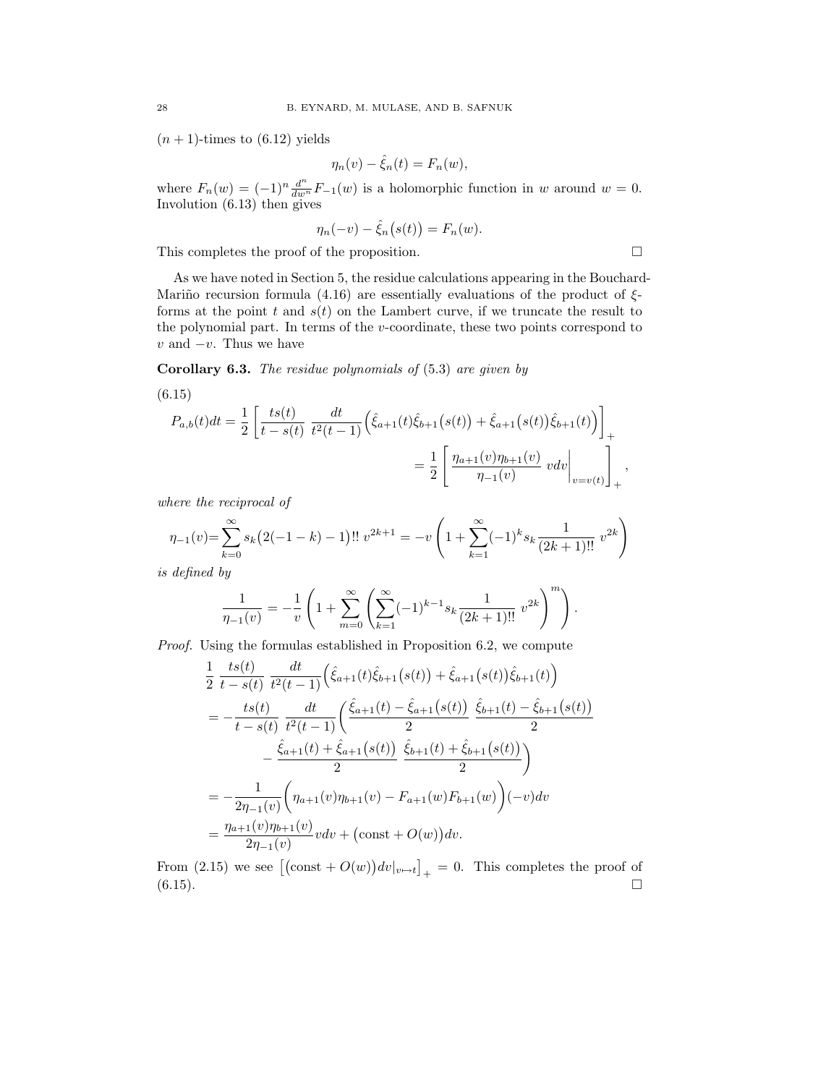$(n + 1)$ -times to  $(6.12)$  yields

$$
\eta_n(v) - \hat{\xi}_n(t) = F_n(w),
$$

where  $F_n(w) = (-1)^n \frac{d^n}{dw^n} F_{-1}(w)$  is a holomorphic function in w around  $w = 0$ . Involution (6.13) then gives

$$
\eta_n(-v) - \hat{\xi}_n(s(t)) = F_n(w).
$$

This completes the proof of the proposition.  $\Box$ 

As we have noted in Section 5, the residue calculations appearing in the Bouchard-Mariño recursion formula (4.16) are essentially evaluations of the product of  $\xi$ forms at the point t and  $s(t)$  on the Lambert curve, if we truncate the result to the polynomial part. In terms of the  $v$ -coordinate, these two points correspond to  $v$  and  $-v$ . Thus we have

Corollary 6.3. The residue polynomials of (5.3) are given by

(6.15)  
\n
$$
P_{a,b}(t)dt = \frac{1}{2} \left[ \frac{ts(t)}{t - s(t)} \frac{dt}{t^2(t-1)} \left( \hat{\xi}_{a+1}(t)\hat{\xi}_{b+1}(s(t)) + \hat{\xi}_{a+1}(s(t))\hat{\xi}_{b+1}(t) \right) \right]_{+}
$$
\n
$$
= \frac{1}{2} \left[ \frac{\eta_{a+1}(v)\eta_{b+1}(v)}{\eta_{-1}(v)} \ v dv \Big|_{v=v(t)} \right]_{+},
$$

where the reciprocal of

$$
\eta_{-1}(v) = \sum_{k=0}^{\infty} s_k (2(-1-k) - 1)!! \ v^{2k+1} = -v \left( 1 + \sum_{k=1}^{\infty} (-1)^k s_k \frac{1}{(2k+1)!!} \ v^{2k} \right)
$$

is defined by

$$
\frac{1}{\eta_{-1}(v)} = -\frac{1}{v} \left( 1 + \sum_{m=0}^{\infty} \left( \sum_{k=1}^{\infty} (-1)^{k-1} s_k \frac{1}{(2k+1)!!} v^{2k} \right)^m \right).
$$

Proof. Using the formulas established in Proposition 6.2, we compute

$$
\frac{1}{2} \frac{ts(t)}{t - s(t)} \frac{dt}{t^2(t - 1)} \left( \hat{\xi}_{a+1}(t) \hat{\xi}_{b+1}(s(t)) + \hat{\xi}_{a+1}(s(t)) \hat{\xi}_{b+1}(t) \right)
$$
\n
$$
= -\frac{ts(t)}{t - s(t)} \frac{dt}{t^2(t - 1)} \left( \frac{\hat{\xi}_{a+1}(t) - \hat{\xi}_{a+1}(s(t))}{2} \frac{\hat{\xi}_{b+1}(t) - \hat{\xi}_{b+1}(s(t))}{2} - \frac{\hat{\xi}_{a+1}(t) + \hat{\xi}_{a+1}(s(t))}{2} \frac{\hat{\xi}_{b+1}(t) + \hat{\xi}_{b+1}(s(t))}{2} \right)
$$
\n
$$
= -\frac{1}{2\eta_{-1}(v)} \left( \eta_{a+1}(v)\eta_{b+1}(v) - F_{a+1}(w)F_{b+1}(w) \right) (-v)dv
$$
\n
$$
= \frac{\eta_{a+1}(v)\eta_{b+1}(v)}{2\eta_{-1}(v)} v dv + \left( \text{const} + O(w) \right) dv.
$$

From (2.15) we see  $[(\text{const} + O(w))dv|_{v \mapsto t}]_+ = 0$ . This completes the proof of  $(6.15)$ .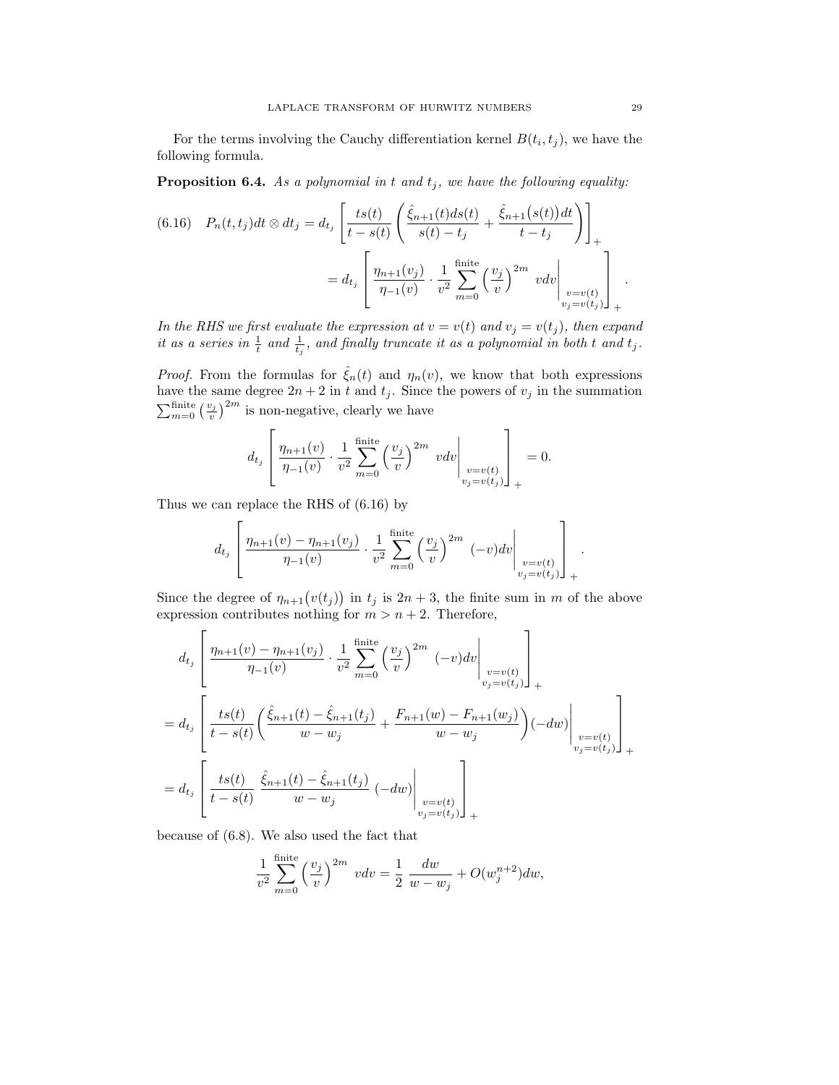For the terms involving the Cauchy differentiation kernel  $B(t_i, t_j)$ , we have the following formula.

**Proposition 6.4.** As a polynomial in t and  $t_j$ , we have the following equality:

$$
(6.16) \quad P_n(t, t_j)dt \otimes dt_j = d_{t_j} \left[ \frac{ts(t)}{t - s(t)} \left( \frac{\hat{\xi}_{n+1}(t)ds(t)}{s(t) - t_j} + \frac{\hat{\xi}_{n+1}(s(t))dt}{t - t_j} \right) \right]_+
$$
  

$$
= d_{t_j} \left[ \frac{\eta_{n+1}(v_j)}{\eta_{-1}(v)} \cdot \frac{1}{v^2} \sum_{m=0}^{\text{finite}} \left( \frac{v_j}{v} \right)^{2m} v dv \Big|_{\substack{v=v(t) \\ v_j=v(t_j)}} \right]_+
$$

In the RHS we first evaluate the expression at  $v = v(t)$  and  $v_j = v(t_j)$ , then expand it as a series in  $\frac{1}{t}$  and  $\frac{1}{t_j}$ , and finally truncate it as a polynomial in both t and  $t_j$ .

*Proof.* From the formulas for  $\hat{\xi}_n(t)$  and  $\eta_n(v)$ , we know that both expressions have the same degree  $2n + 2$  in t and  $t_j$ . Since the powers of  $v_j$  in the summation  $\sum_{m=0}^{\text{finite}} \left(\frac{v_j}{v}\right)^{2m}$  is non-negative, clearly we have

$$
d_{t_j} \left[ \frac{\eta_{n+1}(v)}{\eta_{-1}(v)} \cdot \frac{1}{v^2} \sum_{m=0}^{\text{finite}} \left( \frac{v_j}{v} \right)^{2m} v dv \Big|_{\substack{v=v(t) \\ v_j=v(t_j)}} \right]_+ = 0.
$$

Thus we can replace the RHS of (6.16) by

$$
d_{t_j} \left[ \frac{\eta_{n+1}(v) - \eta_{n+1}(v_j)}{\eta_{-1}(v)} \cdot \frac{1}{v^2} \sum_{m=0}^{\text{finite}} \left( \frac{v_j}{v} \right)^{2m} (-v) dv \Big|_{\substack{v=v(t) \\ v_j=v(t_j)}} \right]_+.
$$

Since the degree of  $\eta_{n+1}(v(t_j))$  in  $t_j$  is  $2n+3$ , the finite sum in m of the above expression contributes nothing for  $m > n + 2$ . Therefore,

$$
d_{t_j} \left[ \frac{\eta_{n+1}(v) - \eta_{n+1}(v_j)}{\eta_{-1}(v)} \cdot \frac{1}{v^2} \sum_{m=0}^{\text{finite}} \left( \frac{v_j}{v} \right)^{2m} (-v) dv \Big|_{\substack{v=v(t) \\ v_j=v(t_j)}} \right]_+ = d_{t_j} \left[ \frac{ts(t)}{t-s(t)} \left( \frac{\hat{\xi}_{n+1}(t) - \hat{\xi}_{n+1}(t_j)}{w - w_j} + \frac{F_{n+1}(w) - F_{n+1}(w_j)}{w - w_j} \right) (-dw) \Big|_{\substack{v=v(t) \\ v_j=v(t_j)}} \right]_+ = d_{t_j} \left[ \frac{ts(t)}{t-s(t)} \frac{\hat{\xi}_{n+1}(t) - \hat{\xi}_{n+1}(t_j)}{w - w_j} (-dw) \Big|_{\substack{v=v(t) \\ v_j=v(t_j)}} \right]_+
$$

because of (6.8). We also used the fact that

$$
\frac{1}{v^2} \sum_{m=0}^{\text{finite}} \left(\frac{v_j}{v}\right)^{2m} v dv = \frac{1}{2} \frac{dw}{w - w_j} + O(w_j^{n+2}) dw,
$$

.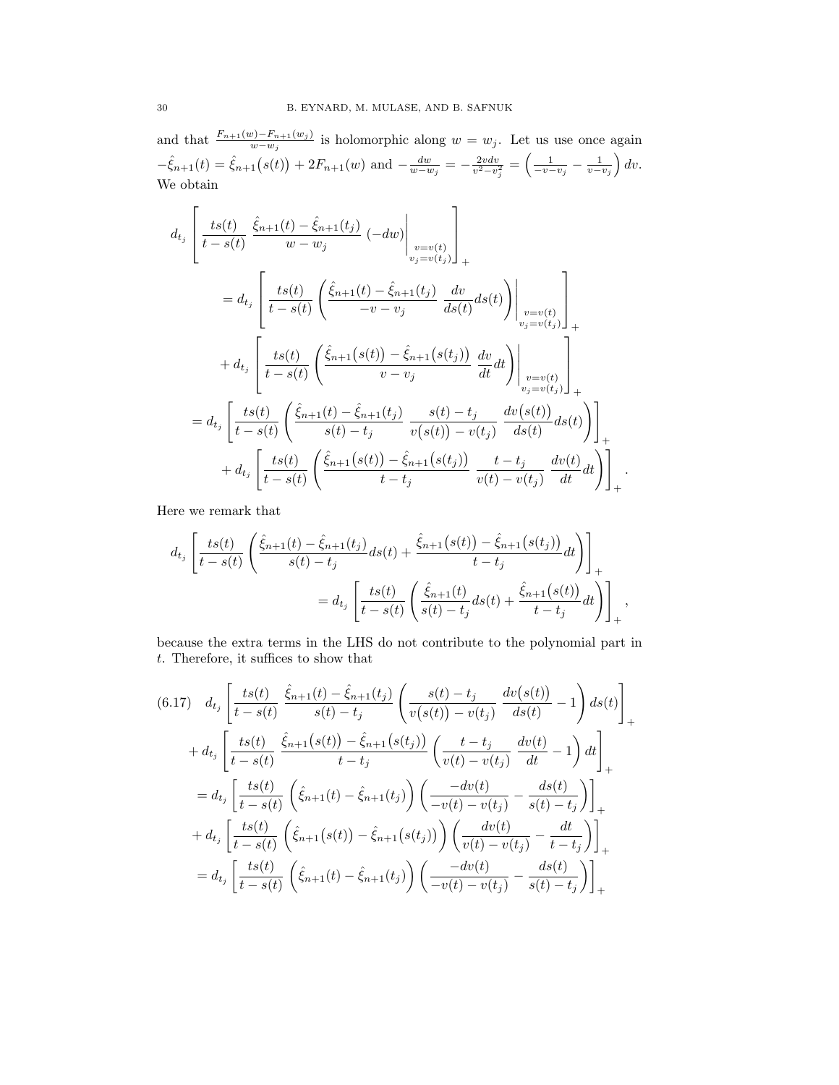and that  $\frac{F_{n+1}(w)-F_{n+1}(w_j)}{w-w_j}$  is holomorphic along  $w=w_j$ . Let us use once again  $-\hat{\xi}_{n+1}(t) = \hat{\xi}_{n+1}(s(t)) + 2F_{n+1}(w)$  and  $-\frac{dw}{w-w_j} = -\frac{2vdv}{v^2-v_j^2} = \left(\frac{1}{-v-v_j} - \frac{1}{v-v_j}\right)dv.$ We obtain

$$
d_{t_j}\left[\frac{ts(t)}{t-s(t)}\frac{\hat{\xi}_{n+1}(t)-\hat{\xi}_{n+1}(t_j)}{w-w_j}\left(-dw\right)\Big|_{\substack{v=v(t)\\v_j=v(t_j)\}\atop v_j=v(t_j)}}\right]_{+}
$$
  
\n=
$$
d_{t_j}\left[\frac{ts(t)}{t-s(t)}\left(\frac{\hat{\xi}_{n+1}(t)-\hat{\xi}_{n+1}(t_j)}{-v-v_j}\frac{dv}{ds(t)}ds(t)\right)\Big|_{\substack{v=v(t)\\v_j=v(t_j)\}\atop v_j=v(t_j)}}\right]_{+}
$$
  
\n+
$$
d_{t_j}\left[\frac{ts(t)}{t-s(t)}\left(\frac{\hat{\xi}_{n+1}(s(t))-\hat{\xi}_{n+1}(s(t_j))}{v-v_j}\frac{dv}{dt}dt\right)\Big|_{\substack{v=v(t)\\v_j=v(t_j)\}\atop v_j=v(t_j)}}\right]_{+}
$$
  
\n=
$$
d_{t_j}\left[\frac{ts(t)}{t-s(t)}\left(\frac{\hat{\xi}_{n+1}(t)-\hat{\xi}_{n+1}(t_j)}{s(t)-t_j}\frac{s(t)-t_j}{v(s(t))-v(t_j)}\frac{dv(s(t))}{ds(t)}ds(t)\right)\right]_{+}
$$
  
\n+
$$
d_{t_j}\left[\frac{ts(t)}{t-s(t)}\left(\frac{\hat{\xi}_{n+1}(s(t))-\hat{\xi}_{n+1}(s(t_j))}{t-t_j}\frac{t-t_j}{v(t)-v(t_j)}\frac{dv(t)}{dt}dt\right)\right]_{+}.
$$

Here we remark that

$$
d_{t_j} \left[ \frac{ts(t)}{t - s(t)} \left( \frac{\hat{\xi}_{n+1}(t) - \hat{\xi}_{n+1}(t_j)}{s(t) - t_j} ds(t) + \frac{\hat{\xi}_{n+1}(s(t)) - \hat{\xi}_{n+1}(s(t_j))}{t - t_j} dt \right) \right]_+ = d_{t_j} \left[ \frac{ts(t)}{t - s(t)} \left( \frac{\hat{\xi}_{n+1}(t)}{s(t) - t_j} ds(t) + \frac{\hat{\xi}_{n+1}(s(t))}{t - t_j} dt \right) \right]_+,
$$

because the extra terms in the LHS do not contribute to the polynomial part in  $t.$  Therefore, it suffices to show that

$$
(6.17) \quad d_{t_j} \left[ \frac{ts(t)}{t - s(t)} \frac{\hat{\xi}_{n+1}(t) - \hat{\xi}_{n+1}(t_j)}{s(t) - t_j} \left( \frac{s(t) - t_j}{v(s(t)) - v(t_j)} \frac{dv(s(t))}{ds(t)} - 1 \right) ds(t) \right]_{+}
$$
  
+ 
$$
d_{t_j} \left[ \frac{ts(t)}{t - s(t)} \frac{\hat{\xi}_{n+1}(s(t)) - \hat{\xi}_{n+1}(s(t_j))}{t - t_j} \left( \frac{t - t_j}{v(t) - v(t_j)} \frac{dv(t)}{dt} - 1 \right) dt \right]_{+}
$$
  
= 
$$
d_{t_j} \left[ \frac{ts(t)}{t - s(t)} \left( \hat{\xi}_{n+1}(t) - \hat{\xi}_{n+1}(t_j) \right) \left( \frac{-dv(t)}{-v(t) - v(t_j)} - \frac{ds(t)}{s(t) - t_j} \right) \right]_{+}
$$
  
+ 
$$
d_{t_j} \left[ \frac{ts(t)}{t - s(t)} \left( \hat{\xi}_{n+1}(s(t)) - \hat{\xi}_{n+1}(s(t_j)) \right) \left( \frac{dv(t)}{v(t) - v(t_j)} - \frac{dt}{t - t_j} \right) \right]_{+}
$$
  
= 
$$
d_{t_j} \left[ \frac{ts(t)}{t - s(t)} \left( \hat{\xi}_{n+1}(t) - \hat{\xi}_{n+1}(t_j) \right) \left( \frac{-dv(t)}{-v(t) - v(t_j)} - \frac{ds(t)}{s(t) - t_j} \right) \right]_{+}
$$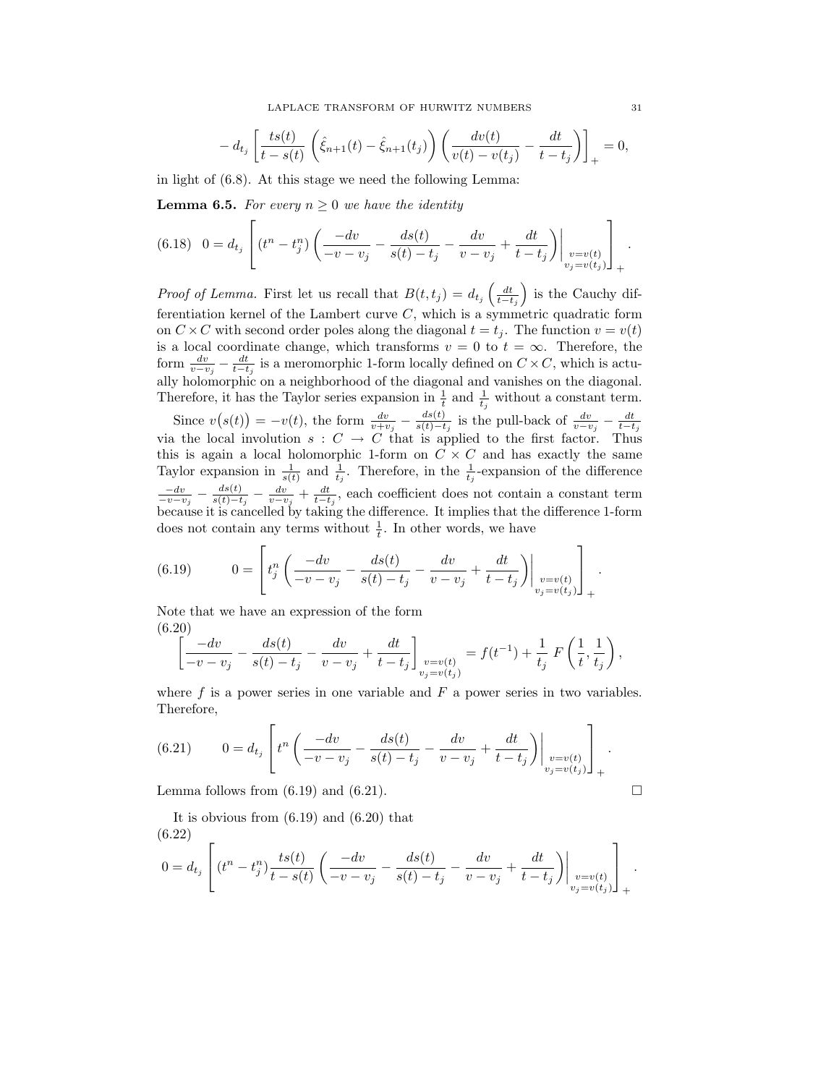$$
- d_{t_j} \left[ \frac{ts(t)}{t - s(t)} \left( \hat{\xi}_{n+1}(t) - \hat{\xi}_{n+1}(t_j) \right) \left( \frac{dv(t)}{v(t) - v(t_j)} - \frac{dt}{t - t_j} \right) \right]_+ = 0,
$$

in light of (6.8). At this stage we need the following Lemma:

**Lemma 6.5.** For every  $n \geq 0$  we have the identity

$$
(6.18) \quad 0 = d_{t_j} \left[ (t^n - t_j^n) \left( \frac{-dv}{-v - v_j} - \frac{ds(t)}{s(t) - t_j} - \frac{dv}{v - v_j} + \frac{dt}{t - t_j} \right) \Big|_{\substack{v = v(t) \\ v_j = v(t_j)}} \right]_+.
$$

*Proof of Lemma*. First let us recall that  $B(t,t_j) = d_{t_j}\left(\frac{dt}{t-t_j}\right)$  is the Cauchy differentiation kernel of the Lambert curve  $C$ , which is a symmetric quadratic form on  $C \times C$  with second order poles along the diagonal  $t = t_j$ . The function  $v = v(t)$ is a local coordinate change, which transforms  $v = 0$  to  $t = \infty$ . Therefore, the form  $\frac{dv}{v-v_j} - \frac{dt}{t-t_j}$  is a meromorphic 1-form locally defined on  $C \times C$ , which is actually holomorphic on a neighborhood of the diagonal and vanishes on the diagonal. Therefore, it has the Taylor series expansion in  $\frac{1}{t}$  and  $\frac{1}{t_j}$  without a constant term.

Since  $v(s(t)) = -v(t)$ , the form  $\frac{dv}{v+v_j} - \frac{ds(t)}{s(t)-t}$ Since  $v(s(t)) = -v(t)$ , the form  $\frac{dv}{v+v_j} - \frac{ds(t)}{s(t)-t_j}$  is the pull-back of  $\frac{dv}{v-v_j} - \frac{dt}{t-t_j}$  via the local involution  $s : C \to C$  that is applied to the first factor. Thus this is again a local holomorphic 1-form on  $C \times C$  and has exactly the same Taylor expansion in  $\frac{1}{s(t)}$  and  $\frac{1}{t_j}$ . Therefore, in the  $\frac{1}{t_j}$ -expansion of the difference  $\frac{-dv}{-v-v_j} - \frac{ds(t)}{s(t)-t}$  $\frac{ds(t)}{s(t)-t_j} - \frac{dv}{v-v_j} + \frac{dt}{t-t_j}$ , each coefficient does not contain a constant term because it is cancelled by taking the difference. It implies that the difference 1-form does not contain any terms without  $\frac{1}{t}$ . In other words, we have

(6.19) 
$$
0 = \left[ t_j^n \left( \frac{-dv}{-v - v_j} - \frac{ds(t)}{s(t) - t_j} - \frac{dv}{v - v_j} + \frac{dt}{t - t_j} \right) \Big|_{\substack{v = v(t) \\ v_j = v(t_j)}} \right]_+.
$$

Note that we have an expression of the form (6.20)

$$
\left[ \frac{-dv}{-v - v_j} - \frac{ds(t)}{s(t) - t_j} - \frac{dv}{v - v_j} + \frac{dt}{t - t_j} \right]_{\substack{v = v(t) \\ v_j = v(t_j)}} = f(t^{-1}) + \frac{1}{t_j} F\left(\frac{1}{t}, \frac{1}{t_j}\right),
$$

where  $f$  is a power series in one variable and  $F$  a power series in two variables. Therefore,

(6.21) 
$$
0 = d_{t_j} \left[ t^n \left( \frac{-dv}{-v - v_j} - \frac{ds(t)}{s(t) - t_j} - \frac{dv}{v - v_j} + \frac{dt}{t - t_j} \right) \Big|_{\substack{v = v(t) \\ v_j = v(t_j)}} \right]_+
$$

Lemma follows from  $(6.19)$  and  $(6.21)$ .

It is obvious from (6.19) and (6.20) that  
\n(6.22)  
\n
$$
0 = d_{t_j} \left[ (t^n - t_j^n) \frac{ts(t)}{t - s(t)} \left( \frac{-dv}{-v - v_j} - \frac{ds(t)}{s(t) - t_j} - \frac{dv}{v - v_j} + \frac{dt}{t - t_j} \right) \Big|_{\substack{v = v(t) \\ v_j = v(t_j)}} \right]_+
$$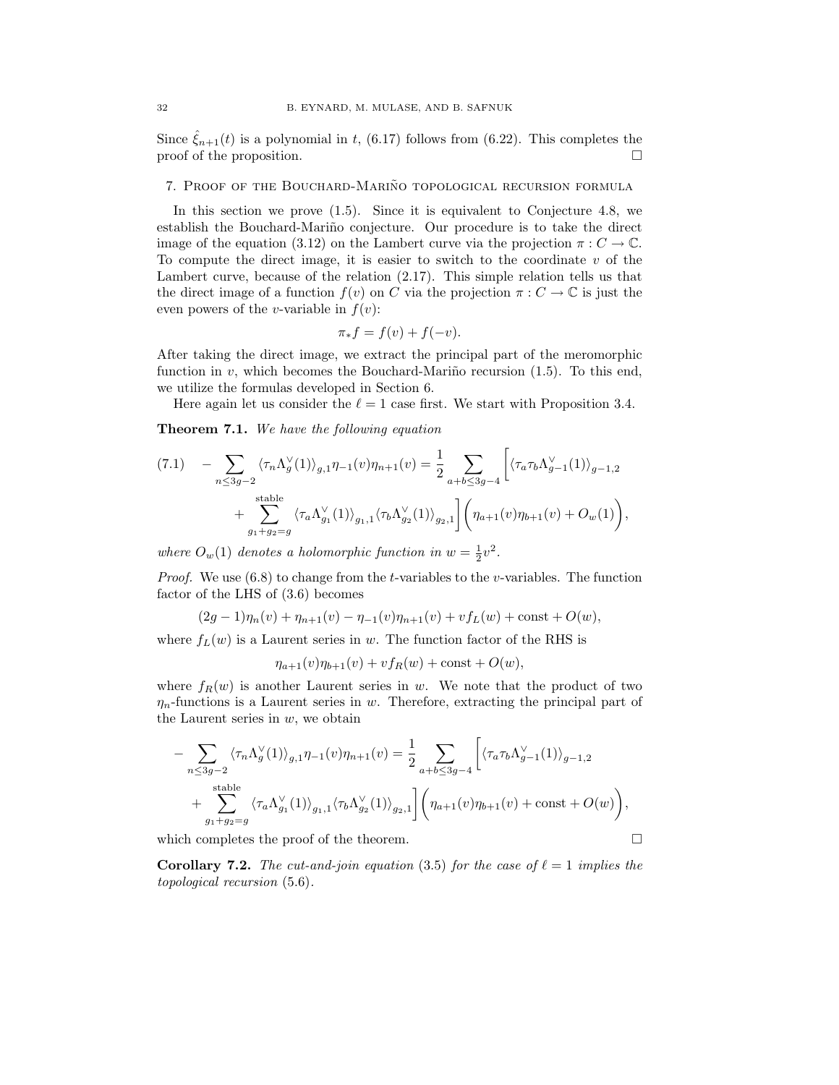Since  $\hat{\xi}_{n+1}(t)$  is a polynomial in t, (6.17) follows from (6.22). This completes the proof of the proposition.  $\Box$ 

## 7. PROOF OF THE BOUCHARD-MARIÑO TOPOLOGICAL RECURSION FORMULA

In this section we prove (1.5). Since it is equivalent to Conjecture 4.8, we establish the Bouchard-Mariño conjecture. Our procedure is to take the direct image of the equation (3.12) on the Lambert curve via the projection  $\pi: C \to \mathbb{C}$ . To compute the direct image, it is easier to switch to the coordinate  $v$  of the Lambert curve, because of the relation (2.17). This simple relation tells us that the direct image of a function  $f(v)$  on C via the projection  $\pi: C \to \mathbb{C}$  is just the even powers of the *v*-variable in  $f(v)$ :

$$
\pi_* f = f(v) + f(-v).
$$

After taking the direct image, we extract the principal part of the meromorphic function in v, which becomes the Bouchard-Mariño recursion  $(1.5)$ . To this end, we utilize the formulas developed in Section 6.

Here again let us consider the  $\ell = 1$  case first. We start with Proposition 3.4.

Theorem 7.1. We have the following equation

$$
(7.1) \quad -\sum_{n \le 3g-2} \langle \tau_n \Lambda_g^{\vee}(1) \rangle_{g,1} \eta_{-1}(v) \eta_{n+1}(v) = \frac{1}{2} \sum_{a+b \le 3g-4} \left[ \langle \tau_a \tau_b \Lambda_{g-1}^{\vee}(1) \rangle_{g-1,2} \right. \\
\left. + \sum_{g_1+g_2=g} \langle \tau_a \Lambda_{g_1}^{\vee}(1) \rangle_{g_1,1} \langle \tau_b \Lambda_{g_2}^{\vee}(1) \rangle_{g_2,1} \right] \left( \eta_{a+1}(v) \eta_{b+1}(v) + O_w(1) \right),
$$

where  $O_w(1)$  denotes a holomorphic function in  $w = \frac{1}{2}v^2$ .

*Proof.* We use  $(6.8)$  to change from the *t*-variables to the *v*-variables. The function factor of the LHS of (3.6) becomes

$$
(2g-1)\eta_n(v) + \eta_{n+1}(v) - \eta_{-1}(v)\eta_{n+1}(v) + vf_L(w) + const + O(w),
$$

where  $f_L(w)$  is a Laurent series in w. The function factor of the RHS is

 $\eta_{a+1}(v)\eta_{b+1}(v) + vf_R(w) + const + O(w),$ 

where  $f_R(w)$  is another Laurent series in w. We note that the product of two  $\eta_n$ -functions is a Laurent series in w. Therefore, extracting the principal part of the Laurent series in  $w$ , we obtain

$$
-\sum_{n\leq 3g-2} \langle \tau_n \Lambda_g^{\vee}(1) \rangle_{g,1} \eta_{-1}(v) \eta_{n+1}(v) = \frac{1}{2} \sum_{a+b\leq 3g-4} \left[ \langle \tau_a \tau_b \Lambda_{g-1}^{\vee}(1) \rangle_{g-1,2} + \sum_{g_1+g_2=g} \langle \tau_a \Lambda_{g_1}^{\vee}(1) \rangle_{g_1,1} \langle \tau_b \Lambda_{g_2}^{\vee}(1) \rangle_{g_2,1} \right] \left( \eta_{a+1}(v) \eta_{b+1}(v) + \text{const} + O(w) \right),
$$

which completes the proof of the theorem.  $\Box$ 

**Corollary 7.2.** The cut-and-join equation (3.5) for the case of  $\ell = 1$  implies the topological recursion (5.6).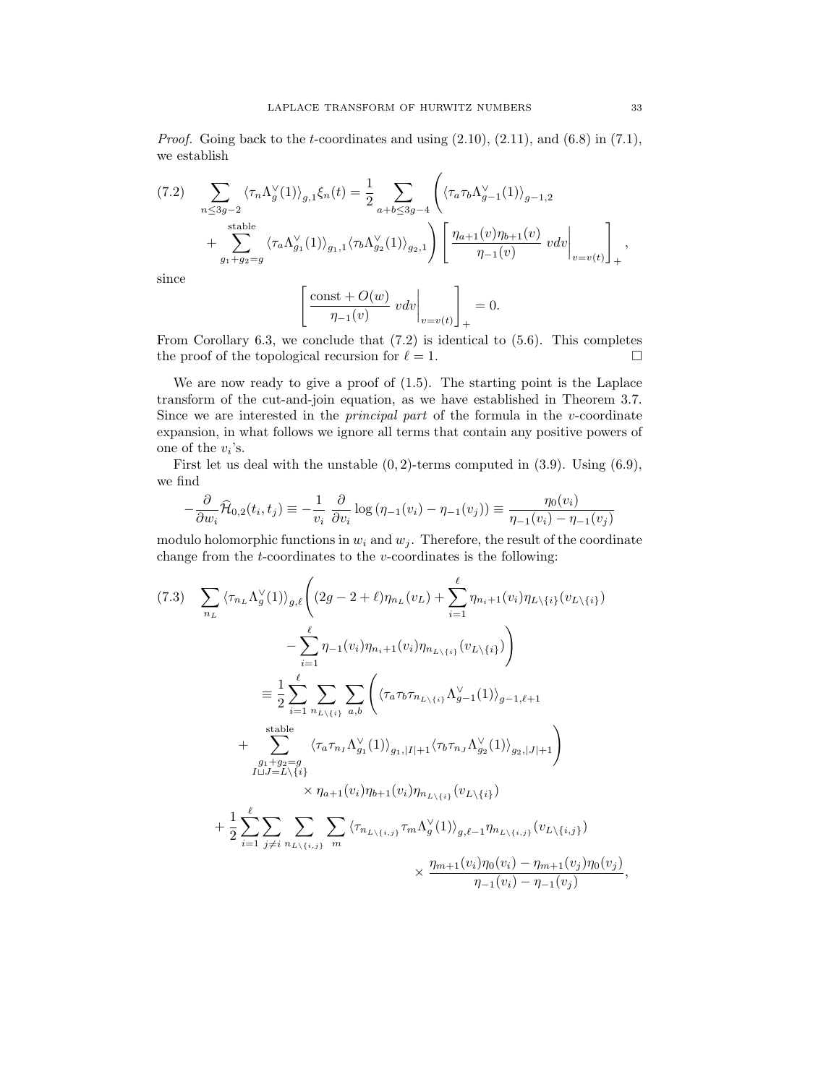*Proof.* Going back to the *t*-coordinates and using  $(2.10)$ ,  $(2.11)$ , and  $(6.8)$  in  $(7.1)$ , we establish

$$
(7.2) \sum_{n \leq 3g-2} \langle \tau_n \Lambda_g^{\vee}(1) \rangle_{g,1} \xi_n(t) = \frac{1}{2} \sum_{a+b \leq 3g-4} \left( \langle \tau_a \tau_b \Lambda_{g-1}^{\vee}(1) \rangle_{g-1,2} + \sum_{g_1+g_2=g}^{\text{stable}} \langle \tau_a \Lambda_{g_1}^{\vee}(1) \rangle_{g_1,1} \langle \tau_b \Lambda_{g_2}^{\vee}(1) \rangle_{g_2,1} \right) \left[ \frac{\eta_{a+1}(v) \eta_{b+1}(v)}{\eta_{-1}(v)} \ v dv \bigg|_{v=v(t)} \right]_+,
$$

since

$$
\left[\frac{\text{const} + O(w)}{\eta_{-1}(v)} v dv \Big|_{v=v(t)}\right]_+ = 0.
$$

From Corollary 6.3, we conclude that (7.2) is identical to (5.6). This completes the proof of the topological recursion for  $\ell = 1$ .

We are now ready to give a proof of (1.5). The starting point is the Laplace transform of the cut-and-join equation, as we have established in Theorem 3.7. Since we are interested in the *principal part* of the formula in the  $v$ -coordinate expansion, in what follows we ignore all terms that contain any positive powers of one of the  $v_i$ 's.

First let us deal with the unstable  $(0, 2)$ -terms computed in  $(3.9)$ . Using  $(6.9)$ , we find

$$
-\frac{\partial}{\partial w_i}\widehat{\mathcal{H}}_{0,2}(t_i, t_j) \equiv -\frac{1}{v_i} \frac{\partial}{\partial v_i} \log \left(\eta_{-1}(v_i) - \eta_{-1}(v_j)\right) \equiv \frac{\eta_0(v_i)}{\eta_{-1}(v_i) - \eta_{-1}(v_j)}
$$

modulo holomorphic functions in  $w_i$  and  $w_j$ . Therefore, the result of the coordinate change from the  $t$ -coordinates to the  $v$ -coordinates is the following:

$$
(7.3) \sum_{n_L} \langle \tau_{n_L} \Lambda_g^{\vee}(1) \rangle_{g,\ell} \left( (2g - 2 + \ell) \eta_{n_L}(v_L) + \sum_{i=1}^{\ell} \eta_{n_i+1}(v_i) \eta_{L \setminus \{i\}}(v_{L \setminus \{i\}}) \right) - \sum_{i=1}^{\ell} \eta_{-1}(v_i) \eta_{n_i+1}(v_i) \eta_{n_{L \setminus \{i\}}}(v_{L \setminus \{i\}}) \right) \n\equiv \frac{1}{2} \sum_{i=1}^{\ell} \sum_{n_{L \setminus \{i\}}} \sum_{a,b} \left( \langle \tau_a \tau_b \tau_{n_{L \setminus \{i\}}} \Lambda_{g-1}^{\vee}(1) \rangle_{g-1,\ell+1} + \sum_{\substack{g_1+g_2=g\\ g_1+g_2=g\\ I \sqcup J=L \setminus \{i\}}} \langle \tau_a \tau_{n_I} \Lambda_{g_1}^{\vee}(1) \rangle_{g_1, |I|+1} \langle \tau_b \tau_{n_J} \Lambda_{g_2}^{\vee}(1) \rangle_{g_2, |J|+1} \right) \n+ \frac{1}{2} \sum_{i=1}^{\ell} \sum_{j \neq i} \sum_{n_{L \setminus \{i,j\}}} \sum_{m} \langle \tau_{n_{L \setminus \{i,j\}}} \tau_m \Lambda_g^{\vee}(1) \rangle_{g,\ell-1} \eta_{n_{L \setminus \{i,j\}}} (v_{L \setminus \{i,j\}}) \n\times \frac{\eta_{m+1}(v_i) \eta_0(v_i) - \eta_{m+1}(v_j) \eta_0(v_j)}{\eta_{-1}(v_i) - \eta_{-1}(v_j)},
$$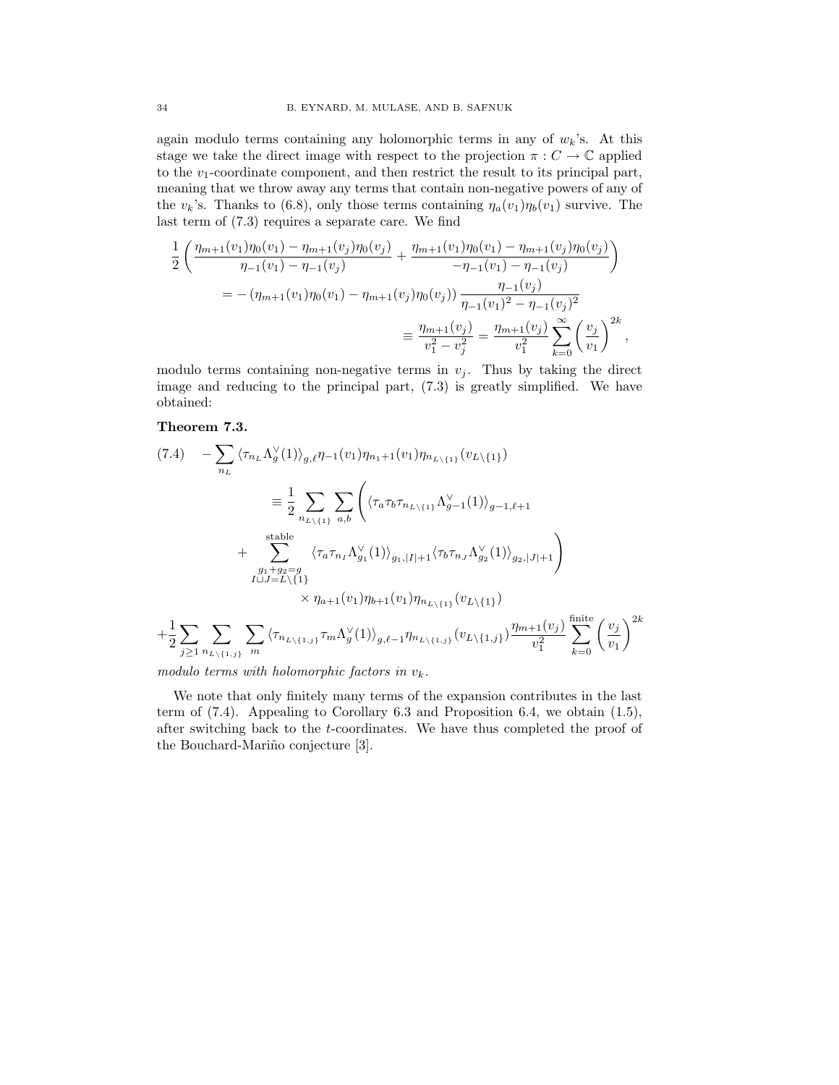again modulo terms containing any holomorphic terms in any of  $w_k$ 's. At this stage we take the direct image with respect to the projection  $\pi: C \to \mathbb{C}$  applied to the  $v_1$ -coordinate component, and then restrict the result to its principal part, meaning that we throw away any terms that contain non-negative powers of any of the  $v_k$ 's. Thanks to (6.8), only those terms containing  $\eta_a(v_1)\eta_b(v_1)$  survive. The last term of (7.3) requires a separate care. We find

$$
\frac{1}{2} \left( \frac{\eta_{m+1}(v_1)\eta_0(v_1) - \eta_{m+1}(v_j)\eta_0(v_j)}{\eta_{-1}(v_1) - \eta_{-1}(v_j)} + \frac{\eta_{m+1}(v_1)\eta_0(v_1) - \eta_{m+1}(v_j)\eta_0(v_j)}{-\eta_{-1}(v_1) - \eta_{-1}(v_j)} \right)
$$
\n
$$
= -(\eta_{m+1}(v_1)\eta_0(v_1) - \eta_{m+1}(v_j)\eta_0(v_j)) \frac{\eta_{-1}(v_j)}{\eta_{-1}(v_1)^2 - \eta_{-1}(v_j)^2}
$$
\n
$$
\equiv \frac{\eta_{m+1}(v_j)}{v_1^2 - v_j^2} = \frac{\eta_{m+1}(v_j)}{v_1^2} \sum_{k=0}^{\infty} \left(\frac{v_j}{v_1}\right)^{2k},
$$

modulo terms containing non-negative terms in  $v_j$ . Thus by taking the direct image and reducing to the principal part, (7.3) is greatly simplified. We have obtained:

## Theorem 7.3.

$$
(7.4) \quad -\sum_{n_L} \langle \tau_{n_L} \Lambda_g^{\vee}(1) \rangle_{g,\ell} \eta_{-1}(v_1) \eta_{n_L+1}(v_1) \eta_{n_L \setminus \{1\}}(v_{L \setminus \{1\}})
$$
\n
$$
\equiv \frac{1}{2} \sum_{n_L \setminus \{1\}} \sum_{a,b} \left( \langle \tau_a \tau_b \tau_{n_L \setminus \{1\}} \Lambda_{g-1}^{\vee}(1) \rangle_{g-1,\ell+1} + \sum_{\substack{g_1+g_2=g\\ \text{stable}}} \langle \tau_a \tau_{n_I} \Lambda_{g_1}^{\vee}(1) \rangle_{g_1, |I|+1} \langle \tau_b \tau_{n_J} \Lambda_{g_2}^{\vee}(1) \rangle_{g_2, |J|+1} \right)
$$
\n
$$
\times \eta_{a+1}(v_1) \eta_{b+1}(v_1) \eta_{n_L \setminus \{1\}}(v_{L \setminus \{1\}})
$$
\n
$$
+ \frac{1}{2} \sum_{j \geq 1} \sum_{n_L \setminus \{1,j\}} \sum_{m} \langle \tau_{n_L \setminus \{1,j\}} \tau_m \Lambda_g^{\vee}(1) \rangle_{g,\ell-1} \eta_{n_L \setminus \{1,j\}}(v_{L \setminus \{1,j\}}) \frac{\eta_{m+1}(v_j)}{v_1^2} \sum_{k=0}^{\text{finite}} \left( \frac{v_j}{v_1} \right)^{2k}
$$

modulo terms with holomorphic factors in  $v_k$ .

We note that only finitely many terms of the expansion contributes in the last term of (7.4). Appealing to Corollary 6.3 and Proposition 6.4, we obtain (1.5), after switching back to the t-coordinates. We have thus completed the proof of the Bouchard-Mariño conjecture [3].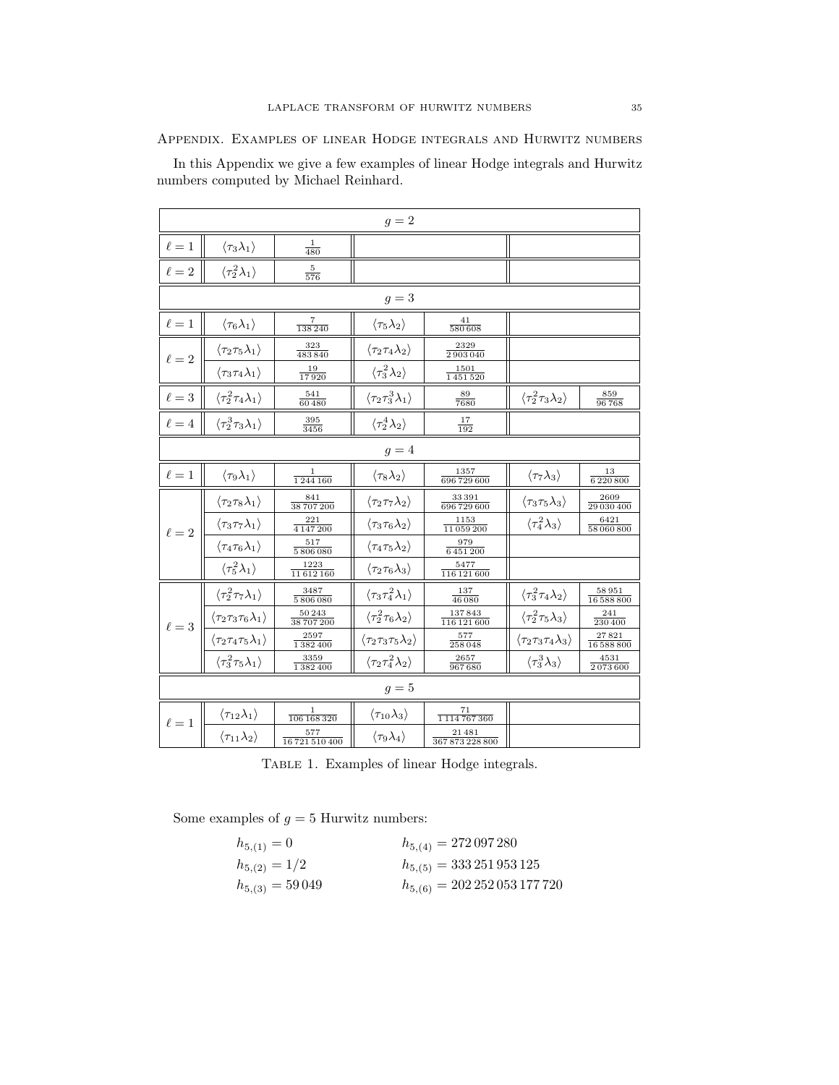Appendix. Examples of linear Hodge integrals and Hurwitz numbers

In this Appendix we give a few examples of linear Hodge integrals and Hurwitz numbers computed by Michael Reinhard.

| $g=2$      |                                                  |                             |                                                  |                           |                                                  |                     |  |  |  |
|------------|--------------------------------------------------|-----------------------------|--------------------------------------------------|---------------------------|--------------------------------------------------|---------------------|--|--|--|
| $\ell=1$   | $\langle \tau_3 \lambda_1 \rangle$               | $\frac{1}{480}$             |                                                  |                           |                                                  |                     |  |  |  |
| $\ell=2$   | $\langle \tau_2^2 \lambda_1 \rangle$             | $\frac{5}{576}$             |                                                  |                           |                                                  |                     |  |  |  |
| $g=3$      |                                                  |                             |                                                  |                           |                                                  |                     |  |  |  |
| $\ell=1$   | $\langle \tau_6 \lambda_1 \rangle$               | 7<br>138240                 | $\langle \tau_5 \lambda_2 \rangle$               | 41<br>580 608             |                                                  |                     |  |  |  |
| $\ell=2$   | $\langle \tau_2 \tau_5 \lambda_1 \rangle$        | $\frac{323}{483\,840}$      | $\langle \tau_2 \tau_4 \lambda_2 \rangle$        | 2329<br>2903040           |                                                  |                     |  |  |  |
|            | $\langle \tau_3 \tau_4 \lambda_1 \rangle$        | 19<br>17920                 | $\langle \tau_3^2\lambda_2\rangle$               | 1501<br>1451520           |                                                  |                     |  |  |  |
| $\ell=3$   | $\langle \tau_2^2 \tau_4 \lambda_1 \rangle$      | 541<br>60480                | $\langle \tau_2 \tau_3^3 \lambda_1 \rangle$      | 89<br>7680                | $\langle \tau_2^2 \tau_3 \lambda_2 \rangle$      | 859<br>96768        |  |  |  |
| $\ell=4$   | $\langle \tau_2^3 \tau_3 \lambda_1 \rangle$      | 395<br>3456                 | $\langle \tau_2^4 \lambda_2 \rangle$             | 17<br>192                 |                                                  |                     |  |  |  |
| $g=4$      |                                                  |                             |                                                  |                           |                                                  |                     |  |  |  |
| $\ell=1$   | $\langle \tau_9 \lambda_1 \rangle$               | 1<br>1244160                | $\langle \tau_8 \lambda_2 \rangle$               | 1357<br>696 729 600       | $\langle \tau_7 \lambda_3 \rangle$               | 13<br>$6\,220\,800$ |  |  |  |
|            | $\langle \tau_2 \tau_8 \lambda_1 \rangle$        | 841<br>38 707 200           | $\langle \tau_2 \tau_7 \lambda_2 \rangle$        | 33391<br>696 729 600      | $\langle \tau_3 \tau_5 \lambda_3 \rangle$        | 2609<br>29 030 400  |  |  |  |
| $\ell = 2$ | $\langle \tau_3 \tau_7 \lambda_1 \rangle$        | 221<br>4 1 4 7 2 0 0        | $\langle \tau_3 \tau_6 \lambda_2 \rangle$        | 1153<br>11059200          | $\langle \tau_4^2 \lambda_3 \rangle$             | 6421<br>58 060 800  |  |  |  |
|            | $\langle\tau_4\tau_6\lambda_1\rangle$            | 517<br>5806080              | $\langle\tau_4\tau_5\lambda_2\rangle$            | 979<br>6 451 200          |                                                  |                     |  |  |  |
|            | $\langle \tau_5^2 \lambda_1 \rangle$             | 1223<br>11612160            | $\langle\tau_2\tau_6\lambda_3\rangle$            | 5477<br>116 121 600       |                                                  |                     |  |  |  |
|            | $\langle \tau_2^2 \tau_7 \lambda_1 \rangle$      | 3487<br>5806080             | $\langle \tau_3 \tau_4^2 \lambda_1 \rangle$      | 137<br>46 080             | $\langle \tau_3^2 \tau_4 \lambda_2 \rangle$      | 58951<br>16 588 800 |  |  |  |
| $\ell = 3$ | $\langle\tau_2\tau_3\tau_6\lambda_1\rangle$      | 50243<br>38 707 200         | $\langle \tau_2^2 \tau_6 \lambda_2 \rangle$      | $137\,843$<br>116 121 600 | $\langle \tau_2^2 \tau_5 \lambda_3 \rangle$      | 241<br>230 400      |  |  |  |
|            | $\langle \tau_2 \tau_4 \tau_5 \lambda_1 \rangle$ | 2597<br>1382400             | $\langle \tau_2 \tau_3 \tau_5 \lambda_2 \rangle$ | 577<br>258048             | $\langle \tau_2 \tau_3 \tau_4 \lambda_3 \rangle$ | 27821<br>16 588 800 |  |  |  |
|            | $\langle \tau_3^2 \tau_5 \lambda_1 \rangle$      | 3359<br>1382400             | $\langle \tau_2 \tau_4^2 \lambda_2 \rangle$      | 2657<br>967680            | $\langle \tau_3^3 \lambda_3 \rangle$             | 4531<br>2073600     |  |  |  |
| $g=5$      |                                                  |                             |                                                  |                           |                                                  |                     |  |  |  |
| $\ell = 1$ | $\langle \tau_{12}\lambda_1\rangle$              | $\mathbf{1}$<br>106 168 320 | $\langle \tau_{10}\lambda_3\rangle$              | 71<br>1114767360          |                                                  |                     |  |  |  |
|            | $\langle \tau_{11} \lambda_2 \rangle$            | 577<br>16721510400          | $\langle \tau_9 \lambda_4 \rangle$               | 21481<br>367873228800     |                                                  |                     |  |  |  |

Table 1. Examples of linear Hodge integrals.

Some examples of  $g = 5$  Hurwitz numbers:

| $h_{5,(1)}=0$       | $h_{5,(4)} = 272097280$               |
|---------------------|---------------------------------------|
| $h_{5,(2)}=1/2$     | $h_{5,(5)} = 333\,251\,953\,125$      |
| $h_{5,(3)} = 59049$ | $h_{5,(6)} = 202\,252\,053\,177\,720$ |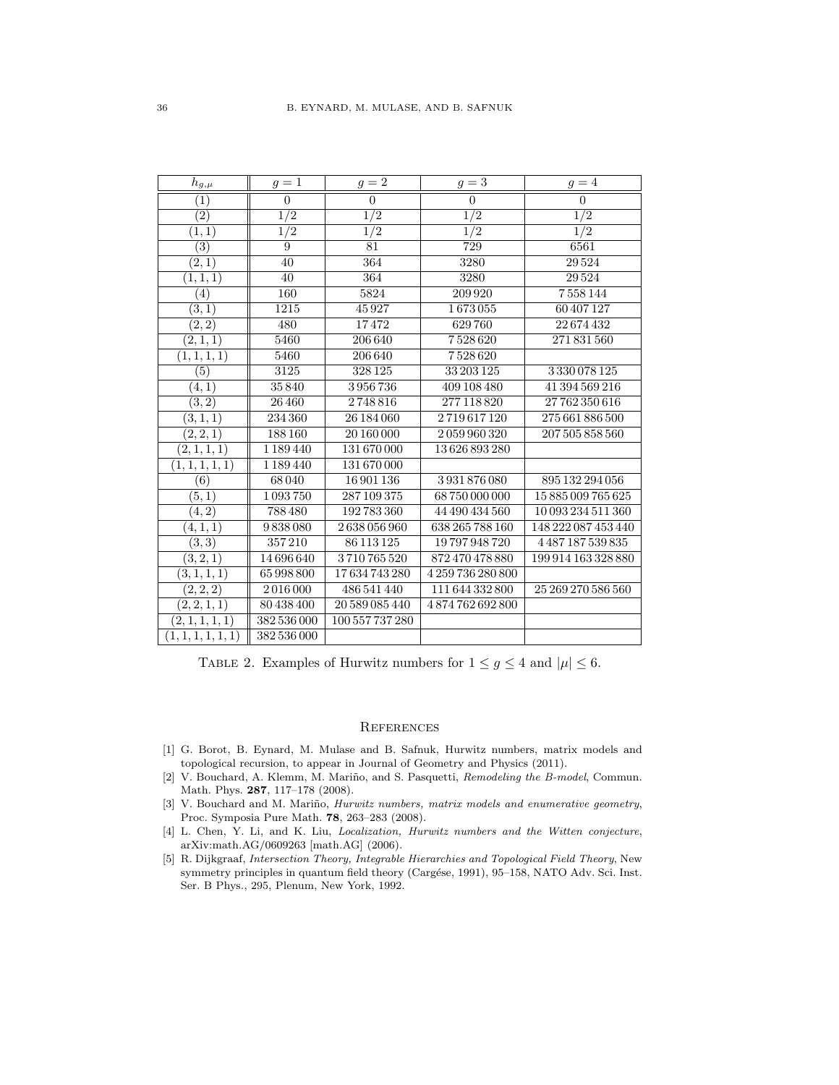| $h_{\underline{g},\underline{\mu}}$ | $q=1$            | $q=2$            | $g=3$            | $q=4$               |
|-------------------------------------|------------------|------------------|------------------|---------------------|
| (1)                                 | $\overline{0}$   | $\overline{0}$   | $\boldsymbol{0}$ | $\overline{0}$      |
| $\overline{(2)}$                    | $\overline{1/2}$ | $\overline{1/2}$ | $\overline{1/2}$ | $\frac{1}{2}$       |
| (1, 1)                              | $\overline{1/2}$ | $\overline{1/2}$ | $\overline{1/2}$ | $\overline{1/2}$    |
| $\overline{(3)}$                    | 9                | 81               | 729              | 6561                |
| (2,1)                               | 40               | 364              | 3280             | 29524               |
| (1, 1, 1)                           | 40               | 364              | 3280             | 29524               |
| (4)                                 | 160              | 5824             | 209 920          | 7558144             |
| (3,1)                               | 1215             | 45927            | 1673055          | 60 407 127          |
| (2, 2)                              | 480              | 17472            | 629760           | 22674432            |
| (2, 1, 1)                           | 5460             | 206640           | 7528620          | 271831560           |
| (1, 1, 1, 1)                        | 5460             | 206640           | 7528620          |                     |
| $\overline{(5)}$                    | 3125             | 328 125          | 33 203 125       | 3330078125          |
| (4,1)                               | 35840            | 3956736          | 409 108 480      | 41 394 569 216      |
| (3, 2)                              | 26460            | 2748816          | 277 118 820      | 27762350616         |
| (3, 1, 1)                           | 234 360          | 26 184 060       | 2719617120       | 275 661 886 500     |
| (2, 2, 1)                           | 188 160          | 20 160 000       | 2059960320       | 207 505 858 560     |
| (2,1,1,1)                           | 1 189 440        | 131670000        | 13626893280      |                     |
| (1, 1, 1, 1, 1)                     | 1 189 440        | 131670000        |                  |                     |
| (6)                                 | 68040            | 16901136         | 3931876080       | 895 132 294 056     |
| (5,1)                               | 1093750          | 287 109 375      | 68750000000      | 15885009765625      |
| (4, 2)                              | 788 480          | 192783360        | 44 490 434 560   | 10 093 234 511 360  |
| (4, 1, 1)                           | 9838080          | 2638056960       | 638 265 788 160  | 148 222 087 453 440 |
| (3, 3)                              | 357210           | 86 113 125       | 19797948720      | 4487187539835       |
| (3, 2, 1)                           | 14696640         | 3710765520       | 872470478880     | 199 914 163 328 880 |
| (3, 1, 1, 1)                        | 65 998 800       | 17634743280      | 4259736280800    |                     |
| (2, 2, 2)                           | 2016000          | 486 541 440      | 111 644 332 800  | 25 269 270 586 560  |
| (2, 2, 1, 1)                        | 80 438 400       | 20 589 085 440   | 4874762692800    |                     |
| (2, 1, 1, 1, 1)                     | 382 536 000      | 100 557 737 280  |                  |                     |
| (1, 1, 1, 1, 1, 1)                  | 382 536 000      |                  |                  |                     |

TABLE 2. Examples of Hurwitz numbers for  $1 \le g \le 4$  and  $|\mu| \le 6$ .

## **REFERENCES**

- [1] G. Borot, B. Eynard, M. Mulase and B. Safnuk, Hurwitz numbers, matrix models and topological recursion, to appear in Journal of Geometry and Physics (2011).
- [2] V. Bouchard, A. Klemm, M. Mariño, and S. Pasquetti, Remodeling the B-model, Commun. Math. Phys. 287, 117–178 (2008).
- [3] V. Bouchard and M. Mariño, *Hurwitz numbers, matrix models and enumerative geometry*, Proc. Symposia Pure Math. 78, 263–283 (2008).
- [4] L. Chen, Y. Li, and K. Liu, *Localization, Hurwitz numbers and the Witten conjecture*, arXiv:math.AG/0609263 [math.AG] (2006).
- [5] R. Dijkgraaf, Intersection Theory, Integrable Hierarchies and Topological Field Theory, New symmetry principles in quantum field theory (Cargése, 1991), 95–158, NATO Adv. Sci. Inst. Ser. B Phys., 295, Plenum, New York, 1992.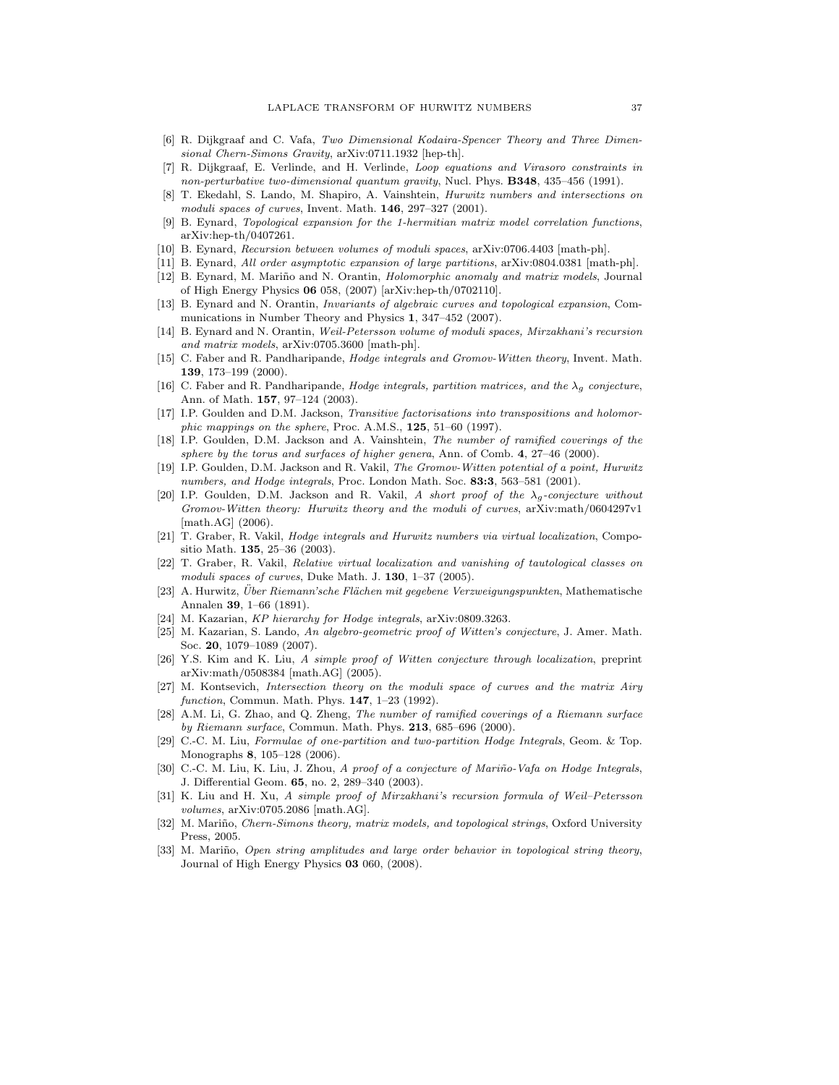- [6] R. Dijkgraaf and C. Vafa, Two Dimensional Kodaira-Spencer Theory and Three Dimensional Chern-Simons Gravity, arXiv:0711.1932 [hep-th].
- [7] R. Dijkgraaf, E. Verlinde, and H. Verlinde, Loop equations and Virasoro constraints in non-perturbative two-dimensional quantum gravity, Nucl. Phys. **B348**, 435-456 (1991).
- [8] T. Ekedahl, S. Lando, M. Shapiro, A. Vainshtein, Hurwitz numbers and intersections on moduli spaces of curves, Invent. Math. 146, 297–327 (2001).
- [9] B. Eynard, Topological expansion for the 1-hermitian matrix model correlation functions, arXiv:hep-th/0407261.
- [10] B. Eynard, Recursion between volumes of moduli spaces, arXiv:0706.4403 [math-ph].
- [11] B. Eynard, All order asymptotic expansion of large partitions, arXiv:0804.0381 [math-ph]. [12] B. Eynard, M. Mariño and N. Orantin, *Holomorphic anomaly and matrix models*, Journal of High Energy Physics 06 058, (2007) [arXiv:hep-th/0702110].
- [13] B. Eynard and N. Orantin, Invariants of algebraic curves and topological expansion, Communications in Number Theory and Physics 1, 347–452 (2007).
- [14] B. Eynard and N. Orantin, Weil-Petersson volume of moduli spaces, Mirzakhani's recursion and matrix models, arXiv:0705.3600 [math-ph].
- [15] C. Faber and R. Pandharipande, Hodge integrals and Gromov-Witten theory, Invent. Math. 139, 173–199 (2000).
- [16] C. Faber and R. Pandharipande, Hodge integrals, partition matrices, and the  $\lambda_q$  conjecture, Ann. of Math. 157, 97–124 (2003).
- [17] I.P. Goulden and D.M. Jackson, Transitive factorisations into transpositions and holomorphic mappings on the sphere, Proc. A.M.S., 125, 51–60 (1997).
- [18] I.P. Goulden, D.M. Jackson and A. Vainshtein, The number of ramified coverings of the sphere by the torus and surfaces of higher genera, Ann. of Comb.  $4, 27-46$  (2000).
- [19] I.P. Goulden, D.M. Jackson and R. Vakil, The Gromov-Witten potential of a point, Hurwitz numbers, and Hodge integrals, Proc. London Math. Soc. 83:3, 563-581 (2001).
- [20] I.P. Goulden, D.M. Jackson and R. Vakil, A short proof of the  $\lambda_q$ -conjecture without Gromov-Witten theory: Hurwitz theory and the moduli of curves, arXiv:math/0604297v1 [math.AG] (2006).
- [21] T. Graber, R. Vakil, *Hodge integrals and Hurwitz numbers via virtual localization*, Compositio Math. 135, 25–36 (2003).
- [22] T. Graber, R. Vakil, Relative virtual localization and vanishing of tautological classes on moduli spaces of curves, Duke Math. J. 130, 1-37 (2005).
- [23] A. Hurwitz, Uber Riemann'sche Flächen mit gegebene Verzweigungspunkten, Mathematische Annalen 39, 1–66 (1891).
- [24] M. Kazarian, KP hierarchy for Hodge integrals, arXiv:0809.3263.
- [25] M. Kazarian, S. Lando, An algebro-geometric proof of Witten's conjecture, J. Amer. Math. Soc. 20, 1079–1089 (2007).
- [26] Y.S. Kim and K. Liu, A simple proof of Witten conjecture through localization, preprint arXiv:math/0508384 [math.AG] (2005).
- [27] M. Kontsevich, Intersection theory on the moduli space of curves and the matrix Airy function, Commun. Math. Phys. 147, 1–23 (1992).
- [28] A.M. Li, G. Zhao, and Q. Zheng, The number of ramified coverings of a Riemann surface by Riemann surface, Commun. Math. Phys. 213, 685–696 (2000).
- [29] C.-C. M. Liu, Formulae of one-partition and two-partition Hodge Integrals, Geom. & Top. Monographs 8, 105–128 (2006).
- [30] C.-C. M. Liu, K. Liu, J. Zhou, A proof of a conjecture of Mariño-Vafa on Hodge Integrals, J. Differential Geom. 65, no. 2, 289–340 (2003).
- [31] K. Liu and H. Xu, A simple proof of Mirzakhani's recursion formula of Weil–Petersson volumes, arXiv:0705.2086 [math.AG].
- [32] M. Mariño, Chern-Simons theory, matrix models, and topological strings, Oxford University Press, 2005.
- [33] M. Mariño, Open string amplitudes and large order behavior in topological string theory, Journal of High Energy Physics 03 060, (2008).